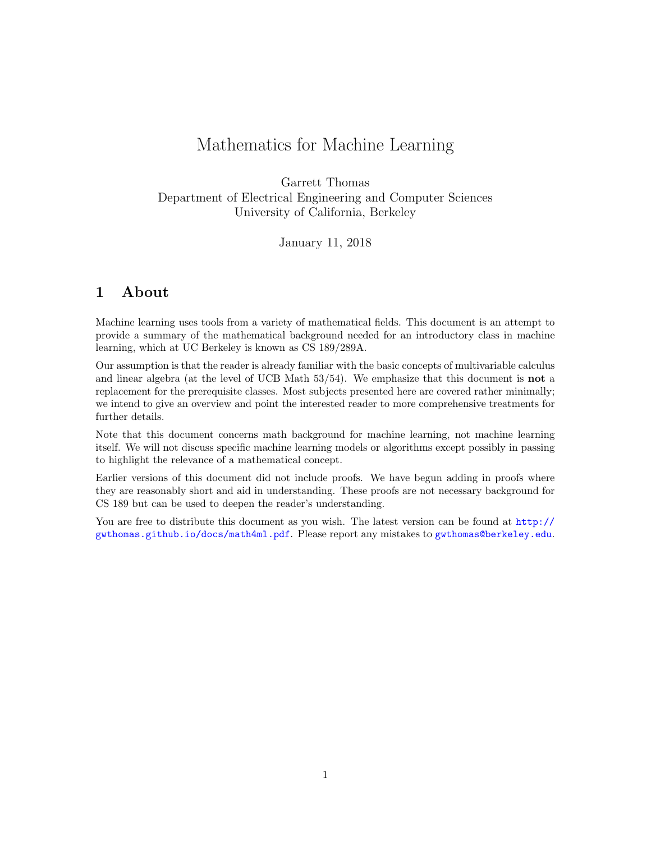# Mathematics for Machine Learning

Garrett Thomas Department of Electrical Engineering and Computer Sciences University of California, Berkeley

January 11, 2018

# <span id="page-0-0"></span>1 About

Machine learning uses tools from a variety of mathematical fields. This document is an attempt to provide a summary of the mathematical background needed for an introductory class in machine learning, which at UC Berkeley is known as CS 189/289A.

Our assumption is that the reader is already familiar with the basic concepts of multivariable calculus and linear algebra (at the level of UCB Math 53/54). We emphasize that this document is not a replacement for the prerequisite classes. Most subjects presented here are covered rather minimally; we intend to give an overview and point the interested reader to more comprehensive treatments for further details.

Note that this document concerns math background for machine learning, not machine learning itself. We will not discuss specific machine learning models or algorithms except possibly in passing to highlight the relevance of a mathematical concept.

Earlier versions of this document did not include proofs. We have begun adding in proofs where they are reasonably short and aid in understanding. These proofs are not necessary background for CS 189 but can be used to deepen the reader's understanding.

You are free to distribute this document as you wish. The latest version can be found at [http://](http://gwthomas.github.io/docs/math4ml.pdf) [gwthomas.github.io/docs/math4ml.pdf](http://gwthomas.github.io/docs/math4ml.pdf). Please report any mistakes to <gwthomas@berkeley.edu>.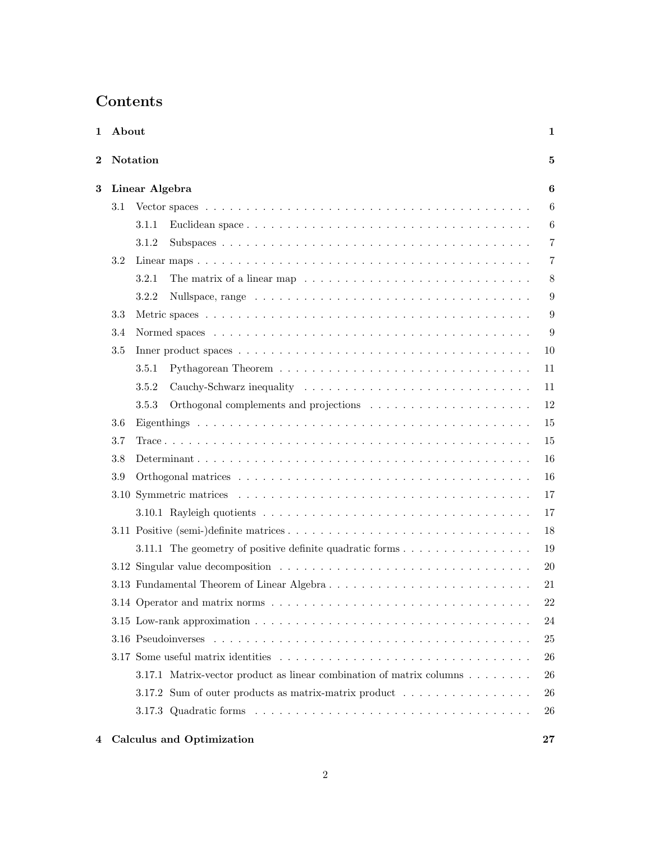# Contents

| About<br>1                  |                | 1                                                                                                                        |                |  |  |
|-----------------------------|----------------|--------------------------------------------------------------------------------------------------------------------------|----------------|--|--|
| <b>Notation</b><br>$\bf{2}$ |                |                                                                                                                          | 5              |  |  |
| 3                           | Linear Algebra |                                                                                                                          |                |  |  |
|                             | 3.1            |                                                                                                                          | 6              |  |  |
|                             |                | 3.1.1                                                                                                                    | 6              |  |  |
|                             |                | 3.1.2                                                                                                                    | $\overline{7}$ |  |  |
|                             | 3.2            |                                                                                                                          | 7              |  |  |
|                             |                | 3.2.1                                                                                                                    | 8              |  |  |
|                             |                | 3.2.2                                                                                                                    | 9              |  |  |
|                             | 3.3            |                                                                                                                          | 9              |  |  |
|                             | 3.4            |                                                                                                                          | 9              |  |  |
|                             | 3.5            |                                                                                                                          | 10             |  |  |
|                             |                | 3.5.1                                                                                                                    | 11             |  |  |
|                             |                | 3.5.2                                                                                                                    | 11             |  |  |
|                             |                | 3.5.3                                                                                                                    | 12             |  |  |
|                             | 3.6            |                                                                                                                          | 15             |  |  |
|                             | 3.7            |                                                                                                                          | 15             |  |  |
|                             | 3.8            |                                                                                                                          | 16             |  |  |
|                             | 3.9            |                                                                                                                          | 16             |  |  |
|                             | 3.10           |                                                                                                                          | 17             |  |  |
|                             |                |                                                                                                                          | 17             |  |  |
|                             |                |                                                                                                                          | 18             |  |  |
|                             |                | 3.11.1 The geometry of positive definite quadratic forms $\dots \dots \dots \dots \dots$                                 | 19             |  |  |
|                             |                |                                                                                                                          | <b>20</b>      |  |  |
|                             |                | 3.13 Fundamental Theorem of Linear Algebra                                                                               | 21             |  |  |
|                             |                | 3.14 Operator and matrix norms $\ldots \ldots \ldots \ldots$                                                             | 22             |  |  |
|                             |                | 3.15 Low-rank approximation $\ldots \ldots \ldots \ldots \ldots \ldots \ldots \ldots \ldots \ldots \ldots \ldots \ldots$ | 24             |  |  |
|                             |                |                                                                                                                          | 25             |  |  |
|                             |                |                                                                                                                          | 26             |  |  |
|                             |                | 3.17.1 Matrix-vector product as linear combination of matrix columns                                                     | 26             |  |  |
|                             |                | 3.17.2 Sum of outer products as matrix-matrix product $\dots \dots \dots \dots \dots$                                    | 26             |  |  |
|                             |                |                                                                                                                          | 26             |  |  |
| 4                           |                | <b>Calculus and Optimization</b>                                                                                         | $27\,$         |  |  |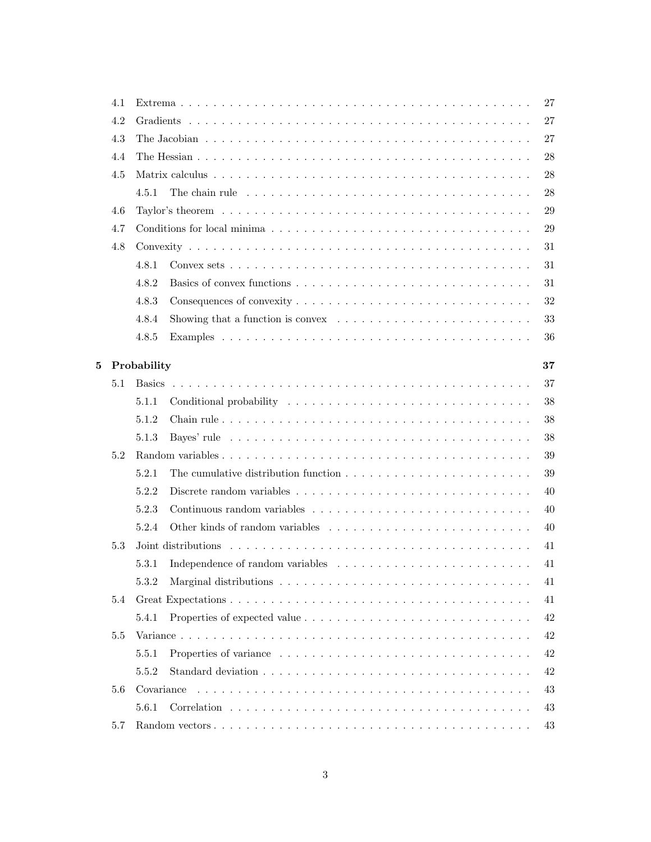|   | 4.1 |               |                                                                                                      | 27     |
|---|-----|---------------|------------------------------------------------------------------------------------------------------|--------|
|   | 4.2 |               |                                                                                                      | $27\,$ |
|   | 4.3 |               |                                                                                                      | 27     |
|   | 4.4 |               |                                                                                                      | 28     |
|   | 4.5 |               |                                                                                                      | 28     |
|   |     | 4.5.1         | The chain rule $\dots \dots \dots \dots \dots \dots \dots \dots \dots \dots \dots \dots \dots \dots$ | 28     |
|   | 4.6 |               |                                                                                                      | 29     |
|   | 4.7 |               |                                                                                                      | 29     |
|   | 4.8 |               |                                                                                                      | 31     |
|   |     | 4.8.1         |                                                                                                      | 31     |
|   |     | 4.8.2         |                                                                                                      | 31     |
|   |     | 4.8.3         |                                                                                                      | 32     |
|   |     | 4.8.4         | Showing that a function is convex $\ldots \ldots \ldots \ldots \ldots \ldots \ldots \ldots$          | 33     |
|   |     | 4.8.5         |                                                                                                      | 36     |
|   |     |               |                                                                                                      |        |
| 5 |     | Probability   |                                                                                                      | 37     |
|   | 5.1 | <b>Basics</b> |                                                                                                      | 37     |
|   |     | 5.1.1         |                                                                                                      | 38     |
|   |     | 5.1.2         |                                                                                                      | 38     |
|   |     | 5.1.3         |                                                                                                      | 38     |
|   | 5.2 |               |                                                                                                      | 39     |
|   |     | 5.2.1         |                                                                                                      | 39     |
|   |     | 5.2.2         |                                                                                                      | 40     |
|   |     | 5.2.3         |                                                                                                      | 40     |
|   |     | 5.2.4         |                                                                                                      | 40     |
|   | 5.3 |               |                                                                                                      | 41     |
|   |     | 5.3.1         |                                                                                                      | 41     |
|   |     | 5.3.2         |                                                                                                      | 41     |
|   | 5.4 |               |                                                                                                      | 41     |
|   |     | 5.4.1         |                                                                                                      | 42     |
|   | 5.5 |               |                                                                                                      | 42     |
|   |     | 5.5.1         |                                                                                                      | 42     |
|   |     | 5.5.2         |                                                                                                      | 42     |
|   | 5.6 | Covariance    |                                                                                                      | 43     |
|   |     | 5.6.1         |                                                                                                      | 43     |
|   | 5.7 |               |                                                                                                      | 43     |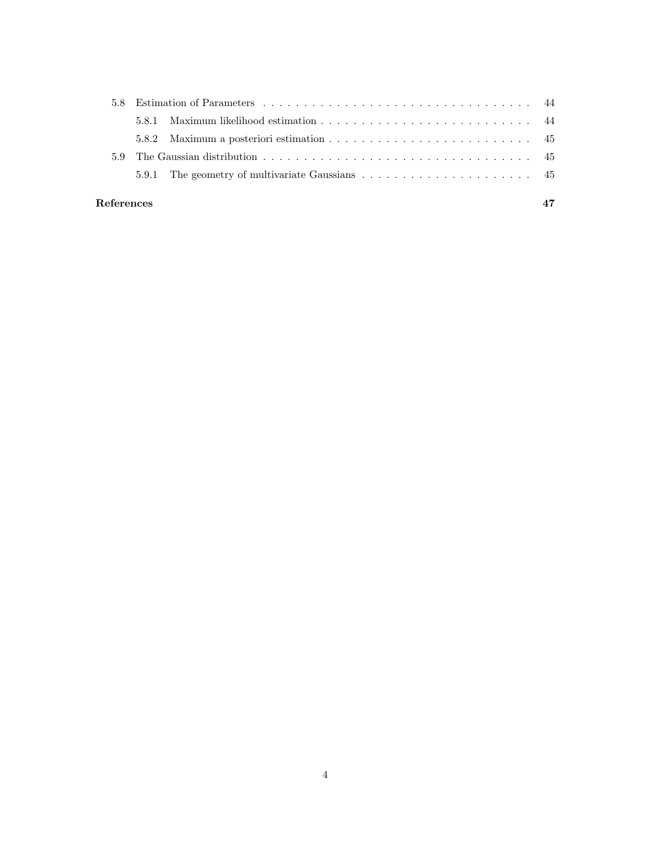| 5.9        |  |  |  |  |  |  |
|------------|--|--|--|--|--|--|
|            |  |  |  |  |  |  |
|            |  |  |  |  |  |  |
| References |  |  |  |  |  |  |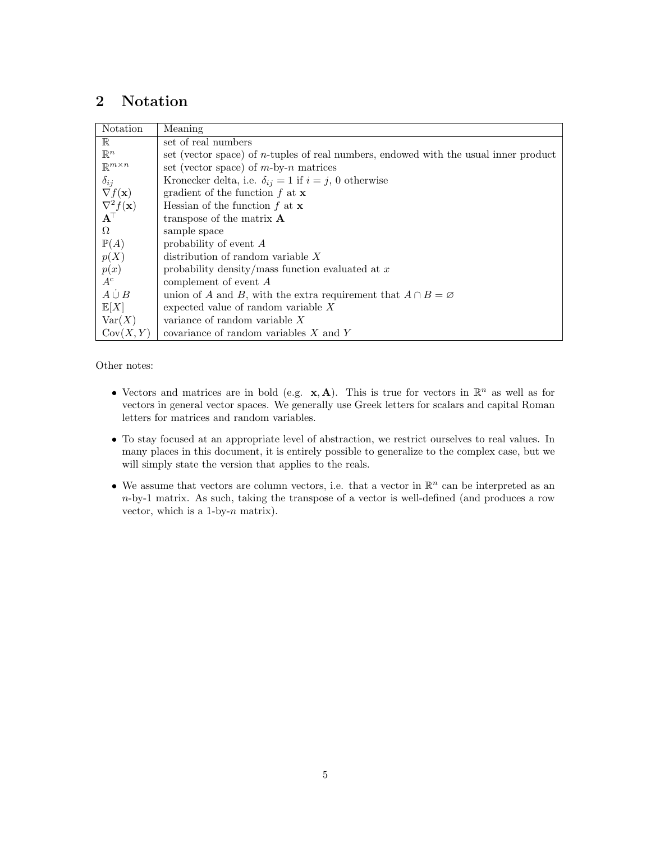# <span id="page-4-0"></span>2 Notation

| Notation                                         | Meaning                                                                                      |
|--------------------------------------------------|----------------------------------------------------------------------------------------------|
| $\mathbb R$                                      | set of real numbers                                                                          |
| $\mathbb{R}^n$                                   | set (vector space) of <i>n</i> -tuples of real numbers, endowed with the usual inner product |
| $\mathbb{R}^{m \times n}$                        | set (vector space) of $m$ -by- $n$ matrices                                                  |
| $\delta_{ij}$                                    | Kronecker delta, i.e. $\delta_{ij} = 1$ if $i = j$ , 0 otherwise                             |
| $\nabla f(\mathbf{x})$                           | gradient of the function $f$ at $x$                                                          |
| $\frac{\nabla^2 f(\mathbf{x})}{\mathbf{A}^\top}$ | Hessian of the function $f$ at $x$                                                           |
|                                                  | transpose of the matrix $\bf{A}$                                                             |
| $\Omega$                                         | sample space                                                                                 |
| $\mathbb{P}(A)$                                  | probability of event $A$                                                                     |
| p(X)                                             | distribution of random variable $X$                                                          |
| p(x)                                             | probability density/mass function evaluated at $x$                                           |
| $A^c$                                            | complement of event $A$                                                                      |
| $A \cup B$                                       | union of A and B, with the extra requirement that $A \cap B = \emptyset$                     |
| $\mathbb{E}[X]$                                  | expected value of random variable $X$                                                        |
| Var(X)                                           | variance of random variable $X$                                                              |
| Cov(X, Y)                                        | covariance of random variables $X$ and Y                                                     |

Other notes:

- Vectors and matrices are in bold (e.g.  $\mathbf{x}, \mathbf{A}$ ). This is true for vectors in  $\mathbb{R}^n$  as well as for vectors in general vector spaces. We generally use Greek letters for scalars and capital Roman letters for matrices and random variables.
- To stay focused at an appropriate level of abstraction, we restrict ourselves to real values. In many places in this document, it is entirely possible to generalize to the complex case, but we will simply state the version that applies to the reals.
- We assume that vectors are column vectors, i.e. that a vector in  $\mathbb{R}^n$  can be interpreted as an n-by-1 matrix. As such, taking the transpose of a vector is well-defined (and produces a row vector, which is a  $1$ -by- $n$  matrix).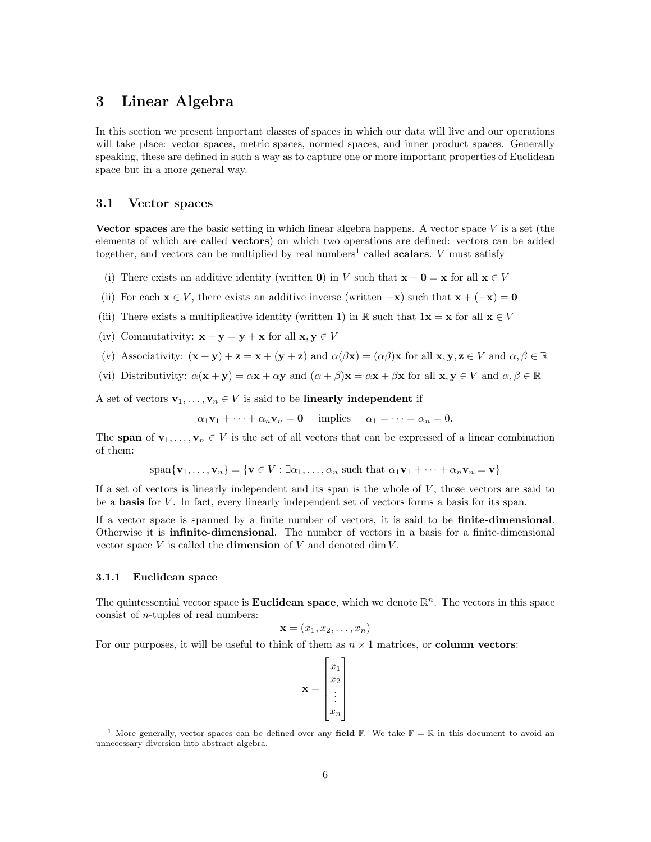# <span id="page-5-0"></span>3 Linear Algebra

In this section we present important classes of spaces in which our data will live and our operations will take place: vector spaces, metric spaces, normed spaces, and inner product spaces. Generally speaking, these are defined in such a way as to capture one or more important properties of Euclidean space but in a more general way.

# <span id="page-5-1"></span>3.1 Vector spaces

Vector spaces are the basic setting in which linear algebra happens. A vector space  $V$  is a set (the elements of which are called vectors) on which two operations are defined: vectors can be added together, and vectors can be multiplied by real numbers<sup>[1](#page-5-3)</sup> called **scalars**. V must satisfy

- (i) There exists an additive identity (written **0**) in V such that  $\mathbf{x} + \mathbf{0} = \mathbf{x}$  for all  $\mathbf{x} \in V$
- (ii) For each  $\mathbf{x} \in V$ , there exists an additive inverse (written  $-\mathbf{x}$ ) such that  $\mathbf{x} + (-\mathbf{x}) = \mathbf{0}$
- (iii) There exists a multiplicative identity (written 1) in R such that  $1\mathbf{x} = \mathbf{x}$  for all  $\mathbf{x} \in V$
- (iv) Commutativity:  $\mathbf{x} + \mathbf{y} = \mathbf{y} + \mathbf{x}$  for all  $\mathbf{x}, \mathbf{y} \in V$
- (v) Associativity:  $(\mathbf{x} + \mathbf{y}) + \mathbf{z} = \mathbf{x} + (\mathbf{y} + \mathbf{z})$  and  $\alpha(\beta \mathbf{x}) = (\alpha \beta) \mathbf{x}$  for all  $\mathbf{x}, \mathbf{y}, \mathbf{z} \in V$  and  $\alpha, \beta \in \mathbb{R}$
- (vi) Distributivity:  $\alpha(\mathbf{x} + \mathbf{y}) = \alpha \mathbf{x} + \alpha \mathbf{y}$  and  $(\alpha + \beta) \mathbf{x} = \alpha \mathbf{x} + \beta \mathbf{x}$  for all  $\mathbf{x}, \mathbf{y} \in V$  and  $\alpha, \beta \in \mathbb{R}$

A set of vectors  $\mathbf{v}_1, \ldots, \mathbf{v}_n \in V$  is said to be **linearly independent** if

 $\alpha_1\mathbf{v}_1 + \cdots + \alpha_n\mathbf{v}_n = \mathbf{0}$  implies  $\alpha_1 = \cdots = \alpha_n = 0$ .

The span of  $\mathbf{v}_1, \ldots, \mathbf{v}_n \in V$  is the set of all vectors that can be expressed of a linear combination of them:

$$
span{\mathbf{v}_1,\ldots,\mathbf{v}_n} = {\mathbf{v} \in V : \exists \alpha_1,\ldots,\alpha_n \text{ such that } \alpha_1 \mathbf{v}_1 + \cdots + \alpha_n \mathbf{v}_n = \mathbf{v}}
$$

If a set of vectors is linearly independent and its span is the whole of  $V$ , those vectors are said to be a **basis** for V. In fact, every linearly independent set of vectors forms a basis for its span.

If a vector space is spanned by a finite number of vectors, it is said to be finite-dimensional. Otherwise it is infinite-dimensional. The number of vectors in a basis for a finite-dimensional vector space  $V$  is called the **dimension** of  $V$  and denoted dim  $V$ .

### <span id="page-5-2"></span>3.1.1 Euclidean space

The quintessential vector space is **Euclidean space**, which we denote  $\mathbb{R}^n$ . The vectors in this space consist of n-tuples of real numbers:

$$
\mathbf{x} = (x_1, x_2, \dots, x_n)
$$

For our purposes, it will be useful to think of them as  $n \times 1$  matrices, or **column vectors:** 

 $\mathbf{x} =$  $\lceil$   $\overline{x}_1$  $\overline{x_2}$ . . .  $\bar{x}_n$ 1 

<span id="page-5-3"></span><sup>&</sup>lt;sup>1</sup> More generally, vector spaces can be defined over any field  $\mathbb{F}$ . We take  $\mathbb{F} = \mathbb{R}$  in this document to avoid an unnecessary diversion into abstract algebra.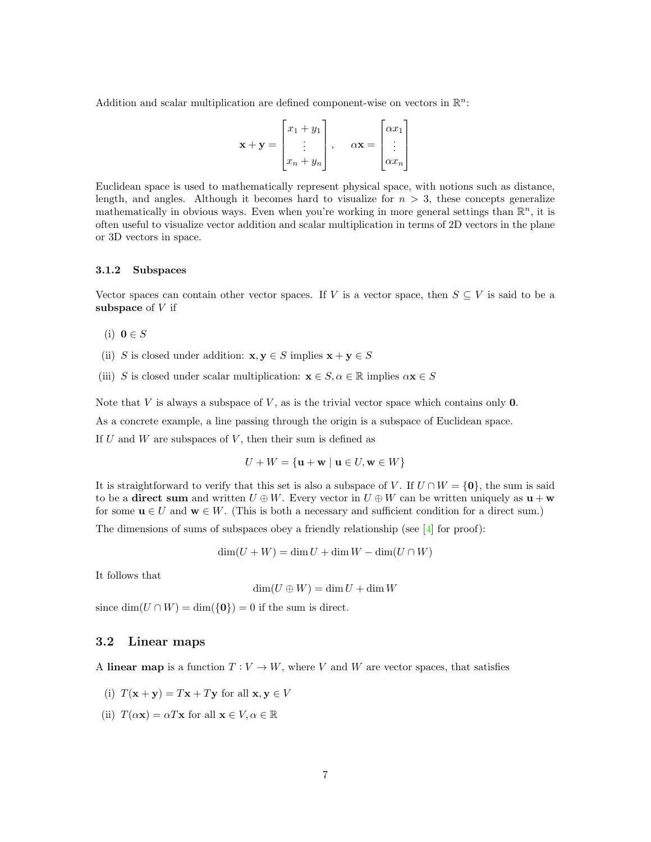Addition and scalar multiplication are defined component-wise on vectors in  $\mathbb{R}^n$ :

$$
\mathbf{x} + \mathbf{y} = \begin{bmatrix} x_1 + y_1 \\ \vdots \\ x_n + y_n \end{bmatrix}, \quad \alpha \mathbf{x} = \begin{bmatrix} \alpha x_1 \\ \vdots \\ \alpha x_n \end{bmatrix}
$$

Euclidean space is used to mathematically represent physical space, with notions such as distance, length, and angles. Although it becomes hard to visualize for  $n > 3$ , these concepts generalize mathematically in obvious ways. Even when you're working in more general settings than  $\mathbb{R}^n$ , it is often useful to visualize vector addition and scalar multiplication in terms of 2D vectors in the plane or 3D vectors in space.

### <span id="page-6-0"></span>3.1.2 Subspaces

Vector spaces can contain other vector spaces. If V is a vector space, then  $S \subseteq V$  is said to be a subspace of  $V$  if

- (i)  $\mathbf{0} \in S$
- (ii) S is closed under addition:  $\mathbf{x}, \mathbf{y} \in S$  implies  $\mathbf{x} + \mathbf{y} \in S$
- (iii) S is closed under scalar multiplication:  $\mathbf{x} \in S$ ,  $\alpha \in \mathbb{R}$  implies  $\alpha \mathbf{x} \in S$

Note that  $V$  is always a subspace of  $V$ , as is the trivial vector space which contains only  $0$ .

As a concrete example, a line passing through the origin is a subspace of Euclidean space.

If  $U$  and  $W$  are subspaces of  $V$ , then their sum is defined as

$$
U + W = \{ \mathbf{u} + \mathbf{w} \mid \mathbf{u} \in U, \mathbf{w} \in W \}
$$

It is straightforward to verify that this set is also a subspace of V. If  $U \cap W = \{0\}$ , the sum is said to be a **direct sum** and written  $U \oplus W$ . Every vector in  $U \oplus W$  can be written uniquely as  $\mathbf{u} + \mathbf{w}$ for some  $u \in U$  and  $w \in W$ . (This is both a necessary and sufficient condition for a direct sum.)

The dimensions of sums of subspaces obey a friendly relationship (see  $\boxed{4}$  for proof):

$$
\dim(U + W) = \dim U + \dim W - \dim(U \cap W)
$$

It follows that

$$
\dim(U \oplus W) = \dim U + \dim W
$$

since  $\dim(U \cap W) = \dim({\{0\}}) = 0$  if the sum is direct.

# <span id="page-6-1"></span>3.2 Linear maps

A linear map is a function  $T: V \to W$ , where V and W are vector spaces, that satisfies

- (i)  $T(\mathbf{x} + \mathbf{y}) = T\mathbf{x} + T\mathbf{y}$  for all  $\mathbf{x}, \mathbf{y} \in V$
- (ii)  $T(\alpha \mathbf{x}) = \alpha T \mathbf{x}$  for all  $\mathbf{x} \in V, \alpha \in \mathbb{R}$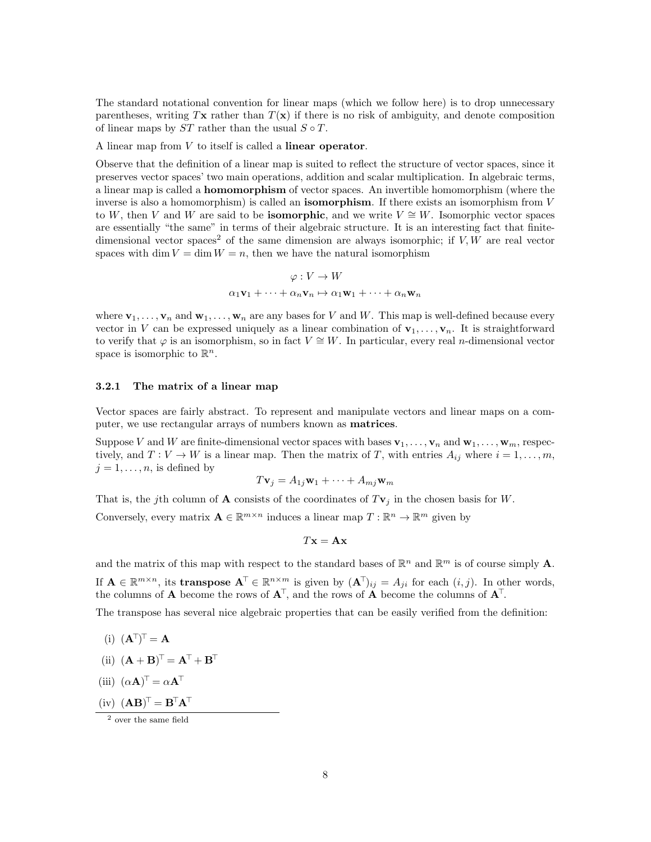The standard notational convention for linear maps (which we follow here) is to drop unnecessary parentheses, writing Tx rather than  $T(x)$  if there is no risk of ambiguity, and denote composition of linear maps by  $ST$  rather than the usual  $S \circ T$ .

A linear map from V to itself is called a linear operator.

Observe that the definition of a linear map is suited to reflect the structure of vector spaces, since it preserves vector spaces' two main operations, addition and scalar multiplication. In algebraic terms, a linear map is called a homomorphism of vector spaces. An invertible homomorphism (where the inverse is also a homomorphism) is called an **isomorphism**. If there exists an isomorphism from  $V$ to W, then V and W are said to be **isomorphic**, and we write  $V \cong W$ . Isomorphic vector spaces are essentially "the same" in terms of their algebraic structure. It is an interesting fact that finite-dimensional vector spaces<sup>[2](#page-7-1)</sup> of the same dimension are always isomorphic; if  $V, W$  are real vector spaces with dim  $V = \dim W = n$ , then we have the natural isomorphism

$$
\varphi: V \to W
$$

$$
\alpha_1 \mathbf{v}_1 + \dots + \alpha_n \mathbf{v}_n \mapsto \alpha_1 \mathbf{w}_1 + \dots + \alpha_n \mathbf{w}_n
$$

where  $\mathbf{v}_1, \ldots, \mathbf{v}_n$  and  $\mathbf{w}_1, \ldots, \mathbf{w}_n$  are any bases for V and W. This map is well-defined because every vector in V can be expressed uniquely as a linear combination of  $\mathbf{v}_1, \ldots, \mathbf{v}_n$ . It is straightforward to verify that  $\varphi$  is an isomorphism, so in fact  $V \cong W$ . In particular, every real *n*-dimensional vector space is isomorphic to  $\mathbb{R}^n$ .

#### <span id="page-7-0"></span>3.2.1 The matrix of a linear map

Vector spaces are fairly abstract. To represent and manipulate vectors and linear maps on a computer, we use rectangular arrays of numbers known as **matrices**.

Suppose V and W are finite-dimensional vector spaces with bases  $\mathbf{v}_1, \ldots, \mathbf{v}_n$  and  $\mathbf{w}_1, \ldots, \mathbf{w}_m$ , respectively, and  $T: V \to W$  is a linear map. Then the matrix of T, with entries  $A_{ij}$  where  $i = 1, \ldots, m$ ,  $j = 1, \ldots, n$ , is defined by

$$
T\mathbf{v}_j = A_{1j}\mathbf{w}_1 + \dots + A_{mj}\mathbf{w}_m
$$

That is, the jth column of **A** consists of the coordinates of  $T\mathbf{v}_j$  in the chosen basis for W. Conversely, every matrix  $\mathbf{A} \in \mathbb{R}^{m \times n}$  induces a linear map  $T : \mathbb{R}^n \to \mathbb{R}^m$  given by

$$
T\mathbf{x} = \mathbf{A}\mathbf{x}
$$

and the matrix of this map with respect to the standard bases of  $\mathbb{R}^n$  and  $\mathbb{R}^m$  is of course simply **A**. If  $\mathbf{A} \in \mathbb{R}^{m \times n}$ , its **transpose**  $\mathbf{A}^{\top} \in \mathbb{R}^{n \times m}$  is given by  $(\mathbf{A}^{\top})_{ij} = A_{ji}$  for each  $(i, j)$ . In other words, the columns of **A** become the rows of  $A^T$ , and the rows of **A** become the columns of  $A^T$ .

The transpose has several nice algebraic properties that can be easily verified from the definition:

- $(i)$   $(\mathbf{A}^{\top})^{\top} = \mathbf{A}$
- (ii)  $(\mathbf{A} + \mathbf{B})^{\top} = \mathbf{A}^{\top} + \mathbf{B}^{\top}$
- (iii)  $(\alpha \mathbf{A})^{\top} = \alpha \mathbf{A}^{\top}$
- $(iv)$   $(AB)^{T} = B^{T}A^{T}$

<span id="page-7-1"></span> $\frac{2}{2}$  over the same field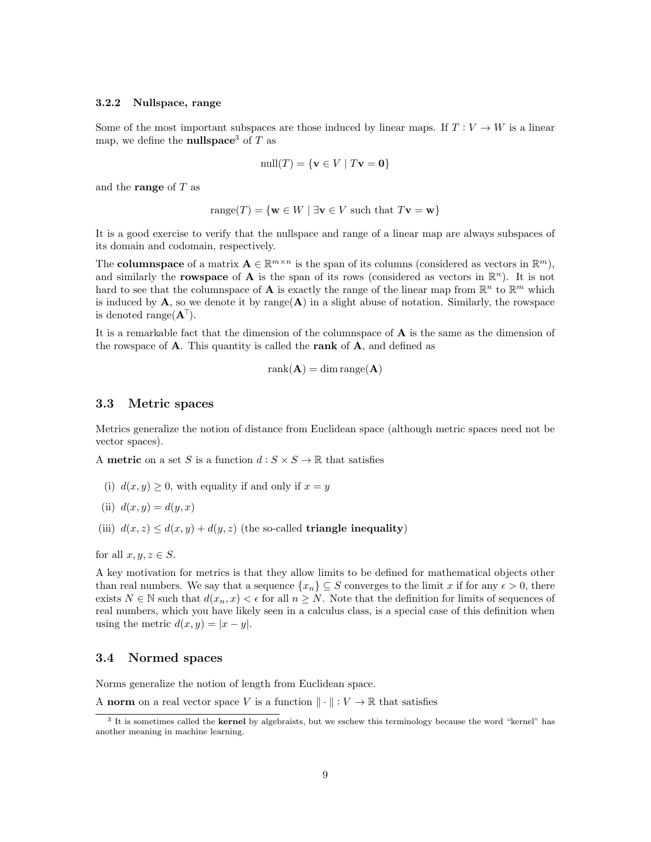#### <span id="page-8-0"></span>3.2.2 Nullspace, range

Some of the most important subspaces are those induced by linear maps. If  $T: V \to W$  is a linear map, we define the **nullspace**<sup>[3](#page-8-3)</sup> of T as

$$
\text{null}(T) = \{ \mathbf{v} \in V \mid T\mathbf{v} = \mathbf{0} \}
$$

and the **range** of  $T$  as

$$
range(T) = \{ \mathbf{w} \in W \mid \exists \mathbf{v} \in V \text{ such that } T\mathbf{v} = \mathbf{w} \}
$$

It is a good exercise to verify that the nullspace and range of a linear map are always subspaces of its domain and codomain, respectively.

The **columnspace** of a matrix  $\mathbf{A} \in \mathbb{R}^{m \times n}$  is the span of its columns (considered as vectors in  $\mathbb{R}^m$ ), and similarly the **rowspace** of **A** is the span of its rows (considered as vectors in  $\mathbb{R}^n$ ). It is not hard to see that the columnspace of **A** is exactly the range of the linear map from  $\mathbb{R}^n$  to  $\mathbb{R}^m$  which is induced by  $\mathbf{A}$ , so we denote it by range( $\mathbf{A}$ ) in a slight abuse of notation. Similarly, the rowspace is denoted range $(\mathbf{A}^{\dagger})$ .

It is a remarkable fact that the dimension of the columnspace of  $A$  is the same as the dimension of the rowspace of  $A$ . This quantity is called the rank of  $A$ , and defined as

$$
rank(\mathbf{A}) = dim range(\mathbf{A})
$$

### <span id="page-8-1"></span>3.3 Metric spaces

Metrics generalize the notion of distance from Euclidean space (although metric spaces need not be vector spaces).

A metric on a set S is a function  $d : S \times S \to \mathbb{R}$  that satisfies

(i)  $d(x, y) \geq 0$ , with equality if and only if  $x = y$ 

(ii) 
$$
d(x, y) = d(y, x)
$$

(iii)  $d(x, z) \leq d(x, y) + d(y, z)$  (the so-called **triangle inequality**)

for all  $x, y, z \in S$ .

A key motivation for metrics is that they allow limits to be defined for mathematical objects other than real numbers. We say that a sequence  $\{x_n\} \subseteq S$  converges to the limit x if for any  $\epsilon > 0$ , there exists  $N \in \mathbb{N}$  such that  $d(x_n, x) < \epsilon$  for all  $n \geq N$ . Note that the definition for limits of sequences of real numbers, which you have likely seen in a calculus class, is a special case of this definition when using the metric  $d(x, y) = |x - y|$ .

## <span id="page-8-2"></span>3.4 Normed spaces

Norms generalize the notion of length from Euclidean space.

A norm on a real vector space V is a function  $\|\cdot\| : V \to \mathbb{R}$  that satisfies

<span id="page-8-3"></span><sup>&</sup>lt;sup>3</sup> It is sometimes called the kernel by algebraists, but we eschew this terminology because the word "kernel" has another meaning in machine learning.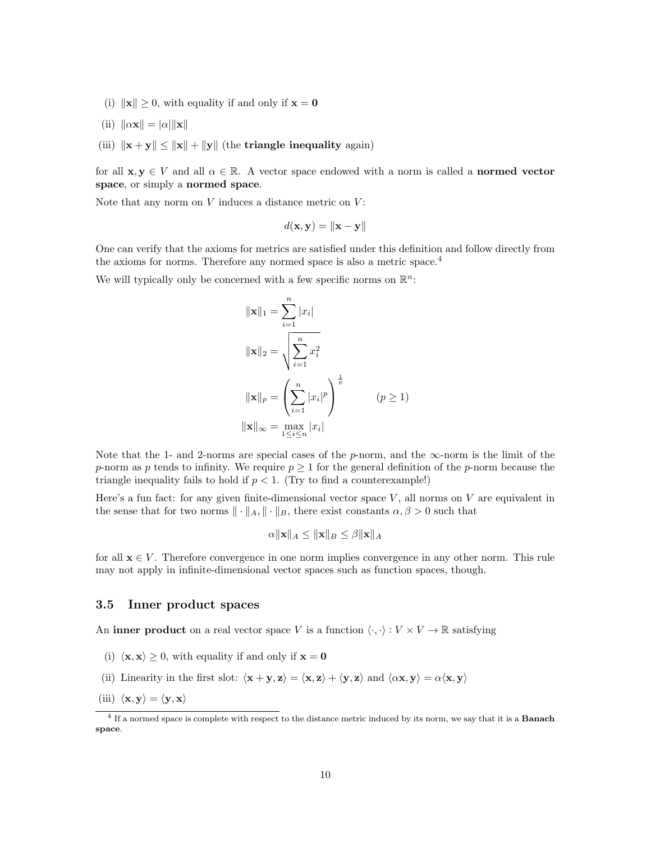- (i)  $\|\mathbf{x}\| \geq 0$ , with equality if and only if  $\mathbf{x} = \mathbf{0}$
- (ii)  $\|\alpha \mathbf{x}\| = |\alpha| \|\mathbf{x}\|$
- (iii)  $\|\mathbf{x} + \mathbf{y}\| \le \|\mathbf{x}\| + \|\mathbf{y}\|$  (the triangle inequality again)

for all  $\mathbf{x}, \mathbf{y} \in V$  and all  $\alpha \in \mathbb{R}$ . A vector space endowed with a norm is called a **normed vector** space, or simply a normed space.

Note that any norm on  $V$  induces a distance metric on  $V$ :

$$
d(\mathbf{x}, \mathbf{y}) = \|\mathbf{x} - \mathbf{y}\|
$$

One can verify that the axioms for metrics are satisfied under this definition and follow directly from the axioms for norms. Therefore any normed space is also a metric space.[4](#page-9-1)

We will typically only be concerned with a few specific norms on  $\mathbb{R}^n$ :

$$
\|\mathbf{x}\|_{1} = \sum_{i=1}^{n} |x_{i}|
$$
  

$$
\|\mathbf{x}\|_{2} = \sqrt{\sum_{i=1}^{n} x_{i}^{2}}
$$
  

$$
\|\mathbf{x}\|_{p} = \left(\sum_{i=1}^{n} |x_{i}|^{p}\right)^{\frac{1}{p}}
$$
  

$$
\|\mathbf{x}\|_{\infty} = \max_{1 \leq i \leq n} |x_{i}|
$$
  
(p \geq 1)

Note that the 1- and 2-norms are special cases of the p-norm, and the  $\infty$ -norm is the limit of the p-norm as p tends to infinity. We require  $p \geq 1$  for the general definition of the p-norm because the triangle inequality fails to hold if  $p < 1$ . (Try to find a counterexample!)

Here's a fun fact: for any given finite-dimensional vector space  $V$ , all norms on  $V$  are equivalent in the sense that for two norms  $\|\cdot\|_A, \|\cdot\|_B$ , there exist constants  $\alpha, \beta > 0$  such that

$$
\alpha \|\mathbf{x}\|_A \le \|\mathbf{x}\|_B \le \beta \|\mathbf{x}\|_A
$$

for all  $\mathbf{x} \in V$ . Therefore convergence in one norm implies convergence in any other norm. This rule may not apply in infinite-dimensional vector spaces such as function spaces, though.

### <span id="page-9-0"></span>3.5 Inner product spaces

An inner product on a real vector space V is a function  $\langle \cdot, \cdot \rangle : V \times V \to \mathbb{R}$  satisfying

- (i)  $\langle \mathbf{x}, \mathbf{x} \rangle \geq 0$ , with equality if and only if  $\mathbf{x} = \mathbf{0}$
- (ii) Linearity in the first slot:  $\langle \mathbf{x} + \mathbf{y}, \mathbf{z} \rangle = \langle \mathbf{x}, \mathbf{z} \rangle + \langle \mathbf{y}, \mathbf{z} \rangle$  and  $\langle \alpha \mathbf{x}, \mathbf{y} \rangle = \alpha \langle \mathbf{x}, \mathbf{y} \rangle$
- (iii)  $\langle \mathbf{x}, \mathbf{y} \rangle = \langle \mathbf{y}, \mathbf{x} \rangle$

<span id="page-9-1"></span><sup>&</sup>lt;sup>4</sup> If a normed space is complete with respect to the distance metric induced by its norm, we say that it is a **Banach** space.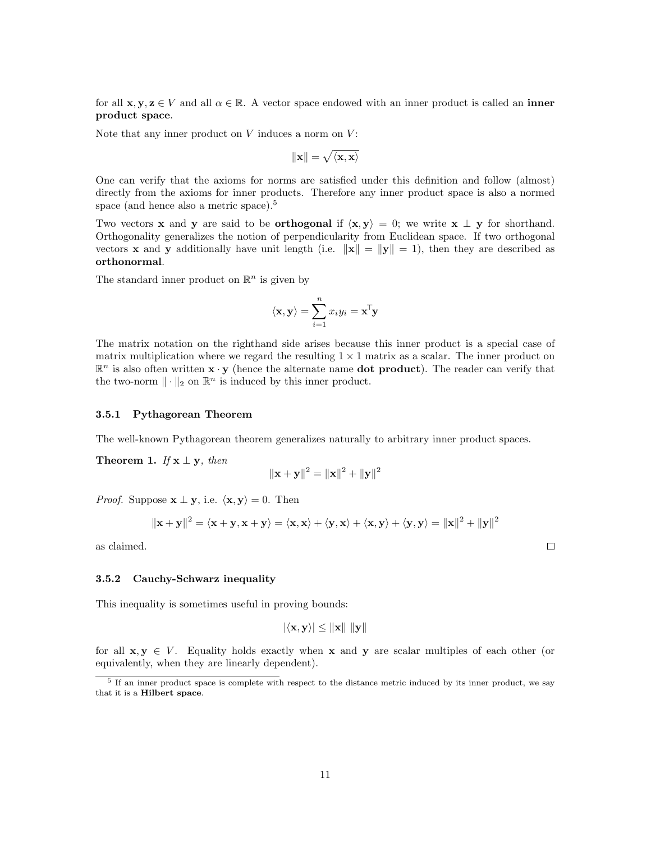for all  $x, y, z \in V$  and all  $\alpha \in \mathbb{R}$ . A vector space endowed with an inner product is called an inner product space.

Note that any inner product on  $V$  induces a norm on  $V$ :

$$
\|\mathbf{x}\| = \sqrt{\langle \mathbf{x}, \mathbf{x} \rangle}
$$

One can verify that the axioms for norms are satisfied under this definition and follow (almost) directly from the axioms for inner products. Therefore any inner product space is also a normed space (and hence also a metric space).<sup>[5](#page-10-2)</sup>

Two vectors **x** and **y** are said to be **orthogonal** if  $\langle x, y \rangle = 0$ ; we write **x**  $\perp$  **y** for shorthand. Orthogonality generalizes the notion of perpendicularity from Euclidean space. If two orthogonal vectors **x** and **y** additionally have unit length (i.e.  $\|\mathbf{x}\| = \|\mathbf{y}\| = 1$ ), then they are described as orthonormal.

The standard inner product on  $\mathbb{R}^n$  is given by

$$
\langle \mathbf{x}, \mathbf{y} \rangle = \sum_{i=1}^{n} x_i y_i = \mathbf{x}^{\mathsf{T}} \mathbf{y}
$$

The matrix notation on the righthand side arises because this inner product is a special case of matrix multiplication where we regard the resulting  $1 \times 1$  matrix as a scalar. The inner product on  $\mathbb{R}^n$  is also often written  $\mathbf{x} \cdot \mathbf{y}$  (hence the alternate name **dot product**). The reader can verify that the two-norm  $\|\cdot\|_2$  on  $\mathbb{R}^n$  is induced by this inner product.

### <span id="page-10-0"></span>3.5.1 Pythagorean Theorem

The well-known Pythagorean theorem generalizes naturally to arbitrary inner product spaces.

Theorem 1. If  $x \perp y$ , then

$$
\|\mathbf{x}+\mathbf{y}\|^2=\|\mathbf{x}\|^2+\|\mathbf{y}\|^2
$$

*Proof.* Suppose  $\mathbf{x} \perp \mathbf{y}$ , i.e.  $\langle \mathbf{x}, \mathbf{y} \rangle = 0$ . Then

$$
\|\mathbf{x} + \mathbf{y}\|^2 = \langle \mathbf{x} + \mathbf{y}, \mathbf{x} + \mathbf{y} \rangle = \langle \mathbf{x}, \mathbf{x} \rangle + \langle \mathbf{y}, \mathbf{x} \rangle + \langle \mathbf{x}, \mathbf{y} \rangle + \langle \mathbf{y}, \mathbf{y} \rangle = \|\mathbf{x}\|^2 + \|\mathbf{y}\|^2
$$

as claimed.

### <span id="page-10-1"></span>3.5.2 Cauchy-Schwarz inequality

This inequality is sometimes useful in proving bounds:

$$
|\langle \mathbf{x}, \mathbf{y} \rangle| \leq \|\mathbf{x}\| \|\mathbf{y}\|
$$

for all  $x, y \in V$ . Equality holds exactly when x and y are scalar multiples of each other (or equivalently, when they are linearly dependent).

<span id="page-10-2"></span><sup>&</sup>lt;sup>5</sup> If an inner product space is complete with respect to the distance metric induced by its inner product, we say that it is a Hilbert space.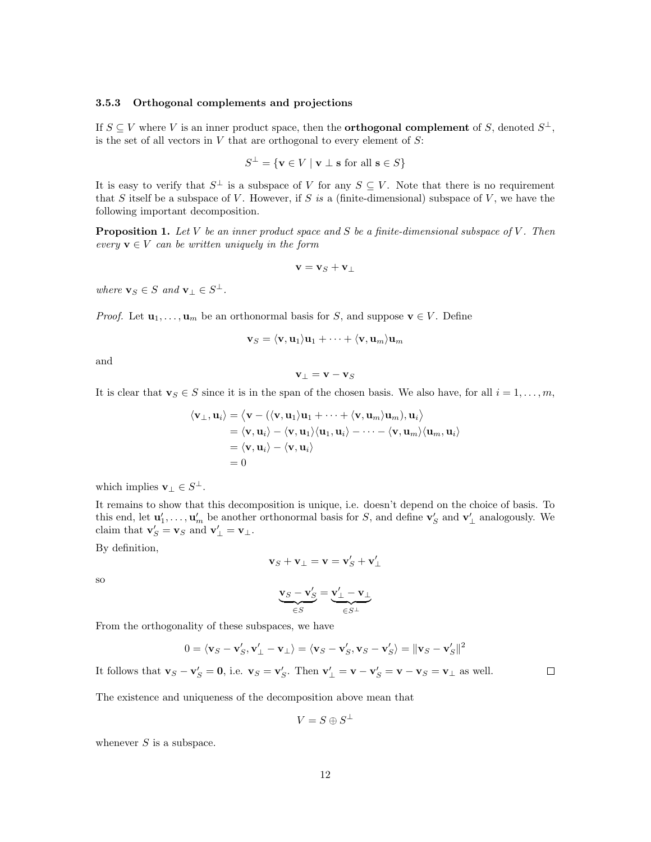### <span id="page-11-0"></span>3.5.3 Orthogonal complements and projections

If  $S \subseteq V$  where V is an inner product space, then the **orthogonal complement** of S, denoted  $S^{\perp}$ , is the set of all vectors in  $V$  that are orthogonal to every element of  $S$ :

$$
S^{\perp} = \{ \mathbf{v} \in V \mid \mathbf{v} \perp \mathbf{s} \text{ for all } \mathbf{s} \in S \}
$$

It is easy to verify that  $S^{\perp}$  is a subspace of V for any  $S \subseteq V$ . Note that there is no requirement that S itself be a subspace of V. However, if S is a (finite-dimensional) subspace of V, we have the following important decomposition.

**Proposition 1.** Let V be an inner product space and S be a finite-dimensional subspace of V. Then every  $\mathbf{v} \in V$  can be written uniquely in the form

$$
\mathbf{v}=\mathbf{v}_S+\mathbf{v}_\perp
$$

where  $\mathbf{v}_S \in S$  and  $\mathbf{v}_\perp \in S^\perp$ .

*Proof.* Let  $\mathbf{u}_1, \ldots, \mathbf{u}_m$  be an orthonormal basis for S, and suppose  $\mathbf{v} \in V$ . Define

$$
\mathbf{v}_S = \langle \mathbf{v}, \mathbf{u}_1 \rangle \mathbf{u}_1 + \dots + \langle \mathbf{v}, \mathbf{u}_m \rangle \mathbf{u}_m
$$

and

$$
\mathbf{v}_{\perp} = \mathbf{v} - \mathbf{v}_{S}
$$

It is clear that  $\mathbf{v}_S \in S$  since it is in the span of the chosen basis. We also have, for all  $i = 1, \ldots, m$ ,

$$
\langle \mathbf{v}_{\perp}, \mathbf{u}_{i} \rangle = \langle \mathbf{v} - (\langle \mathbf{v}, \mathbf{u}_{1} \rangle \mathbf{u}_{1} + \cdots + \langle \mathbf{v}, \mathbf{u}_{m} \rangle \mathbf{u}_{m}), \mathbf{u}_{i} \rangle
$$
  
=  $\langle \mathbf{v}, \mathbf{u}_{i} \rangle - \langle \mathbf{v}, \mathbf{u}_{1} \rangle \langle \mathbf{u}_{1}, \mathbf{u}_{i} \rangle - \cdots - \langle \mathbf{v}, \mathbf{u}_{m} \rangle \langle \mathbf{u}_{m}, \mathbf{u}_{i} \rangle$   
=  $\langle \mathbf{v}, \mathbf{u}_{i} \rangle - \langle \mathbf{v}, \mathbf{u}_{i} \rangle$   
= 0

which implies  $\mathbf{v}_\perp \in S^\perp$ .

It remains to show that this decomposition is unique, i.e. doesn't depend on the choice of basis. To this end, let  $\mathbf{u}'_1, \ldots, \mathbf{u}'_m$  be another orthonormal basis for S, and define  $\mathbf{v}'_S$  and  $\mathbf{v}'_\perp$  analogously. We claim that  $\mathbf{v}'_S = \mathbf{v}_S$  and  $\mathbf{v}'_\perp = \mathbf{v}_\perp$ .

By definition,

$$
\mathbf{v}_S + \mathbf{v}_\perp = \mathbf{v} = \mathbf{v}'_S + \mathbf{v}'_\perp
$$

so

$$
\underbrace{\mathbf{v}_S - \mathbf{v}'_S}_{\in S} = \underbrace{\mathbf{v}'_{\perp} - \mathbf{v}_{\perp}}_{\in S^{\perp}}
$$

From the orthogonality of these subspaces, we have

$$
0 = \langle \mathbf{v}_S - \mathbf{v}'_S, \mathbf{v}'_\perp - \mathbf{v}_\perp \rangle = \langle \mathbf{v}_S - \mathbf{v}'_S, \mathbf{v}_S - \mathbf{v}'_S \rangle = ||\mathbf{v}_S - \mathbf{v}'_S||^2
$$

It follows that  $\mathbf{v}_S - \mathbf{v}'_S = \mathbf{0}$ , i.e.  $\mathbf{v}_S = \mathbf{v}'_S$ . Then  $\mathbf{v}'_\perp = \mathbf{v} - \mathbf{v}'_S = \mathbf{v} - \mathbf{v}_S = \mathbf{v}_\perp$  as well.

The existence and uniqueness of the decomposition above mean that

$$
V=S\oplus S^\perp
$$

whenever  $S$  is a subspace.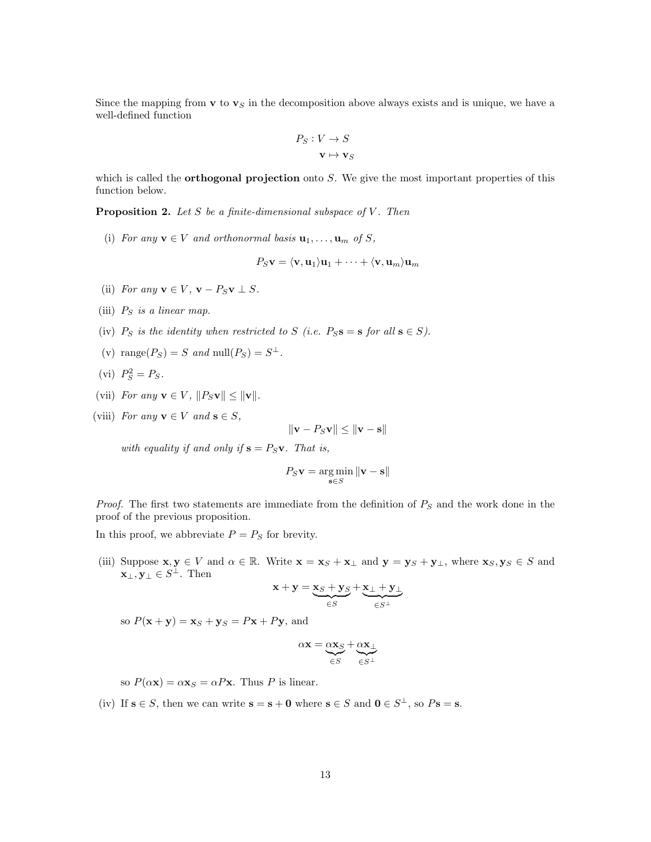Since the mapping from  $\mathbf v$  to  $\mathbf v_S$  in the decomposition above always exists and is unique, we have a well-defined function

$$
P_S: V \to S
$$

$$
\mathbf{v} \mapsto \mathbf{v}_S
$$

which is called the **orthogonal projection** onto  $S$ . We give the most important properties of this function below.

**Proposition 2.** Let  $S$  be a finite-dimensional subspace of  $V$ . Then

(i) For any  $\mathbf{v} \in V$  and orthonormal basis  $\mathbf{u}_1, \ldots, \mathbf{u}_m$  of S,

$$
P_S\mathbf{v}=\langle \mathbf{v},\mathbf{u}_1\rangle\mathbf{u}_1+\cdots+\langle \mathbf{v},\mathbf{u}_m\rangle\mathbf{u}_m
$$

- (ii) For any  $\mathbf{v} \in V$ ,  $\mathbf{v} P_S \mathbf{v} \perp S$ .
- (iii)  $P_S$  is a linear map.
- (iv)  $P_S$  is the identity when restricted to S (i.e.  $P_S$ **s** = **s** for all **s**  $\in$  S).
- (v) range $(P_S) = S$  and null $(P_S) = S^{\perp}$ .
- (vi)  $P_S^2 = P_S$ .
- (vii) For any  $\mathbf{v} \in V$ ,  $||P_S\mathbf{v}|| \le ||\mathbf{v}||$ .
- (viii) For any  $\mathbf{v} \in V$  and  $\mathbf{s} \in S$ ,

$$
\|\mathbf{v} - P_S \mathbf{v}\| \le \|\mathbf{v} - \mathbf{s}\|
$$

with equality if and only if  $s = P_S v$ . That is,

$$
P_S \mathbf{v} = \underset{\mathbf{s} \in S}{\arg \min} \|\mathbf{v} - \mathbf{s}\|
$$

*Proof.* The first two statements are immediate from the definition of  $P<sub>S</sub>$  and the work done in the proof of the previous proposition.

In this proof, we abbreviate  $P = P<sub>S</sub>$  for brevity.

(iii) Suppose  $\mathbf{x}, \mathbf{y} \in V$  and  $\alpha \in \mathbb{R}$ . Write  $\mathbf{x} = \mathbf{x}_S + \mathbf{x}_\perp$  and  $\mathbf{y} = \mathbf{y}_S + \mathbf{y}_\perp$ , where  $\mathbf{x}_S, \mathbf{y}_S \in S$  and  $\mathbf{x}_{\perp}, \mathbf{y}_{\perp} \in S^{\perp}$ . Then

$$
\mathbf{x} + \mathbf{y} = \underbrace{\mathbf{x}_S + \mathbf{y}_S}_{\in S} + \underbrace{\mathbf{x}_\perp + \mathbf{y}_\perp}_{\in S^\perp}
$$

so  $P(\mathbf{x} + \mathbf{y}) = \mathbf{x}_S + \mathbf{y}_S = P\mathbf{x} + P\mathbf{y}$ , and

$$
\alpha \mathbf{x} = \underbrace{\alpha \mathbf{x}_S}_{\in S} + \underbrace{\alpha \mathbf{x}_{\perp}}_{\in S^{\perp}}
$$

so  $P(\alpha x) = \alpha x_S = \alpha P x$ . Thus P is linear.

(iv) If  $s \in S$ , then we can write  $s = s + 0$  where  $s \in S$  and  $0 \in S^{\perp}$ , so  $Ps = s$ .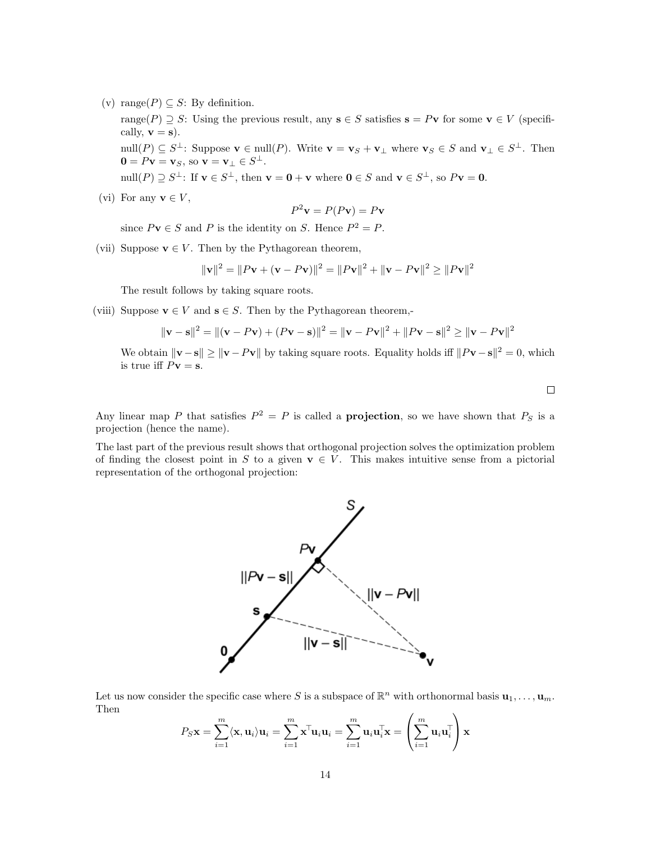(v) range( $P$ )  $\subseteq$  S: By definition.

range(P)  $\supseteq S$ : Using the previous result, any  $s \in S$  satisfies  $s = Pv$  for some  $v \in V$  (specifically,  $\mathbf{v} = \mathbf{s}$ ).

 $\text{null}(P) \subseteq S^{\perp}$ : Suppose  $\mathbf{v} \in \text{null}(P)$ . Write  $\mathbf{v} = \mathbf{v}_S + \mathbf{v}_{\perp}$  where  $\mathbf{v}_S \in S$  and  $\mathbf{v}_{\perp} \in S^{\perp}$ . Then  $\mathbf{0} = P\mathbf{v} = \mathbf{v}_S$ , so  $\mathbf{v} = \mathbf{v}_\perp \in S^\perp$ .

 $\text{null}(P) \supseteq S^{\perp}$ : If  $\mathbf{v} \in S^{\perp}$ , then  $\mathbf{v} = \mathbf{0} + \mathbf{v}$  where  $\mathbf{0} \in S$  and  $\mathbf{v} \in S^{\perp}$ , so  $P\mathbf{v} = \mathbf{0}$ .

(vi) For any  $\mathbf{v} \in V$ ,

$$
P^2 \mathbf{v} = P(P\mathbf{v}) = P\mathbf{v}
$$

since  $P\mathbf{v} \in S$  and P is the identity on S. Hence  $P^2 = P$ .

(vii) Suppose  $\mathbf{v} \in V$ . Then by the Pythagorean theorem,

$$
\|\mathbf{v}\|^2 = \|P\mathbf{v} + (\mathbf{v} - P\mathbf{v})\|^2 = \|P\mathbf{v}\|^2 + \|\mathbf{v} - P\mathbf{v}\|^2 \ge \|P\mathbf{v}\|^2
$$

The result follows by taking square roots.

(viii) Suppose  $\mathbf{v} \in V$  and  $\mathbf{s} \in S$ . Then by the Pythagorean theorem,-

$$
\|\mathbf{v} - \mathbf{s}\|^2 = \|(\mathbf{v} - P\mathbf{v}) + (P\mathbf{v} - \mathbf{s})\|^2 = \|\mathbf{v} - P\mathbf{v}\|^2 + \|P\mathbf{v} - \mathbf{s}\|^2 \ge \|\mathbf{v} - P\mathbf{v}\|^2
$$

We obtain  $\|\mathbf{v}-\mathbf{s}\| \geq \|\mathbf{v}-P\mathbf{v}\|$  by taking square roots. Equality holds iff  $\|P\mathbf{v}-\mathbf{s}\|^2 = 0$ , which is true iff  $P\mathbf{v} = \mathbf{s}$ .

 $\Box$ 

Any linear map P that satisfies  $P^2 = P$  is called a **projection**, so we have shown that  $P_S$  is a projection (hence the name).

The last part of the previous result shows that orthogonal projection solves the optimization problem of finding the closest point in S to a given  $\mathbf{v} \in V$ . This makes intuitive sense from a pictorial representation of the orthogonal projection:



Let us now consider the specific case where S is a subspace of  $\mathbb{R}^n$  with orthonormal basis  $\mathbf{u}_1, \ldots, \mathbf{u}_m$ . Then

$$
P_S \mathbf{x} = \sum_{i=1}^m \langle \mathbf{x}, \mathbf{u}_i \rangle \mathbf{u}_i = \sum_{i=1}^m \mathbf{x}^\top \mathbf{u}_i \mathbf{u}_i = \sum_{i=1}^m \mathbf{u}_i \mathbf{u}_i^\top \mathbf{x} = \left( \sum_{i=1}^m \mathbf{u}_i \mathbf{u}_i^\top \right) \mathbf{x}
$$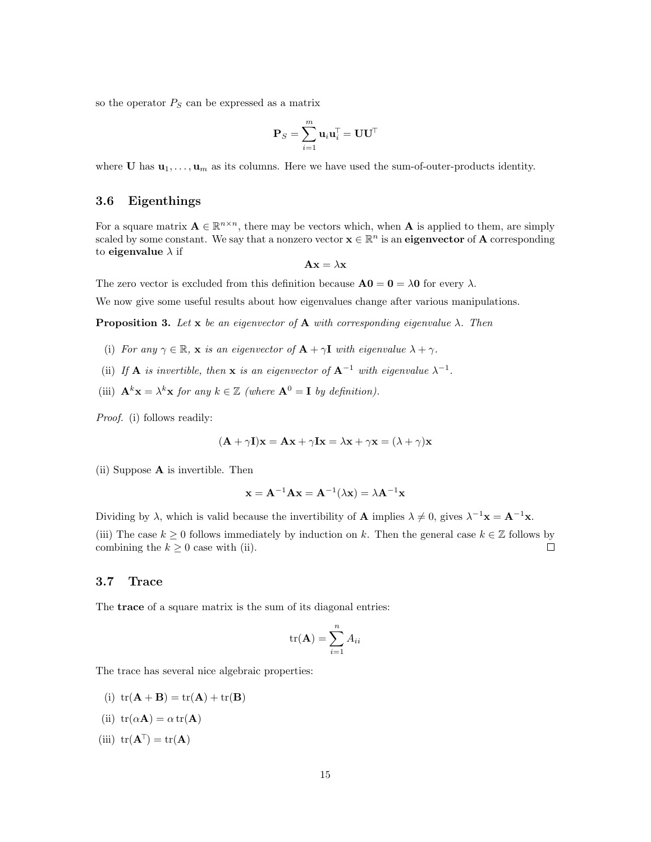so the operator  $P<sub>S</sub>$  can be expressed as a matrix

$$
\mathbf{P}_S = \sum_{i=1}^m \mathbf{u}_i \mathbf{u}_i^\top = \mathbf{U} \mathbf{U}^\top
$$

where **U** has  $\mathbf{u}_1, \ldots, \mathbf{u}_m$  as its columns. Here we have used the sum-of-outer-products identity.

# <span id="page-14-0"></span>3.6 Eigenthings

For a square matrix  $\mathbf{A} \in \mathbb{R}^{n \times n}$ , there may be vectors which, when **A** is applied to them, are simply scaled by some constant. We say that a nonzero vector  $\mathbf{x} \in \mathbb{R}^n$  is an **eigenvector** of **A** corresponding to eigenvalue  $\lambda$  if

$$
\mathbf{A}\mathbf{x} = \lambda \mathbf{x}
$$

The zero vector is excluded from this definition because  $\mathbf{A0} = \mathbf{0} = \lambda \mathbf{0}$  for every  $\lambda$ .

We now give some useful results about how eigenvalues change after various manipulations.

**Proposition 3.** Let x be an eigenvector of A with corresponding eigenvalue  $\lambda$ . Then

- (i) For any  $\gamma \in \mathbb{R}$ , **x** is an eigenvector of  $\mathbf{A} + \gamma \mathbf{I}$  with eigenvalue  $\lambda + \gamma$ .
- (ii) If **A** is invertible, then **x** is an eigenvector of  $A^{-1}$  with eigenvalue  $\lambda^{-1}$ .
- (iii)  $\mathbf{A}^k \mathbf{x} = \lambda^k \mathbf{x}$  for any  $k \in \mathbb{Z}$  (where  $\mathbf{A}^0 = \mathbf{I}$  by definition).

Proof. (i) follows readily:

$$
(\mathbf{A} + \gamma \mathbf{I})\mathbf{x} = \mathbf{A}\mathbf{x} + \gamma \mathbf{I}\mathbf{x} = \lambda \mathbf{x} + \gamma \mathbf{x} = (\lambda + \gamma)\mathbf{x}
$$

(ii) Suppose A is invertible. Then

$$
\mathbf{x} = \mathbf{A}^{-1} \mathbf{A} \mathbf{x} = \mathbf{A}^{-1} (\lambda \mathbf{x}) = \lambda \mathbf{A}^{-1} \mathbf{x}
$$

Dividing by  $\lambda$ , which is valid because the invertibility of **A** implies  $\lambda \neq 0$ , gives  $\lambda^{-1} \mathbf{x} = \mathbf{A}^{-1} \mathbf{x}$ . (iii) The case  $k \geq 0$  follows immediately by induction on k. Then the general case  $k \in \mathbb{Z}$  follows by combining the  $k \geq 0$  case with (ii).  $\Box$ 

### <span id="page-14-1"></span>3.7 Trace

The trace of a square matrix is the sum of its diagonal entries:

$$
\text{tr}(\mathbf{A}) = \sum_{i=1}^{n} A_{ii}
$$

The trace has several nice algebraic properties:

- (i)  $tr(\mathbf{A} + \mathbf{B}) = tr(\mathbf{A}) + tr(\mathbf{B})$
- (ii)  $tr(\alpha \mathbf{A}) = \alpha tr(\mathbf{A})$
- (iii)  $tr(\mathbf{A}^{\top}) = tr(\mathbf{A})$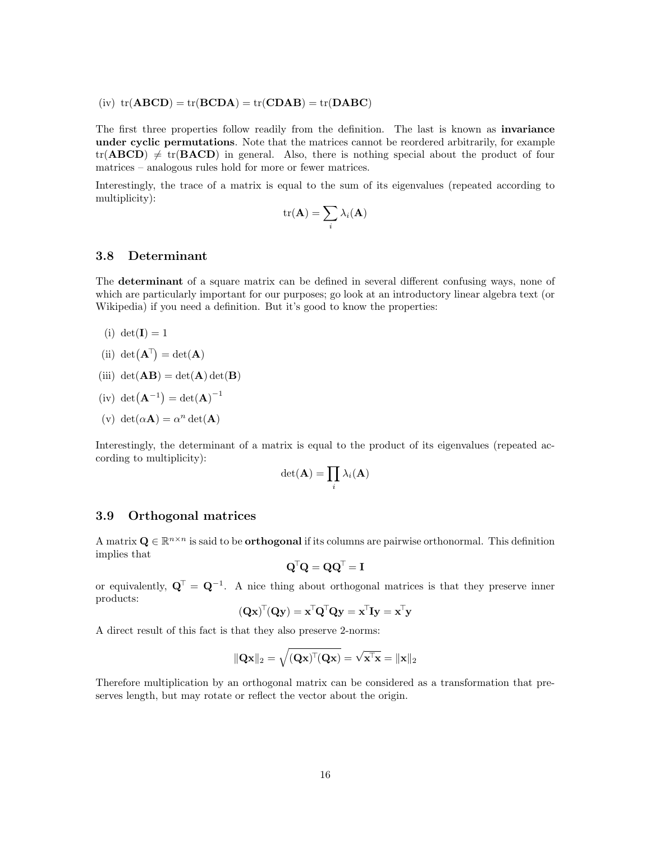(iv)  $tr(ABCD) = tr(BCDA) = tr(CDAB) = tr(DABC)$ 

The first three properties follow readily from the definition. The last is known as **invariance** under cyclic permutations. Note that the matrices cannot be reordered arbitrarily, for example  $tr(ABCD) \neq tr(BACD)$  in general. Also, there is nothing special about the product of four matrices – analogous rules hold for more or fewer matrices.

Interestingly, the trace of a matrix is equal to the sum of its eigenvalues (repeated according to multiplicity):

$$
\mathrm{tr}(\mathbf{A}) = \sum_i \lambda_i(\mathbf{A})
$$

# <span id="page-15-0"></span>3.8 Determinant

The **determinant** of a square matrix can be defined in several different confusing ways, none of which are particularly important for our purposes; go look at an introductory linear algebra text (or Wikipedia) if you need a definition. But it's good to know the properties:

- (i) det( $\mathbf{I}$ ) = 1
- (ii)  $det(\mathbf{A}^{\top}) = det(\mathbf{A})$
- (iii)  $det(AB) = det(A) det(B)$
- $(iv) det(**A**<sup>-1</sup>) = det(**A**)<sup>-1</sup>$
- (v) det( $\alpha \mathbf{A}$ ) =  $\alpha^n$  det( $\mathbf{A}$ )

Interestingly, the determinant of a matrix is equal to the product of its eigenvalues (repeated according to multiplicity):

$$
\det(\mathbf{A}) = \prod_i \lambda_i(\mathbf{A})
$$

# <span id="page-15-1"></span>3.9 Orthogonal matrices

A matrix  $\mathbf{Q} \in \mathbb{R}^{n \times n}$  is said to be **orthogonal** if its columns are pairwise orthonormal. This definition implies that

$$
\mathbf{Q}^\top \mathbf{Q} = \mathbf{Q} \mathbf{Q}^\top = \mathbf{I}
$$

or equivalently,  $\mathbf{Q}^{\top} = \mathbf{Q}^{-1}$ . A nice thing about orthogonal matrices is that they preserve inner products:

$$
(\mathbf{Q}\mathbf{x})^{\mathsf{T}}(\mathbf{Q}\mathbf{y}) = \mathbf{x}^{\mathsf{T}}\mathbf{Q}^{\mathsf{T}}\mathbf{Q}\mathbf{y} = \mathbf{x}^{\mathsf{T}}\mathbf{I}\mathbf{y} = \mathbf{x}^{\mathsf{T}}\mathbf{y}
$$

A direct result of this fact is that they also preserve 2-norms:

$$
\|\mathbf{Q}\mathbf{x}\|_2 = \sqrt{(\mathbf{Q}\mathbf{x})^{\top}(\mathbf{Q}\mathbf{x})} = \sqrt{\mathbf{x}^{\top}\mathbf{x}} = \|\mathbf{x}\|_2
$$

Therefore multiplication by an orthogonal matrix can be considered as a transformation that preserves length, but may rotate or reflect the vector about the origin.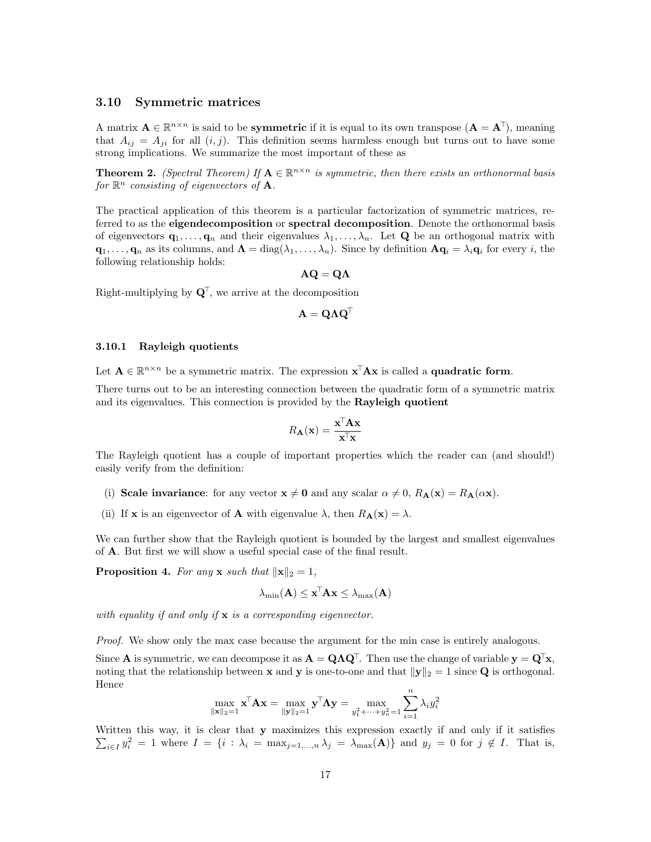# <span id="page-16-0"></span>3.10 Symmetric matrices

A matrix  $\mathbf{A} \in \mathbb{R}^{n \times n}$  is said to be **symmetric** if it is equal to its own transpose  $(\mathbf{A} = \mathbf{A}^{\top})$ , meaning that  $A_{ij} = A_{ji}$  for all  $(i, j)$ . This definition seems harmless enough but turns out to have some strong implications. We summarize the most important of these as

**Theorem 2.** (Spectral Theorem) If  $A \in \mathbb{R}^{n \times n}$  is symmetric, then there exists an orthonormal basis for  $\mathbb{R}^n$  consisting of eigenvectors of **A**.

The practical application of this theorem is a particular factorization of symmetric matrices, referred to as the **eigendecomposition** or **spectral decomposition**. Denote the orthonormal basis of eigenvectors  $\mathbf{q}_1, \ldots, \mathbf{q}_n$  and their eigenvalues  $\lambda_1, \ldots, \lambda_n$ . Let **Q** be an orthogonal matrix with  $\mathbf{q}_1,\ldots,\mathbf{q}_n$  as its columns, and  $\mathbf{\Lambda} = \text{diag}(\lambda_1,\ldots,\lambda_n)$ . Since by definition  $\mathbf{A}\mathbf{q}_i = \lambda_i \mathbf{q}_i$  for every i, the following relationship holds:

 $AQ = Q\Lambda$ 

Right-multiplying by  $\mathbf{Q}^{\mathsf{T}}$ , we arrive at the decomposition

$$
\mathbf{A} = \mathbf{Q} \boldsymbol{\Lambda} \mathbf{Q}^\top
$$

#### <span id="page-16-1"></span>3.10.1 Rayleigh quotients

Let  $A \in \mathbb{R}^{n \times n}$  be a symmetric matrix. The expression  $\mathbf{x}^{\top} A \mathbf{x}$  is called a **quadratic form**.

There turns out to be an interesting connection between the quadratic form of a symmetric matrix and its eigenvalues. This connection is provided by the Rayleigh quotient

$$
R_{\mathbf{A}}(\mathbf{x}) = \frac{\mathbf{x}^{\mathsf{T}} \mathbf{A} \mathbf{x}}{\mathbf{x}^{\mathsf{T}} \mathbf{x}}
$$

The Rayleigh quotient has a couple of important properties which the reader can (and should!) easily verify from the definition:

- (i) Scale invariance: for any vector  $\mathbf{x} \neq \mathbf{0}$  and any scalar  $\alpha \neq 0$ ,  $R_{\mathbf{A}}(\mathbf{x}) = R_{\mathbf{A}}(\alpha \mathbf{x})$ .
- (ii) If **x** is an eigenvector of **A** with eigenvalue  $\lambda$ , then  $R_{\mathbf{A}}(\mathbf{x}) = \lambda$ .

We can further show that the Rayleigh quotient is bounded by the largest and smallest eigenvalues of A. But first we will show a useful special case of the final result.

**Proposition 4.** For any **x** such that  $\|\mathbf{x}\|_2 = 1$ ,

$$
\lambda_{\min}(\mathbf{A}) \leq \mathbf{x}^{\!\top}\!\mathbf{A}\mathbf{x} \leq \lambda_{\max}(\mathbf{A})
$$

with equality if and only if  $x$  is a corresponding eigenvector.

Proof. We show only the max case because the argument for the min case is entirely analogous.

Since **A** is symmetric, we can decompose it as  $\mathbf{A} = \mathbf{Q} \Lambda \mathbf{Q}^{\mathsf{T}}$ . Then use the change of variable  $\mathbf{y} = \mathbf{Q}^{\mathsf{T}} \mathbf{x}$ , noting that the relationship between **x** and **y** is one-to-one and that  $||y||_2 = 1$  since **Q** is orthogonal. Hence

$$
\max_{\|\mathbf{x}\|_2=1} \mathbf{x}^\top \mathbf{A} \mathbf{x} = \max_{\|\mathbf{y}\|_2=1} \mathbf{y}^\top \mathbf{\Lambda} \mathbf{y} = \max_{y_1^2 + \dots + y_n^2 = 1} \sum_{i=1}^n \lambda_i y_i^2
$$

 $\sum_{i\in I} y_i^2 = 1$  where  $I = \{i : \lambda_i = \max_{j=1,\dots,n} \lambda_j = \lambda_{\max}(\mathbf{A})\}\$ and  $y_j = 0$  for  $j \notin I$ . That is, Written this way, it is clear that y maximizes this expression exactly if and only if it satisfies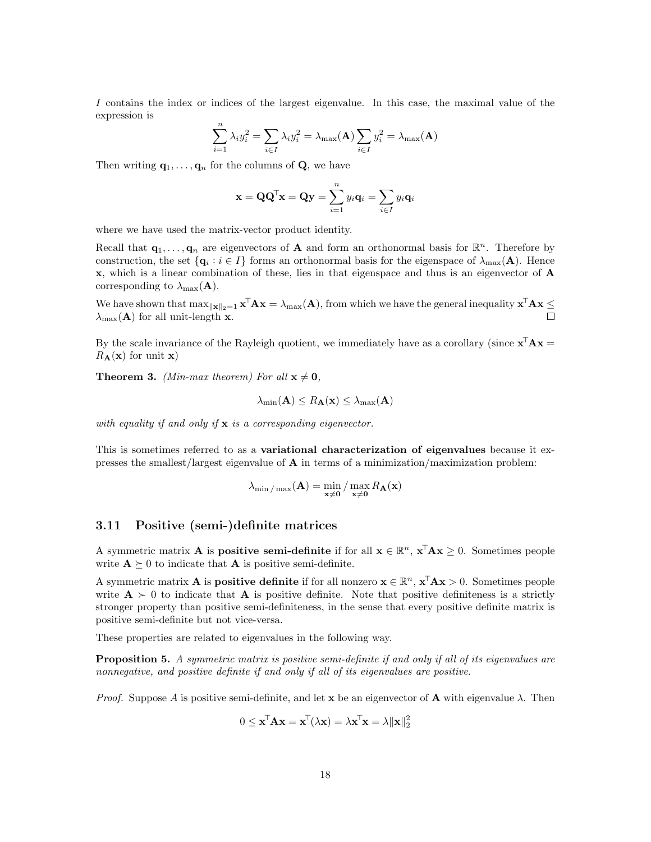I contains the index or indices of the largest eigenvalue. In this case, the maximal value of the expression is

$$
\sum_{i=1}^{n} \lambda_i y_i^2 = \sum_{i \in I} \lambda_i y_i^2 = \lambda_{\max}(\mathbf{A}) \sum_{i \in I} y_i^2 = \lambda_{\max}(\mathbf{A})
$$

Then writing  $\mathbf{q}_1, \ldots, \mathbf{q}_n$  for the columns of **Q**, we have

$$
\mathbf{x} = \mathbf{Q}\mathbf{Q}^{\mathsf{T}}\mathbf{x} = \mathbf{Q}\mathbf{y} = \sum_{i=1}^{n} y_i \mathbf{q}_i = \sum_{i \in I} y_i \mathbf{q}_i
$$

where we have used the matrix-vector product identity.

Recall that  $\mathbf{q}_1,\ldots,\mathbf{q}_n$  are eigenvectors of **A** and form an orthonormal basis for  $\mathbb{R}^n$ . Therefore by construction, the set  $\{q_i : i \in I\}$  forms an orthonormal basis for the eigenspace of  $\lambda_{\max}(A)$ . Hence x, which is a linear combination of these, lies in that eigenspace and thus is an eigenvector of A corresponding to  $\lambda_{\max}(\mathbf{A})$ .

We have shown that  $\max_{\|\mathbf{x}\|_2=1} \mathbf{x}^{\top} \mathbf{A} \mathbf{x} = \lambda_{\max}(\mathbf{A})$ , from which we have the general inequality  $\mathbf{x}^{\top} \mathbf{A} \mathbf{x} \leq$  $\lambda_{\text{max}}(\mathbf{A})$  for all unit-length **x**.  $\Box$ 

By the scale invariance of the Rayleigh quotient, we immediately have as a corollary (since  $\mathbf{x}^{\top} \mathbf{A} \mathbf{x} =$  $R_{\mathbf{A}}(\mathbf{x})$  for unit **x**)

**Theorem 3.** (Min-max theorem) For all  $x \neq 0$ ,

$$
\lambda_{\min}(\mathbf{A}) \leq R_{\mathbf{A}}(\mathbf{x}) \leq \lambda_{\max}(\mathbf{A})
$$

with equality if and only if  $x$  is a corresponding eigenvector.

This is sometimes referred to as a variational characterization of eigenvalues because it expresses the smallest/largest eigenvalue of  $A$  in terms of a minimization/maximization problem:

$$
\lambda_{\min/\max}(\mathbf{A}) = \min_{\mathbf{x}\neq\mathbf{0}} / \max_{\mathbf{x}\neq\mathbf{0}} R_{\mathbf{A}}(\mathbf{x})
$$

# <span id="page-17-0"></span>3.11 Positive (semi-)definite matrices

A symmetric matrix **A** is **positive semi-definite** if for all  $\mathbf{x} \in \mathbb{R}^n$ ,  $\mathbf{x}^{\top} \mathbf{A} \mathbf{x} \geq 0$ . Sometimes people write  $\mathbf{A} \succeq 0$  to indicate that **A** is positive semi-definite.

A symmetric matrix **A** is **positive definite** if for all nonzero  $\mathbf{x} \in \mathbb{R}^n$ ,  $\mathbf{x}^\top \mathbf{A} \mathbf{x} > 0$ . Sometimes people write  $A > 0$  to indicate that A is positive definite. Note that positive definiteness is a strictly stronger property than positive semi-definiteness, in the sense that every positive definite matrix is positive semi-definite but not vice-versa.

These properties are related to eigenvalues in the following way.

**Proposition 5.** A symmetric matrix is positive semi-definite if and only if all of its eigenvalues are nonnegative, and positive definite if and only if all of its eigenvalues are positive.

*Proof.* Suppose A is positive semi-definite, and let x be an eigenvector of **A** with eigenvalue  $\lambda$ . Then

$$
0 \leq \mathbf{x}^{\top} \mathbf{A} \mathbf{x} = \mathbf{x}^{\top} (\lambda \mathbf{x}) = \lambda \mathbf{x}^{\top} \mathbf{x} = \lambda ||\mathbf{x}||_2^2
$$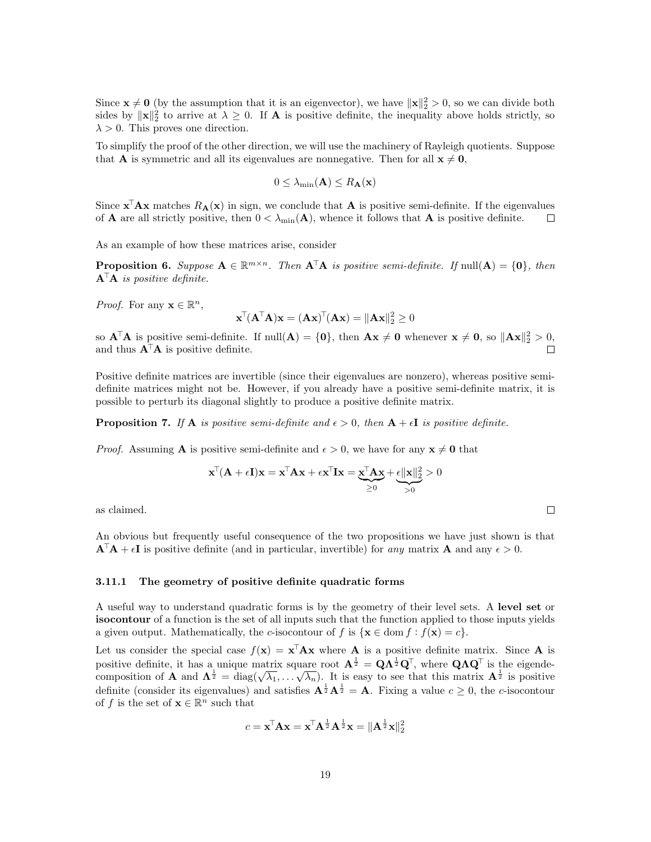Since  $\mathbf{x} \neq \mathbf{0}$  (by the assumption that it is an eigenvector), we have  $\|\mathbf{x}\|_2^2 > 0$ , so we can divide both sides by  $\|\mathbf{x}\|_2^2$  to arrive at  $\lambda \geq 0$ . If **A** is positive definite, the inequality above holds strictly, so  $\lambda > 0$ . This proves one direction.

To simplify the proof of the other direction, we will use the machinery of Rayleigh quotients. Suppose that **A** is symmetric and all its eigenvalues are nonnegative. Then for all  $x \neq 0$ ,

$$
0 \leq \lambda_{\min}(\mathbf{A}) \leq R_{\mathbf{A}}(\mathbf{x})
$$

Since  $\mathbf{x}^{\top} \mathbf{A} \mathbf{x}$  matches  $R_{\mathbf{A}}(\mathbf{x})$  in sign, we conclude that  $\mathbf{A}$  is positive semi-definite. If the eigenvalues of **A** are all strictly positive, then  $0 < \lambda_{\min}(\mathbf{A})$ , whence it follows that **A** is positive definite.  $\Box$ 

As an example of how these matrices arise, consider

**Proposition 6.** Suppose  $A \in \mathbb{R}^{m \times n}$ . Then  $A^{\top}A$  is positive semi-definite. If  $null(A) = \{0\}$ , then  $\mathbf{A}^{\dagger} \mathbf{A}$  is positive definite.

*Proof.* For any  $\mathbf{x} \in \mathbb{R}^n$ ,

$$
\mathbf{x}^\top (\mathbf{A}^\top \mathbf{A}) \mathbf{x} = (\mathbf{A} \mathbf{x})^\top (\mathbf{A} \mathbf{x}) = \|\mathbf{A} \mathbf{x}\|_2^2 \geq 0
$$

so  $\mathbf{A}^{\top}\mathbf{A}$  is positive semi-definite. If  $null(\mathbf{A}) = \{0\}$ , then  $\mathbf{A}\mathbf{x} \neq \mathbf{0}$  whenever  $\mathbf{x} \neq \mathbf{0}$ , so  $\|\mathbf{A}\mathbf{x}\|_2^2 > 0$ , and thus  $\mathbf{A}^{\mathsf{T}}\mathbf{A}$  is positive definite.

Positive definite matrices are invertible (since their eigenvalues are nonzero), whereas positive semidefinite matrices might not be. However, if you already have a positive semi-definite matrix, it is possible to perturb its diagonal slightly to produce a positive definite matrix.

**Proposition 7.** If **A** is positive semi-definite and  $\epsilon > 0$ , then  $\mathbf{A} + \epsilon \mathbf{I}$  is positive definite.

*Proof.* Assuming **A** is positive semi-definite and  $\epsilon > 0$ , we have for any  $\mathbf{x} \neq \mathbf{0}$  that

$$
\mathbf{x}^{\top}(\mathbf{A} + \epsilon \mathbf{I})\mathbf{x} = \mathbf{x}^{\top} \mathbf{A} \mathbf{x} + \epsilon \mathbf{x}^{\top} \mathbf{I} \mathbf{x} = \underbrace{\mathbf{x}^{\top} \mathbf{A} \mathbf{x}}_{\geq 0} + \underbrace{\epsilon \|\mathbf{x}\|_2^2}_{>0} > 0
$$

as claimed.

An obvious but frequently useful consequence of the two propositions we have just shown is that  $\mathbf{A}^{\dagger}\mathbf{A} + \epsilon \mathbf{I}$  is positive definite (and in particular, invertible) for any matrix **A** and any  $\epsilon > 0$ .

### <span id="page-18-0"></span>3.11.1 The geometry of positive definite quadratic forms

A useful way to understand quadratic forms is by the geometry of their level sets. A level set or isocontour of a function is the set of all inputs such that the function applied to those inputs yields a given output. Mathematically, the c-isocontour of f is  $\{x \in \text{dom } f : f(x) = c\}.$ 

Let us consider the special case  $f(\mathbf{x}) = \mathbf{x}^{\mathsf{T}} \mathbf{A} \mathbf{x}$  where **A** is a positive definite matrix. Since **A** is positive definite, it has a unique matrix square root  $\mathbf{A}^{\frac{1}{2}} = \mathbf{Q}\Lambda^{\frac{1}{2}}\mathbf{Q}^{\top}$ , where  $\mathbf{Q}\Lambda\mathbf{Q}^{\top}$  is the eigendepositive definite, it has a unique matrix square root  $A^2 = Q \Lambda^2 Q^2$ , where  $Q \Lambda Q^2$  is the eigende-<br>composition of A and  $\Lambda^{\frac{1}{2}} = \text{diag}(\sqrt{\lambda_1}, \dots, \sqrt{\lambda_n})$ . It is easy to see that this matrix  $A^{\frac{1}{2}}$  is positive definite (consider its eigenvalues) and satisfies  $\mathbf{A}^{\frac{1}{2}}\mathbf{A}^{\frac{1}{2}} = \mathbf{A}$ . Fixing a value  $c \geq 0$ , the c-isocontour of f is the set of  $\mathbf{x} \in \mathbb{R}^n$  such that

$$
c = \mathbf{x}^{\!\top}\mathbf{A}\mathbf{x} = \mathbf{x}^{\!\top}\mathbf{A}^{\frac{1}{2}}\mathbf{A}^{\frac{1}{2}}\mathbf{x} = \|\mathbf{A}^{\frac{1}{2}}\mathbf{x}\|_2^2
$$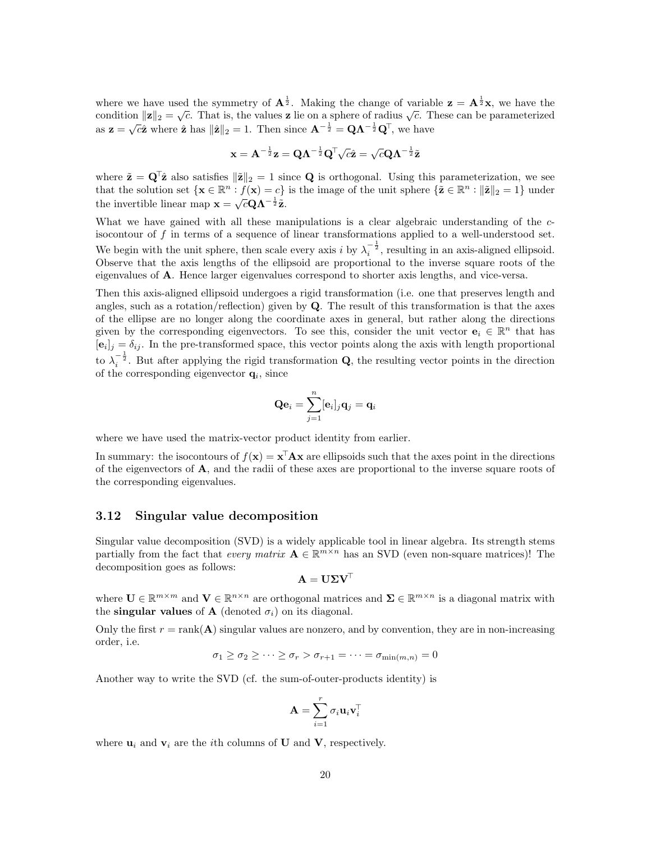where we have used the symmetry of  $\mathbf{A}^{\frac{1}{2}}$ . Making the change of variable  $\mathbf{z} = \mathbf{A}^{\frac{1}{2}}\mathbf{x}$ , we have the where we have used the symmetry of  $A^2$ . Making the change of variable  $\mathbf{z} = A^2 \mathbf{x}$ , we have the condition  $\|\mathbf{z}\|_2 = \sqrt{c}$ . That is, the values **z** lie on a sphere of radius  $\sqrt{c}$ . These can be parameterized condition  $||\mathbf{z}||_2 = \sqrt{c}$ . That is, the values  $\mathbf{z}$  he on a sphere of radius  $\sqrt{c}$ . Thus  $\mathbf{z} = \sqrt{c} \hat{\mathbf{z}}$  where  $\hat{\mathbf{z}}$  has  $||\hat{\mathbf{z}}||_2 = 1$ . Then since  $\mathbf{A}^{-\frac{1}{2}} = \mathbf{Q} \mathbf{\Lambda}^{-\frac{1}{2}} \mathbf{Q}^{\top}$ ,

$$
\mathbf{x} = \mathbf{A}^{-\frac{1}{2}} \mathbf{z} = \mathbf{Q} \mathbf{\Lambda}^{-\frac{1}{2}} \mathbf{Q}^{\!\top} \! \sqrt{c} \hat{\mathbf{z}} = \sqrt{c} \mathbf{Q} \mathbf{\Lambda}^{-\frac{1}{2}} \tilde{\mathbf{z}}
$$

where  $\tilde{\mathbf{z}} = \mathbf{Q}^T \hat{\mathbf{z}}$  also satisfies  $\|\tilde{\mathbf{z}}\|_2 = 1$  since **Q** is orthogonal. Using this parameterization, we see that the solution set  $\{ \mathbf{x} \in \mathbb{R}^n : f(\mathbf{x}) = c \}$  is the image of the unit sphere  $\{ \tilde{\mathbf{z}} \in \mathbb{R}^n : ||\tilde{\mathbf{z}}||_2 = 1 \}$  under the invertible linear map  $\mathbf{x} = \sqrt{c} \mathbf{Q} \mathbf{\Lambda}^{-\frac{1}{2}} \tilde{\mathbf{z}}$ .

What we have gained with all these manipulations is a clear algebraic understanding of the cisocontour of  $f$  in terms of a sequence of linear transformations applied to a well-understood set. We begin with the unit sphere, then scale every axis i by  $\lambda_i^{-\frac{1}{2}}$ , resulting in an axis-aligned ellipsoid. Observe that the axis lengths of the ellipsoid are proportional to the inverse square roots of the eigenvalues of A. Hence larger eigenvalues correspond to shorter axis lengths, and vice-versa.

Then this axis-aligned ellipsoid undergoes a rigid transformation (i.e. one that preserves length and angles, such as a rotation/reflection) given by  $Q$ . The result of this transformation is that the axes of the ellipse are no longer along the coordinate axes in general, but rather along the directions given by the corresponding eigenvectors. To see this, consider the unit vector  $e_i \in \mathbb{R}^n$  that has  $[e_i]_j = \delta_{ij}$ . In the pre-transformed space, this vector points along the axis with length proportional to  $\lambda_i^{-\frac{1}{2}}$ . But after applying the rigid transformation **Q**, the resulting vector points in the direction of the corresponding eigenvector  $\mathbf{q}_i$ , since

$$
\mathbf{Q}\mathbf{e}_i = \sum_{j=1}^n [\mathbf{e}_i]_j \mathbf{q}_j = \mathbf{q}_i
$$

where we have used the matrix-vector product identity from earlier.

In summary: the isocontours of  $f(\mathbf{x}) = \mathbf{x}^{\top} \mathbf{A} \mathbf{x}$  are ellipsoids such that the axes point in the directions of the eigenvectors of A, and the radii of these axes are proportional to the inverse square roots of the corresponding eigenvalues.

### <span id="page-19-0"></span>3.12 Singular value decomposition

Singular value decomposition (SVD) is a widely applicable tool in linear algebra. Its strength stems partially from the fact that every matrix  $\mathbf{A} \in \mathbb{R}^{m \times n}$  has an SVD (even non-square matrices)! The decomposition goes as follows:

$$
\mathbf{A} = \mathbf{U} \boldsymbol{\Sigma} \mathbf{V}^\top
$$

where  $\mathbf{U} \in \mathbb{R}^{m \times m}$  and  $\mathbf{V} \in \mathbb{R}^{n \times n}$  are orthogonal matrices and  $\mathbf{\Sigma} \in \mathbb{R}^{m \times n}$  is a diagonal matrix with the singular values of A (denoted  $\sigma_i$ ) on its diagonal.

Only the first  $r = \text{rank}(\mathbf{A})$  singular values are nonzero, and by convention, they are in non-increasing order, i.e.

$$
\sigma_1 \ge \sigma_2 \ge \cdots \ge \sigma_r > \sigma_{r+1} = \cdots = \sigma_{\min(m,n)} = 0
$$

Another way to write the SVD (cf. the sum-of-outer-products identity) is

$$
\mathbf{A} = \sum_{i=1}^r \sigma_i \mathbf{u}_i \mathbf{v}_i^{\top}
$$

where  $\mathbf{u}_i$  and  $\mathbf{v}_i$  are the *i*th columns of **U** and **V**, respectively.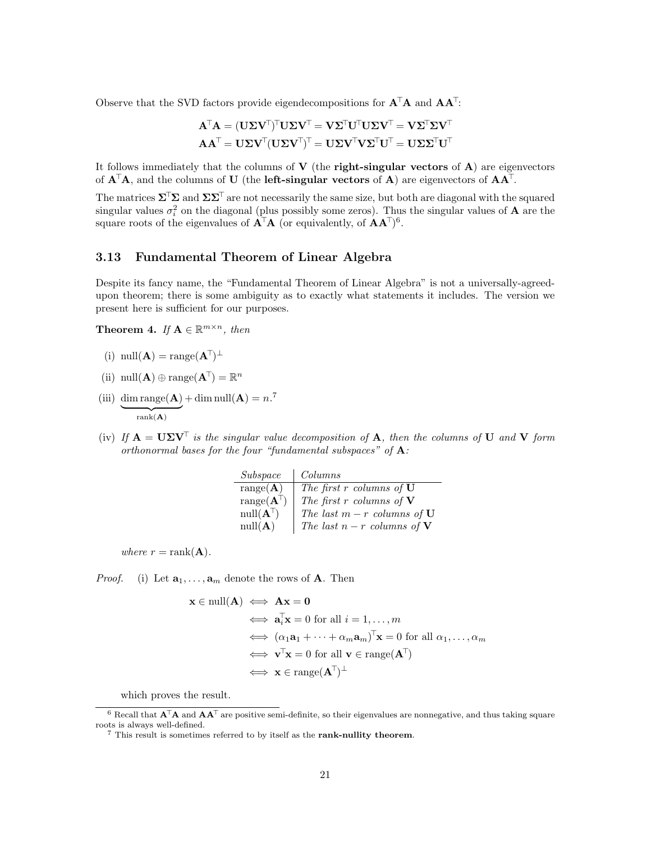Observe that the SVD factors provide eigendecompositions for  $A^{\mathsf{T}}A$  and  $AA^{\mathsf{T}}$ :

$$
\mathbf{A}^{\mathsf{T}}\mathbf{A} = (\mathbf{U}\boldsymbol{\Sigma}\mathbf{V}^{\mathsf{T}})^{\mathsf{T}}\mathbf{U}\boldsymbol{\Sigma}\mathbf{V}^{\mathsf{T}} = \mathbf{V}\boldsymbol{\Sigma}^{\mathsf{T}}\mathbf{U}^{\mathsf{T}}\mathbf{U}\boldsymbol{\Sigma}\mathbf{V}^{\mathsf{T}} = \mathbf{V}\boldsymbol{\Sigma}^{\mathsf{T}}\boldsymbol{\Sigma}\mathbf{V}^{\mathsf{T}}
$$

$$
\mathbf{A}\mathbf{A}^{\mathsf{T}} = \mathbf{U}\boldsymbol{\Sigma}\mathbf{V}^{\mathsf{T}}(\mathbf{U}\boldsymbol{\Sigma}\mathbf{V}^{\mathsf{T}})^{\mathsf{T}} = \mathbf{U}\boldsymbol{\Sigma}\mathbf{V}^{\mathsf{T}}\mathbf{V}\boldsymbol{\Sigma}^{\mathsf{T}}\mathbf{U}^{\mathsf{T}} = \mathbf{U}\boldsymbol{\Sigma}\boldsymbol{\Sigma}^{\mathsf{T}}\mathbf{U}^{\mathsf{T}}
$$

It follows immediately that the columns of  $V$  (the **right-singular vectors** of  $A$ ) are eigenvectors of  $\mathbf{A}^{\dagger}\mathbf{A}$ , and the columns of U (the left-singular vectors of  $\mathbf{A}$ ) are eigenvectors of  $\mathbf{A}\mathbf{A}^{\dagger}$ .

The matrices  $\Sigma^T \Sigma$  and  $\Sigma \Sigma^T$  are not necessarily the same size, but both are diagonal with the squared singular values  $\sigma_i^2$  on the diagonal (plus possibly some zeros). Thus the singular values of **A** are the square roots of the eigenvalues of  $A^{\mathsf{T}}A$  (or equivalently, of  $AA^{\mathsf{T}}$ )<sup>[6](#page-20-1)</sup>.

# <span id="page-20-0"></span>3.13 Fundamental Theorem of Linear Algebra

Despite its fancy name, the "Fundamental Theorem of Linear Algebra" is not a universally-agreedupon theorem; there is some ambiguity as to exactly what statements it includes. The version we present here is sufficient for our purposes.

**Theorem 4.** If  $A \in \mathbb{R}^{m \times n}$ , then

- (i)  $null(\mathbf{A}) = range(\mathbf{A}^{\top})^{\perp}$
- (ii)  $null(\mathbf{A}) \oplus range(\mathbf{A}^{\top}) = \mathbb{R}^n$
- (iii) dim range( $\bf{A}$ )  ${\rm rank}({\bf A})$  $+\dim \operatorname{null}(\mathbf{A}) = n^{7}$  $+\dim \operatorname{null}(\mathbf{A}) = n^{7}$  $+\dim \operatorname{null}(\mathbf{A}) = n^{7}$
- (iv) If  $A = U\Sigma V^{\top}$  is the singular value decomposition of A, then the columns of U and V form orthonormal bases for the four "fundamental subspaces" of  $A$ :

| Subspace                    | Columns                            |
|-----------------------------|------------------------------------|
| range(A)                    | The first $r$ columns of $U$       |
| range $(\mathbf{A}^{\top})$ | The first $r$ columns of ${\bf V}$ |
| $null(A^{\top})$            | The last $m-r$ columns of $U$      |
| null(A)                     | The last $n-r$ columns of <b>V</b> |

where  $r = \text{rank}(\mathbf{A})$ .

*Proof.* (i) Let  $\mathbf{a}_1, \ldots, \mathbf{a}_m$  denote the rows of **A**. Then

$$
\mathbf{x} \in \text{null}(\mathbf{A}) \iff \mathbf{A}\mathbf{x} = \mathbf{0}
$$
  
\n
$$
\iff \mathbf{a}_i^{\mathsf{T}} \mathbf{x} = 0 \text{ for all } i = 1, ..., m
$$
  
\n
$$
\iff (\alpha_1 \mathbf{a}_1 + \dots + \alpha_m \mathbf{a}_m)^{\mathsf{T}} \mathbf{x} = 0 \text{ for all } \alpha_1, ..., \alpha_m
$$
  
\n
$$
\iff \mathbf{v}^{\mathsf{T}} \mathbf{x} = 0 \text{ for all } \mathbf{v} \in \text{range}(\mathbf{A}^{\mathsf{T}})
$$
  
\n
$$
\iff \mathbf{x} \in \text{range}(\mathbf{A}^{\mathsf{T}})^{\perp}
$$

which proves the result.

<span id="page-20-1"></span> $6$  Recall that  $\mathbf{A}^{\top}\mathbf{A}$  and  $\mathbf{A}\mathbf{A}^{\top}$  are positive semi-definite, so their eigenvalues are nonnegative, and thus taking square roots is always well-defined.

<span id="page-20-2"></span> $7$  This result is sometimes referred to by itself as the rank-nullity theorem.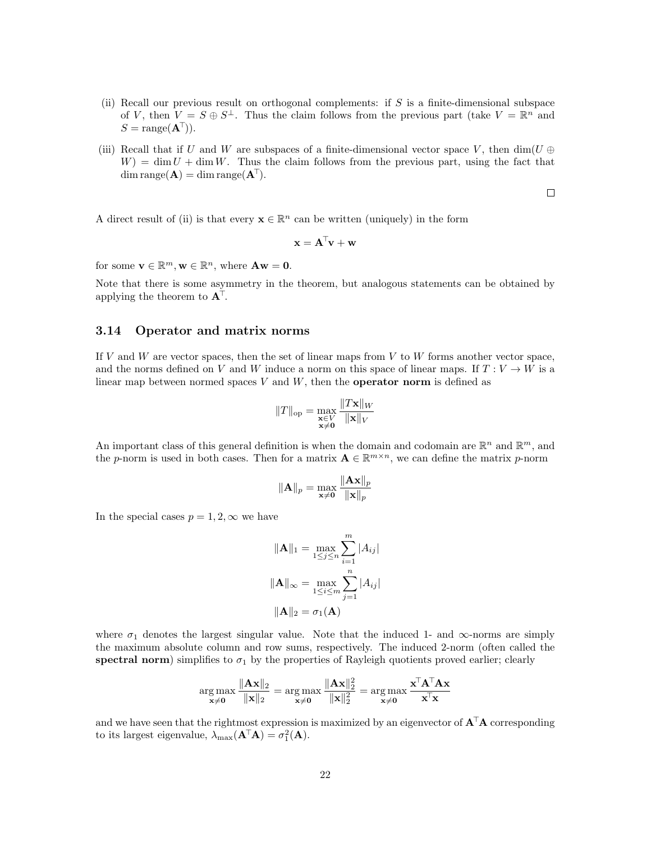- (ii) Recall our previous result on orthogonal complements: if  $S$  is a finite-dimensional subspace of V, then  $V = S \oplus S^{\perp}$ . Thus the claim follows from the previous part (take  $V = \mathbb{R}^{n}$  and  $S = \text{range}(\mathbf{A}^{\top}).$
- (iii) Recall that if U and W are subspaces of a finite-dimensional vector space V, then  $\dim(U \oplus$  $W = \dim U + \dim W$ . Thus the claim follows from the previous part, using the fact that  $dim range(\mathbf{A}) = dim range(\mathbf{A}^T).$

 $\Box$ 

A direct result of (ii) is that every  $\mathbf{x} \in \mathbb{R}^n$  can be written (uniquely) in the form

$$
\mathbf{x} = \mathbf{A}^\top \mathbf{v} + \mathbf{w}
$$

for some  $\mathbf{v} \in \mathbb{R}^m$ ,  $\mathbf{w} \in \mathbb{R}^n$ , where  $\mathbf{A}\mathbf{w} = \mathbf{0}$ .

Note that there is some asymmetry in the theorem, but analogous statements can be obtained by applying the theorem to  $A^{\mathsf{T}}$ .

### <span id="page-21-0"></span>3.14 Operator and matrix norms

If V and W are vector spaces, then the set of linear maps from V to W forms another vector space, and the norms defined on V and W induce a norm on this space of linear maps. If  $T: V \to W$  is a linear map between normed spaces  $V$  and  $W$ , then the **operator norm** is defined as

$$
||T||_{\text{op}} = \max_{\substack{\mathbf{x} \in V \\ \mathbf{x} \neq \mathbf{0}}} \frac{||T\mathbf{x}||_W}{||\mathbf{x}||_V}
$$

An important class of this general definition is when the domain and codomain are  $\mathbb{R}^n$  and  $\mathbb{R}^m$ , and the p-norm is used in both cases. Then for a matrix  $\mathbf{A} \in \mathbb{R}^{m \times n}$ , we can define the matrix p-norm

$$
\|\mathbf{A}\|_p = \max_{\mathbf{x} \neq \mathbf{0}} \frac{\|\mathbf{A}\mathbf{x}\|_p}{\|\mathbf{x}\|_p}
$$

In the special cases  $p = 1, 2, \infty$  we have

$$
\|\mathbf{A}\|_{1} = \max_{1 \leq j \leq n} \sum_{i=1}^{m} |A_{ij}|
$$

$$
\|\mathbf{A}\|_{\infty} = \max_{1 \leq i \leq m} \sum_{j=1}^{n} |A_{ij}|
$$

$$
\|\mathbf{A}\|_{2} = \sigma_{1}(\mathbf{A})
$$

where  $\sigma_1$  denotes the largest singular value. Note that the induced 1- and  $\infty$ -norms are simply the maximum absolute column and row sums, respectively. The induced 2-norm (often called the spectral norm) simplifies to  $\sigma_1$  by the properties of Rayleigh quotients proved earlier; clearly

$$
\mathop{\arg\max}\limits_{\mathbf{x}\neq\mathbf{0}}\frac{\|\mathbf{A}\mathbf{x}\|_2}{\|\mathbf{x}\|_2}=\mathop{\arg\max}\limits_{\mathbf{x}\neq\mathbf{0}}\frac{\|\mathbf{A}\mathbf{x}\|_2^2}{\|\mathbf{x}\|_2^2}=\mathop{\arg\max}\limits_{\mathbf{x}\neq\mathbf{0}}\frac{\mathbf{x}^{\mathsf{T}}\mathbf{A}^{\mathsf{T}}\mathbf{A}\mathbf{x}}{\mathbf{x}^{\mathsf{T}}\mathbf{x}}
$$

and we have seen that the rightmost expression is maximized by an eigenvector of  $A^{\top}A$  corresponding to its largest eigenvalue,  $\lambda_{\text{max}}(\mathbf{A}^{\top}\mathbf{A}) = \sigma_1^2(\mathbf{A}).$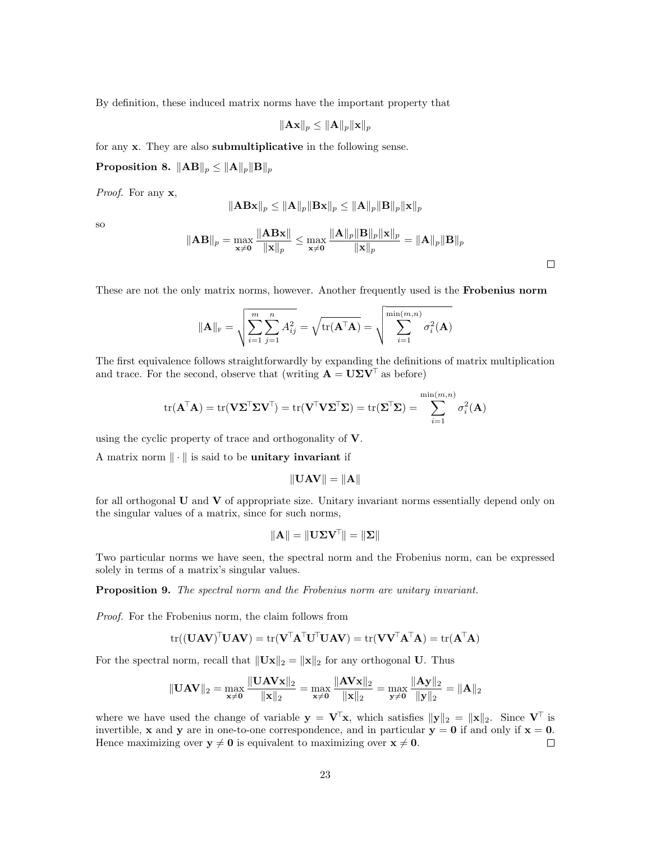By definition, these induced matrix norms have the important property that

$$
\|\mathbf{A}\mathbf{x}\|_p \leq \|\mathbf{A}\|_p \|\mathbf{x}\|_p
$$

for any x. They are also submultiplicative in the following sense.

Proposition 8.  $||AB||_p \le ||A||_p ||B||_p$ 

Proof. For any  $x$ ,

$$
\Vert \mathbf{ABx}\Vert_p \leq \Vert \mathbf{A}\Vert_p \Vert \mathbf{Bx}\Vert_p \leq \Vert \mathbf{A}\Vert_p \Vert \mathbf{B}\Vert_p \Vert \mathbf{x}\Vert_p
$$

so

$$
\|\mathbf{AB}\|_{p} = \max_{\mathbf{x} \neq \mathbf{0}} \frac{\|\mathbf{ABx}\|}{\|\mathbf{x}\|_{p}} \le \max_{\mathbf{x} \neq \mathbf{0}} \frac{\|\mathbf{A}\|_{p} \|\mathbf{B}\|_{p} \|\mathbf{x}\|_{p}}{\|\mathbf{x}\|_{p}} = \|\mathbf{A}\|_{p} \|\mathbf{B}\|_{p}
$$

 $\Box$ 

These are not the only matrix norms, however. Another frequently used is the **Frobenius norm** 

$$
\|\mathbf{A}\|_{\mathrm{F}} = \sqrt{\sum_{i=1}^{m} \sum_{j=1}^{n} A_{ij}^{2}} = \sqrt{\mathrm{tr}(\mathbf{A}^{\mathsf{T}} \mathbf{A})} = \sqrt{\sum_{i=1}^{\min(m,n)} \sigma_{i}^{2}(\mathbf{A})}
$$

The first equivalence follows straightforwardly by expanding the definitions of matrix multiplication and trace. For the second, observe that (writing  $\mathbf{A} = \mathbf{U} \boldsymbol{\Sigma} \mathbf{V}^{\top}$  as before)

$$
\mathrm{tr}(\mathbf{A}^{\!\top}\!\mathbf{A}) = \mathrm{tr}(\mathbf{V}\mathbf{\Sigma}^{\!\top}\!\mathbf{\Sigma}\mathbf{V}^{\!\top}\!)= \mathrm{tr}(\mathbf{V}^{\!\top}\!\mathbf{V}\mathbf{\Sigma}^{\!\top}\!\mathbf{\Sigma}) = \mathrm{tr}(\mathbf{\Sigma}^{\!\top}\!\mathbf{\Sigma}) = \sum_{i=1}^{\min(m,n)} \sigma_i^2(\mathbf{A})
$$

using the cyclic property of trace and orthogonality of V.

A matrix norm  $\|\cdot\|$  is said to be unitary invariant if

$$
\|\mathbf{U}\mathbf{A}\mathbf{V}\| = \|\mathbf{A}\|
$$

for all orthogonal  **and**  $**V**$  **of appropriate size. Unitary invariant norms essentially depend only on** the singular values of a matrix, since for such norms,

$$
\|\mathbf{A}\| = \|\mathbf{U}\mathbf{\Sigma}\mathbf{V}^\top\| = \|\mathbf{\Sigma}\|
$$

Two particular norms we have seen, the spectral norm and the Frobenius norm, can be expressed solely in terms of a matrix's singular values.

Proposition 9. The spectral norm and the Frobenius norm are unitary invariant.

Proof. For the Frobenius norm, the claim follows from

$$
\mathrm{tr}((\mathbf{U}\mathbf{A}\mathbf{V})^{\top}\mathbf{U}\mathbf{A}\mathbf{V}) = \mathrm{tr}(\mathbf{V}^{\top}\mathbf{A}^{\top}\mathbf{U}^{\top}\mathbf{U}\mathbf{A}\mathbf{V}) = \mathrm{tr}(\mathbf{V}\mathbf{V}^{\top}\mathbf{A}^{\top}\mathbf{A}) = \mathrm{tr}(\mathbf{A}^{\top}\mathbf{A})
$$

For the spectral norm, recall that  $\|\mathbf{Ux}\|_2 = \|\mathbf{x}\|_2$  for any orthogonal U. Thus

$$
\|\mathbf{U}\mathbf{A}\mathbf{V}\|_2 = \max_{\mathbf{x}\neq \mathbf{0}}\frac{\|\mathbf{U}\mathbf{A}\mathbf{V}\mathbf{x}\|_2}{\|\mathbf{x}\|_2} = \max_{\mathbf{x}\neq \mathbf{0}}\frac{\|\mathbf{A}\mathbf{V}\mathbf{x}\|_2}{\|\mathbf{x}\|_2} = \max_{\mathbf{y}\neq \mathbf{0}}\frac{\|\mathbf{A}\mathbf{y}\|_2}{\|\mathbf{y}\|_2} = \|\mathbf{A}\|_2
$$

where we have used the change of variable  $y = V^T x$ , which satisfies  $||y||_2 = ||x||_2$ . Since  $V^T$  is invertible, x and y are in one-to-one correspondence, and in particular  $y = 0$  if and only if  $x = 0$ . Hence maximizing over  $y \neq 0$  is equivalent to maximizing over  $x \neq 0$ .  $\Box$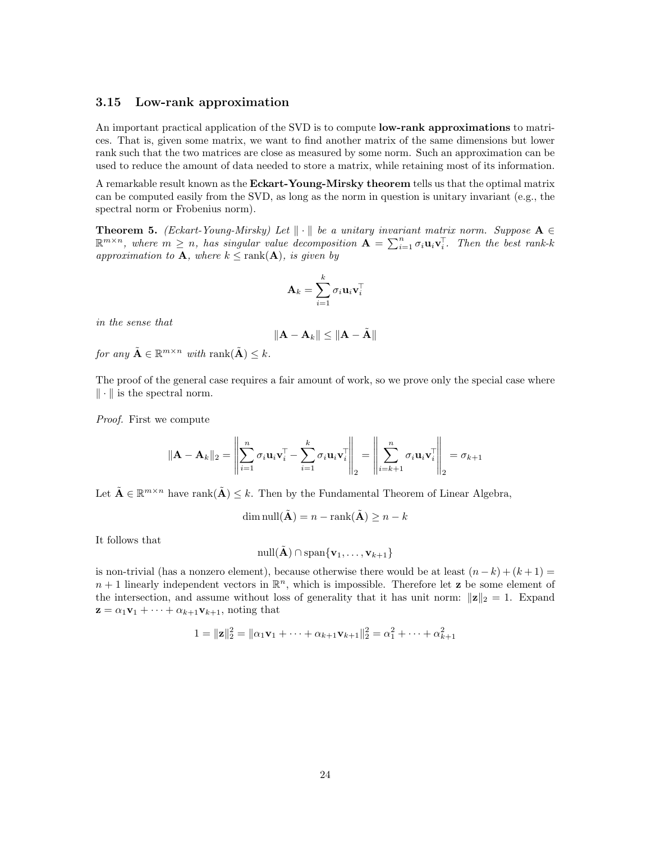# <span id="page-23-0"></span>3.15 Low-rank approximation

An important practical application of the SVD is to compute **low-rank approximations** to matrices. That is, given some matrix, we want to find another matrix of the same dimensions but lower rank such that the two matrices are close as measured by some norm. Such an approximation can be used to reduce the amount of data needed to store a matrix, while retaining most of its information.

A remarkable result known as the **Eckart-Young-Mirsky theorem** tells us that the optimal matrix can be computed easily from the SVD, as long as the norm in question is unitary invariant (e.g., the spectral norm or Frobenius norm).

**Theorem 5.** (Eckart-Young-Mirsky) Let  $\|\cdot\|$  be a unitary invariant matrix norm. Suppose  $A \in$  $\mathbb{R}^{m\times n}$ , where  $m\geq n$ , has singular value decomposition  $\mathbf{A}=\sum_{i=1}^n \sigma_i \mathbf{u}_i \mathbf{v}_i^{\top}$ . Then the best rank-k approximation to **A**, where  $k \leq \text{rank}(\mathbf{A})$ , is given by

$$
\mathbf{A}_k = \sum_{i=1}^k \sigma_i \mathbf{u}_i \mathbf{v}_i^{\mathsf{T}}
$$

in the sense that

$$
\|\mathbf{A} - \mathbf{A}_k\| \leq \|\mathbf{A} - \tilde{\mathbf{A}}\|
$$

for any  $\tilde{\mathbf{A}} \in \mathbb{R}^{m \times n}$  with rank $(\tilde{\mathbf{A}}) \leq k$ .

The proof of the general case requires a fair amount of work, so we prove only the special case where  $\|\cdot\|$  is the spectral norm.

Proof. First we compute

$$
\|\mathbf{A} - \mathbf{A}_k\|_2 = \left\|\sum_{i=1}^n \sigma_i \mathbf{u}_i \mathbf{v}_i^\top - \sum_{i=1}^k \sigma_i \mathbf{u}_i \mathbf{v}_i^\top \right\|_2 = \left\|\sum_{i=k+1}^n \sigma_i \mathbf{u}_i \mathbf{v}_i^\top \right\|_2 = \sigma_{k+1}
$$

Let  $\tilde{\mathbf{A}} \in \mathbb{R}^{m \times n}$  have rank $(\tilde{\mathbf{A}}) \leq k$ . Then by the Fundamental Theorem of Linear Algebra,

$$
\dim \text{null}(\tilde{\mathbf{A}}) = n - \text{rank}(\tilde{\mathbf{A}}) \ge n - k
$$

It follows that

$$
\mathrm{null}(\tilde{\mathbf{A}})\cap\mathrm{span}\{\mathbf{v}_1,\ldots,\mathbf{v}_{k+1}\}
$$

is non-trivial (has a nonzero element), because otherwise there would be at least  $(n - k) + (k + 1) =$  $n+1$  linearly independent vectors in  $\mathbb{R}^n$ , which is impossible. Therefore let **z** be some element of the intersection, and assume without loss of generality that it has unit norm:  $\|\mathbf{z}\|_2 = 1$ . Expand  $\mathbf{z} = \alpha_1 \mathbf{v}_1 + \cdots + \alpha_{k+1} \mathbf{v}_{k+1}$ , noting that

$$
1 = ||\mathbf{z}||_2^2 = ||\alpha_1 \mathbf{v}_1 + \dots + \alpha_{k+1} \mathbf{v}_{k+1}||_2^2 = \alpha_1^2 + \dots + \alpha_{k+1}^2
$$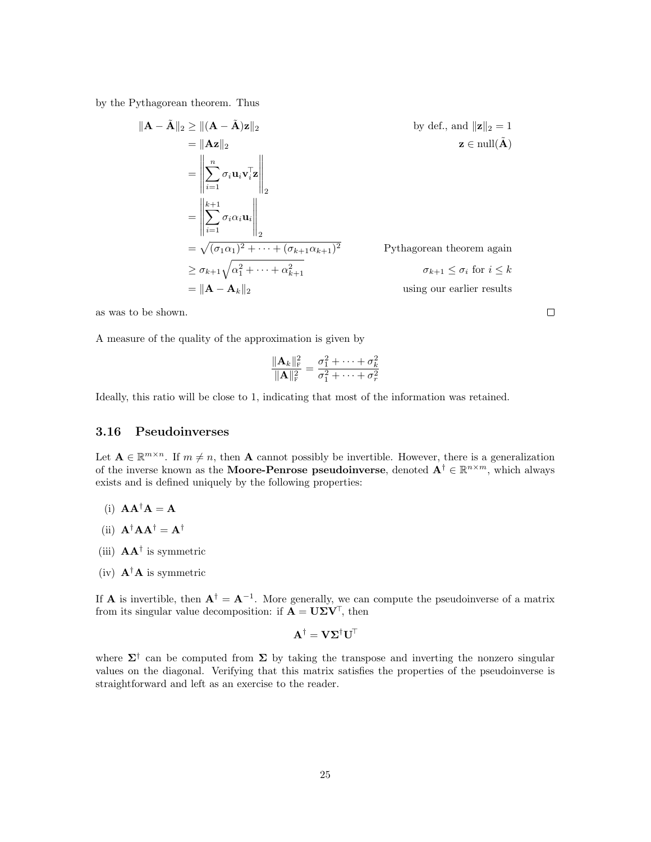by the Pythagorean theorem. Thus

$$
\|\mathbf{A} - \tilde{\mathbf{A}}\|_{2} \geq \|(\mathbf{A} - \tilde{\mathbf{A}})\mathbf{z}\|_{2}
$$
\nby def., and  $\|\mathbf{z}\|_{2} = 1$   
\n
$$
= \left\|\sum_{i=1}^{n} \sigma_{i} \mathbf{u}_{i} \mathbf{v}_{i}^{\mathsf{T}} \mathbf{z}\right\|_{2}
$$
\n
$$
= \left\|\sum_{i=1}^{k+1} \sigma_{i} \alpha_{i} \mathbf{u}_{i}\right\|_{2}
$$
\n
$$
= \sqrt{(\sigma_{1} \alpha_{1})^{2} + \dots + (\sigma_{k+1} \alpha_{k+1})^{2}}
$$
\nPythagorean theorem again  
\n
$$
\geq \sigma_{k+1} \sqrt{\alpha_{1}^{2} + \dots + \alpha_{k+1}^{2}}
$$
\nPythagorean theorem again  
\n
$$
\sigma_{k+1} \leq \sigma_{i} \text{ for } i \leq k
$$
  
\n
$$
= \|\mathbf{A} - \mathbf{A}_{k}\|_{2}
$$
\nby def., and  $\|\mathbf{z}\|_{2} = 1$   
\nby def., and  $\|\mathbf{z}\|_{2} = 1$   
\n $\mathbf{z} \in \text{null}(\tilde{\mathbf{A}})$ 

as was to be shown.

A measure of the quality of the approximation is given by

$$
\frac{\|\mathbf{A}_k\|_{\mathrm{F}}^2}{\|\mathbf{A}\|_{\mathrm{F}}^2} = \frac{\sigma_1^2 + \dots + \sigma_k^2}{\sigma_1^2 + \dots + \sigma_r^2}
$$

Ideally, this ratio will be close to 1, indicating that most of the information was retained.

# <span id="page-24-0"></span>3.16 Pseudoinverses

Let  $A \in \mathbb{R}^{m \times n}$ . If  $m \neq n$ , then A cannot possibly be invertible. However, there is a generalization of the inverse known as the **Moore-Penrose pseudoinverse**, denoted  $A^{\dagger} \in \mathbb{R}^{n \times m}$ , which always exists and is defined uniquely by the following properties:

- (i)  $\mathbf{A}\mathbf{A}^{\dagger}\mathbf{A} = \mathbf{A}$
- (ii)  $\mathbf{A}^{\dagger} \mathbf{A} \mathbf{A}^{\dagger} = \mathbf{A}^{\dagger}$
- (iii)  $AA^{\dagger}$  is symmetric
- (iv)  $\mathbf{A}^{\dagger} \mathbf{A}$  is symmetric

If **A** is invertible, then  $A^{\dagger} = A^{-1}$ . More generally, we can compute the pseudoinverse of a matrix from its singular value decomposition: if  $\mathbf{A} = \mathbf{U} \Sigma \mathbf{V}^{\top}$ , then

$$
\mathbf{A}^{\dagger} = \mathbf{V} \mathbf{\Sigma}^{\dagger} \mathbf{U}^{\mathsf{T}}
$$

where  $\Sigma^{\dagger}$  can be computed from  $\Sigma$  by taking the transpose and inverting the nonzero singular values on the diagonal. Verifying that this matrix satisfies the properties of the pseudoinverse is straightforward and left as an exercise to the reader.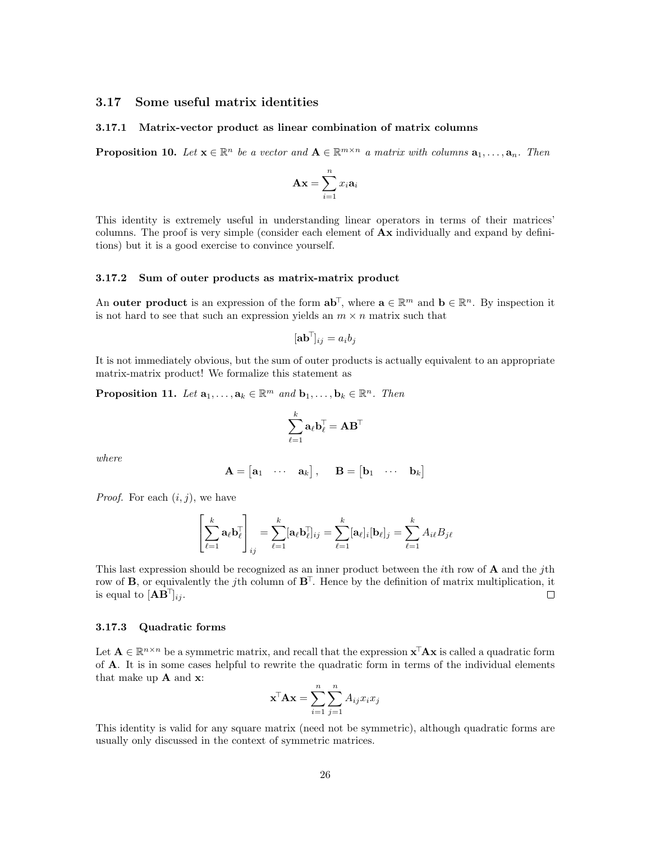# <span id="page-25-0"></span>3.17 Some useful matrix identities

### <span id="page-25-1"></span>3.17.1 Matrix-vector product as linear combination of matrix columns

**Proposition 10.** Let  $\mathbf{x} \in \mathbb{R}^n$  be a vector and  $\mathbf{A} \in \mathbb{R}^{m \times n}$  a matrix with columns  $\mathbf{a}_1, \ldots, \mathbf{a}_n$ . Then

$$
\mathbf{A}\mathbf{x} = \sum_{i=1}^{n} x_i \mathbf{a}_i
$$

This identity is extremely useful in understanding linear operators in terms of their matrices' columns. The proof is very simple (consider each element of  $A\mathbf{x}$  individually and expand by definitions) but it is a good exercise to convince yourself.

### <span id="page-25-2"></span>3.17.2 Sum of outer products as matrix-matrix product

An outer product is an expression of the form  $\mathbf{a} \mathbf{b}^{\top}$ , where  $\mathbf{a} \in \mathbb{R}^m$  and  $\mathbf{b} \in \mathbb{R}^n$ . By inspection it is not hard to see that such an expression yields an  $m \times n$  matrix such that

$$
[\mathbf{a}\mathbf{b}^\top]_{ij} = a_i b_j
$$

It is not immediately obvious, but the sum of outer products is actually equivalent to an appropriate matrix-matrix product! We formalize this statement as

**Proposition 11.** Let  $\mathbf{a}_1, \ldots, \mathbf{a}_k \in \mathbb{R}^m$  and  $\mathbf{b}_1, \ldots, \mathbf{b}_k \in \mathbb{R}^n$ . Then

$$
\sum_{\ell=1}^k \mathbf{a}_\ell \mathbf{b}_\ell^\top = \mathbf{A} \mathbf{B}^\top
$$

where

$$
\mathbf{A} = \begin{bmatrix} \mathbf{a}_1 & \cdots & \mathbf{a}_k \end{bmatrix}, \quad \mathbf{B} = \begin{bmatrix} \mathbf{b}_1 & \cdots & \mathbf{b}_k \end{bmatrix}
$$

*Proof.* For each  $(i, j)$ , we have

$$
\left[\sum_{\ell=1}^k \mathbf{a}_{\ell} \mathbf{b}_{\ell}^{\top}\right]_{ij} = \sum_{\ell=1}^k [\mathbf{a}_{\ell} \mathbf{b}_{\ell}^{\top}]_{ij} = \sum_{\ell=1}^k [\mathbf{a}_{\ell}]_i [\mathbf{b}_{\ell}]_j = \sum_{\ell=1}^k A_{i\ell} B_{j\ell}
$$

This last expression should be recognized as an inner product between the *i*th row of  $\bf{A}$  and the *j*th row of **B**, or equivalently the j<sup>th</sup> column of  $\mathbf{B}^{\top}$ . Hence by the definition of matrix multiplication, it is equal to  $[AB^{\dagger}]_{ii}$ .  $\Box$ 

### <span id="page-25-3"></span>3.17.3 Quadratic forms

Let  $A \in \mathbb{R}^{n \times n}$  be a symmetric matrix, and recall that the expression  $\mathbf{x}^{\top} A \mathbf{x}$  is called a quadratic form of A. It is in some cases helpful to rewrite the quadratic form in terms of the individual elements that make up  $A$  and  $x$ :

$$
\mathbf{x}^{\mathsf{T}} \mathbf{A} \mathbf{x} = \sum_{i=1}^{n} \sum_{j=1}^{n} A_{ij} x_i x_j
$$

This identity is valid for any square matrix (need not be symmetric), although quadratic forms are usually only discussed in the context of symmetric matrices.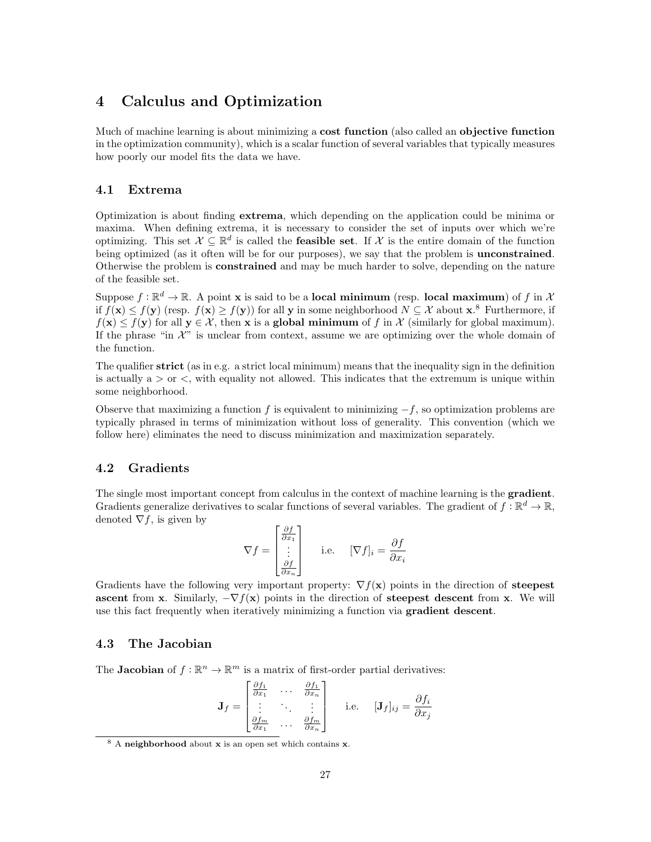# <span id="page-26-0"></span>4 Calculus and Optimization

Much of machine learning is about minimizing a **cost function** (also called an **objective function** in the optimization community), which is a scalar function of several variables that typically measures how poorly our model fits the data we have.

# <span id="page-26-1"></span>4.1 Extrema

Optimization is about finding extrema, which depending on the application could be minima or maxima. When defining extrema, it is necessary to consider the set of inputs over which we're optimizing. This set  $\mathcal{X} \subseteq \mathbb{R}^d$  is called the **feasible set**. If  $\mathcal{X}$  is the entire domain of the function being optimized (as it often will be for our purposes), we say that the problem is **unconstrained**. Otherwise the problem is constrained and may be much harder to solve, depending on the nature of the feasible set.

Suppose  $f : \mathbb{R}^d \to \mathbb{R}$ . A point **x** is said to be a **local minimum** (resp. **local maximum**) of f in X if  $f(\mathbf{x}) \leq f(\mathbf{y})$  (resp.  $f(\mathbf{x}) \geq f(\mathbf{y})$ ) for all y in some neighborhood  $N \subseteq \mathcal{X}$  about  $\mathbf{x}$ .<sup>[8](#page-26-4)</sup> Furthermore, if  $f(\mathbf{x}) \leq f(\mathbf{y})$  for all  $\mathbf{y} \in \mathcal{X}$ , then x is a global minimum of f in X (similarly for global maximum). If the phrase "in  $\mathcal{X}$ " is unclear from context, assume we are optimizing over the whole domain of the function.

The qualifier strict (as in e.g. a strict local minimum) means that the inequality sign in the definition is actually  $a > or <$ , with equality not allowed. This indicates that the extremum is unique within some neighborhood.

Observe that maximizing a function f is equivalent to minimizing  $-f$ , so optimization problems are typically phrased in terms of minimization without loss of generality. This convention (which we follow here) eliminates the need to discuss minimization and maximization separately.

# <span id="page-26-2"></span>4.2 Gradients

The single most important concept from calculus in the context of machine learning is the **gradient**. Gradients generalize derivatives to scalar functions of several variables. The gradient of  $f : \mathbb{R}^d \to \mathbb{R}$ , denoted  $\nabla f$ , is given by

$$
\nabla f = \begin{bmatrix} \frac{\partial f}{\partial x_1} \\ \vdots \\ \frac{\partial f}{\partial x_n} \end{bmatrix}
$$
 i.e. 
$$
[\nabla f]_i = \frac{\partial f}{\partial x_i}
$$

Gradients have the following very important property:  $\nabla f(\mathbf{x})$  points in the direction of **steepest** ascent from x. Similarly,  $-\nabla f(x)$  points in the direction of steepest descent from x. We will use this fact frequently when iteratively minimizing a function via gradient descent.

# <span id="page-26-3"></span>4.3 The Jacobian

The **Jacobian** of  $f : \mathbb{R}^n \to \mathbb{R}^m$  is a matrix of first-order partial derivatives:

$$
\mathbf{J}_f = \begin{bmatrix} \frac{\partial f_1}{\partial x_1} & \cdots & \frac{\partial f_1}{\partial x_n} \\ \vdots & \ddots & \vdots \\ \frac{\partial f_m}{\partial x_1} & \cdots & \frac{\partial f_m}{\partial x_n} \end{bmatrix}
$$
 i.e.  $[\mathbf{J}_f]_{ij} = \frac{\partial f_i}{\partial x_j}$ 

<span id="page-26-4"></span><sup>8</sup> A neighborhood about x is an open set which contains x.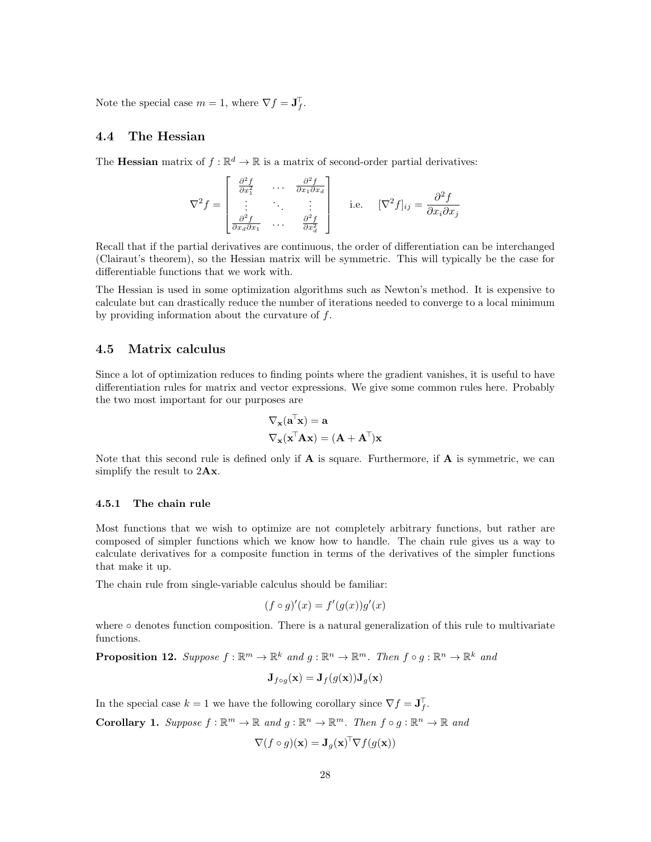Note the special case  $m = 1$ , where  $\nabla f = \mathbf{J}_f^{\top}$ .

# <span id="page-27-0"></span>4.4 The Hessian

The **Hessian** matrix of  $f : \mathbb{R}^d \to \mathbb{R}$  is a matrix of second-order partial derivatives:

$$
\nabla^2 f = \begin{bmatrix} \frac{\partial^2 f}{\partial x_1^2} & \cdots & \frac{\partial^2 f}{\partial x_1 \partial x_d} \\ \vdots & \ddots & \vdots \\ \frac{\partial^2 f}{\partial x_d \partial x_1} & \cdots & \frac{\partial^2 f}{\partial x_d^2} \end{bmatrix}
$$
 i.e.  $[\nabla^2 f]_{ij} = \frac{\partial^2 f}{\partial x_i \partial x_j}$ 

Recall that if the partial derivatives are continuous, the order of differentiation can be interchanged (Clairaut's theorem), so the Hessian matrix will be symmetric. This will typically be the case for differentiable functions that we work with.

The Hessian is used in some optimization algorithms such as Newton's method. It is expensive to calculate but can drastically reduce the number of iterations needed to converge to a local minimum by providing information about the curvature of  $f$ .

# <span id="page-27-1"></span>4.5 Matrix calculus

Since a lot of optimization reduces to finding points where the gradient vanishes, it is useful to have differentiation rules for matrix and vector expressions. We give some common rules here. Probably the two most important for our purposes are

$$
\nabla_{\mathbf{x}}(\mathbf{a}^{\mathsf{T}}\mathbf{x}) = \mathbf{a}
$$

$$
\nabla_{\mathbf{x}}(\mathbf{x}^{\mathsf{T}}\mathbf{A}\mathbf{x}) = (\mathbf{A} + \mathbf{A}^{\mathsf{T}})\mathbf{x}
$$

Note that this second rule is defined only if  $\bf{A}$  is square. Furthermore, if  $\bf{A}$  is symmetric, we can simplify the result to  $2\mathbf{A}\mathbf{x}$ .

### <span id="page-27-2"></span>4.5.1 The chain rule

Most functions that we wish to optimize are not completely arbitrary functions, but rather are composed of simpler functions which we know how to handle. The chain rule gives us a way to calculate derivatives for a composite function in terms of the derivatives of the simpler functions that make it up.

The chain rule from single-variable calculus should be familiar:

$$
(f \circ g)'(x) = f'(g(x))g'(x)
$$

where ∘ denotes function composition. There is a natural generalization of this rule to multivariate functions.

**Proposition 12.** Suppose  $f : \mathbb{R}^m \to \mathbb{R}^k$  and  $g : \mathbb{R}^n \to \mathbb{R}^m$ . Then  $f \circ g : \mathbb{R}^n \to \mathbb{R}^k$  and

$$
\mathbf{J}_{f\circ g}(\mathbf{x}) = \mathbf{J}_{f}(g(\mathbf{x}))\mathbf{J}_{g}(\mathbf{x})
$$

In the special case  $k = 1$  we have the following corollary since  $\nabla f = \mathbf{J}_f^{\mathsf{T}}$ .

**Corollary 1.** Suppose  $f : \mathbb{R}^m \to \mathbb{R}$  and  $g : \mathbb{R}^n \to \mathbb{R}^m$ . Then  $f \circ g : \mathbb{R}^n \to \mathbb{R}$  and

$$
\nabla (f \circ g)(\mathbf{x}) = \mathbf{J}_g(\mathbf{x})^{\top} \nabla f(g(\mathbf{x}))
$$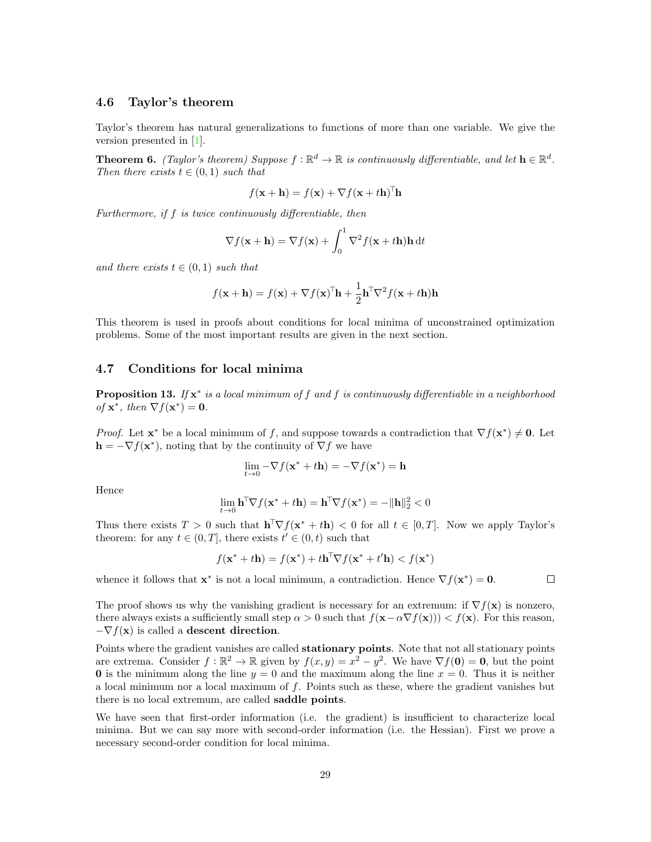# <span id="page-28-0"></span>4.6 Taylor's theorem

Taylor's theorem has natural generalizations to functions of more than one variable. We give the version presented in [\[1\]](#page-46-2).

**Theorem 6.** (Taylor's theorem) Suppose  $f : \mathbb{R}^d \to \mathbb{R}$  is continuously differentiable, and let  $\mathbf{h} \in \mathbb{R}^d$ . Then there exists  $t \in (0, 1)$  such that

$$
f(\mathbf{x} + \mathbf{h}) = f(\mathbf{x}) + \nabla f(\mathbf{x} + t\mathbf{h})^{\mathsf{T}} \mathbf{h}
$$

Furthermore, if f is twice continuously differentiable, then

$$
\nabla f(\mathbf{x} + \mathbf{h}) = \nabla f(\mathbf{x}) + \int_0^1 \nabla^2 f(\mathbf{x} + t\mathbf{h}) \mathbf{h} dt
$$

and there exists  $t \in (0,1)$  such that

$$
f(\mathbf{x} + \mathbf{h}) = f(\mathbf{x}) + \nabla f(\mathbf{x})^{\top} \mathbf{h} + \frac{1}{2} \mathbf{h}^{\top} \nabla^2 f(\mathbf{x} + t\mathbf{h}) \mathbf{h}
$$

This theorem is used in proofs about conditions for local minima of unconstrained optimization problems. Some of the most important results are given in the next section.

# <span id="page-28-1"></span>4.7 Conditions for local minima

**Proposition 13.** If  $x^*$  is a local minimum of f and f is continuously differentiable in a neighborhood of  $\mathbf{x}^*$ , then  $\nabla f(\mathbf{x}^*) = \mathbf{0}$ .

*Proof.* Let  $\mathbf{x}^*$  be a local minimum of f, and suppose towards a contradiction that  $\nabla f(\mathbf{x}^*) \neq \mathbf{0}$ . Let  $\mathbf{h} = -\nabla f(\mathbf{x}^*)$ , noting that by the continuity of  $\nabla f$  we have

$$
\lim_{t\to 0} -\nabla f(\mathbf{x}^*+t\mathbf{h}) = -\nabla f(\mathbf{x}^*) = \mathbf{h}
$$

Hence

$$
\lim_{t \to 0} \mathbf{h}^{\mathsf{T}} \nabla f(\mathbf{x}^* + t\mathbf{h}) = \mathbf{h}^{\mathsf{T}} \nabla f(\mathbf{x}^*) = -\|\mathbf{h}\|_2^2 < 0
$$

Thus there exists  $T > 0$  such that  $\mathbf{h}^\top \nabla f(\mathbf{x}^* + t\mathbf{h}) < 0$  for all  $t \in [0, T]$ . Now we apply Taylor's theorem: for any  $t \in (0, T]$ , there exists  $t' \in (0, t)$  such that

$$
f(\mathbf{x}^* + t\mathbf{h}) = f(\mathbf{x}^*) + t\mathbf{h}^\top \nabla f(\mathbf{x}^* + t'\mathbf{h}) < f(\mathbf{x}^*)
$$

whence it follows that  $\mathbf{x}^*$  is not a local minimum, a contradiction. Hence  $\nabla f(\mathbf{x}^*) = \mathbf{0}$ .

 $\Box$ 

The proof shows us why the vanishing gradient is necessary for an extremum: if  $\nabla f(\mathbf{x})$  is nonzero, there always exists a sufficiently small step  $\alpha > 0$  such that  $f(\mathbf{x}-\alpha \nabla f(\mathbf{x})) < f(\mathbf{x})$ . For this reason,  $-\nabla f(\mathbf{x})$  is called a descent direction.

Points where the gradient vanishes are called **stationary points**. Note that not all stationary points are extrema. Consider  $f : \mathbb{R}^2 \to \mathbb{R}$  given by  $f(x, y) = x^2 - y^2$ . We have  $\nabla f(\mathbf{0}) = \mathbf{0}$ , but the point **0** is the minimum along the line  $y = 0$  and the maximum along the line  $x = 0$ . Thus it is neither a local minimum nor a local maximum of f. Points such as these, where the gradient vanishes but there is no local extremum, are called saddle points.

We have seen that first-order information (i.e. the gradient) is insufficient to characterize local minima. But we can say more with second-order information (i.e. the Hessian). First we prove a necessary second-order condition for local minima.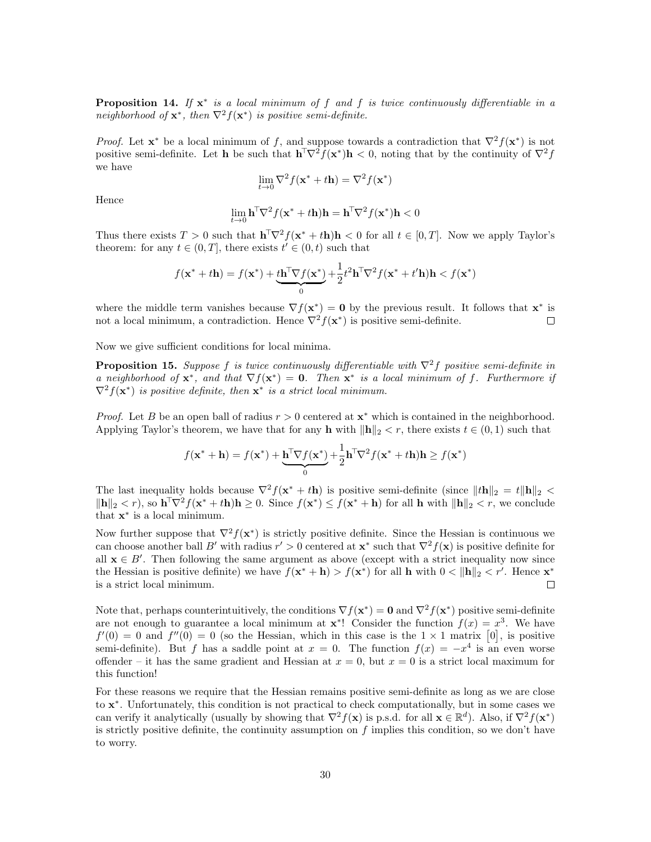**Proposition 14.** If  $x^*$  is a local minimum of f and f is twice continuously differentiable in a neighborhood of  $\mathbf{x}^*$ , then  $\nabla^2 f(\mathbf{x}^*)$  is positive semi-definite.

*Proof.* Let  $\mathbf{x}^*$  be a local minimum of f, and suppose towards a contradiction that  $\nabla^2 f(\mathbf{x}^*)$  is not positive semi-definite. Let **h** be such that  $\mathbf{h}^T \nabla^2 f(\mathbf{x}^*) \mathbf{h} < 0$ , noting that by the continuity of  $\nabla^2 f$ we have

$$
\lim_{t \to 0} \nabla^2 f(\mathbf{x}^* + t\mathbf{h}) = \nabla^2 f(\mathbf{x}^*)
$$

Hence

$$
\lim_{t\to 0} \mathbf{h}^\top \nabla^2 f({\mathbf x}^* + t\mathbf{h})\mathbf{h} = \mathbf{h}^\top \nabla^2 f({\mathbf x}^*)\mathbf{h} < 0
$$

Thus there exists  $T > 0$  such that  $\mathbf{h}^\top \nabla^2 f(\mathbf{x}^* + t\mathbf{h})\mathbf{h} < 0$  for all  $t \in [0, T]$ . Now we apply Taylor's theorem: for any  $t \in (0, T]$ , there exists  $t' \in (0, t)$  such that

$$
f(\mathbf{x}^* + t\mathbf{h}) = f(\mathbf{x}^*) + \underbrace{t\mathbf{h}^{\top}\nabla f(\mathbf{x}^*)}_{0} + \frac{1}{2}t^2\mathbf{h}^{\top}\nabla^2 f(\mathbf{x}^* + t'\mathbf{h})\mathbf{h} < f(\mathbf{x}^*)
$$

where the middle term vanishes because  $\nabla f(\mathbf{x}^*) = \mathbf{0}$  by the previous result. It follows that  $\mathbf{x}^*$  is not a local minimum, a contradiction. Hence  $\nabla^2 f(\mathbf{x}^*)$  is positive semi-definite.  $\Box$ 

Now we give sufficient conditions for local minima.

**Proposition 15.** Suppose f is twice continuously differentiable with  $\nabla^2 f$  positive semi-definite in a neighborhood of  $\mathbf{x}^*$ , and that  $\nabla f(\mathbf{x}^*) = \mathbf{0}$ . Then  $\mathbf{x}^*$  is a local minimum of f. Furthermore if  $\nabla^2 f(\mathbf{x}^*)$  is positive definite, then  $\mathbf{x}^*$  is a strict local minimum.

*Proof.* Let B be an open ball of radius  $r > 0$  centered at  $\mathbf{x}^*$  which is contained in the neighborhood. Applying Taylor's theorem, we have that for any h with  $\|\mathbf{h}\|_2 < r$ , there exists  $t \in (0, 1)$  such that

$$
f(\mathbf{x}^* + \mathbf{h}) = f(\mathbf{x}^*) + \underbrace{\mathbf{h}^{\top} \nabla f(\mathbf{x}^*)}_{0} + \frac{1}{2} \mathbf{h}^{\top} \nabla^2 f(\mathbf{x}^* + t\mathbf{h}) \mathbf{h} \ge f(\mathbf{x}^*)
$$

The last inequality holds because  $\nabla^2 f(x^* + t\mathbf{h})$  is positive semi-definite (since  $||t\mathbf{h}||_2 = t||\mathbf{h}||_2 <$  $\|\mathbf{h}\|_2 < r$ , so  $\mathbf{h}^\top \nabla^2 f(\mathbf{x}^* + t\mathbf{h})\mathbf{h} \geq 0$ . Since  $f(\mathbf{x}^*) \leq f(\mathbf{x}^* + \mathbf{h})$  for all  $\mathbf{h}$  with  $\|\mathbf{h}\|_2 < r$ , we conclude that  $\mathbf{x}^*$  is a local minimum.

Now further suppose that  $\nabla^2 f(\mathbf{x}^*)$  is strictly positive definite. Since the Hessian is continuous we can choose another ball B' with radius  $r' > 0$  centered at  $\mathbf{x}^*$  such that  $\nabla^2 f(\mathbf{x})$  is positive definite for all  $x \in B'$ . Then following the same argument as above (except with a strict inequality now since the Hessian is positive definite) we have  $f(\mathbf{x}^* + \mathbf{h}) > f(\mathbf{x}^*)$  for all  $\mathbf{h}$  with  $0 < ||\mathbf{h}||_2 < r'$ . Hence  $\mathbf{x}^*$ is a strict local minimum.  $\Box$ 

Note that, perhaps counterintuitively, the conditions  $\nabla f(\mathbf{x}^*) = \mathbf{0}$  and  $\nabla^2 f(\mathbf{x}^*)$  positive semi-definite are not enough to guarantee a local minimum at  $\mathbf{x}^*$ ! Consider the function  $f(x) = x^3$ . We have  $f'(0) = 0$  and  $f''(0) = 0$  (so the Hessian, which in this case is the  $1 \times 1$  matrix [0], is positive semi-definite). But f has a saddle point at  $x = 0$ . The function  $f(x) = -x^4$  is an even worse offender – it has the same gradient and Hessian at  $x = 0$ , but  $x = 0$  is a strict local maximum for this function!

For these reasons we require that the Hessian remains positive semi-definite as long as we are close to x ∗ . Unfortunately, this condition is not practical to check computationally, but in some cases we can verify it analytically (usually by showing that  $\nabla^2 f(\mathbf{x})$  is p.s.d. for all  $\mathbf{x} \in \mathbb{R}^d$ ). Also, if  $\nabla^2 f(\mathbf{x}^*)$ is strictly positive definite, the continuity assumption on  $f$  implies this condition, so we don't have to worry.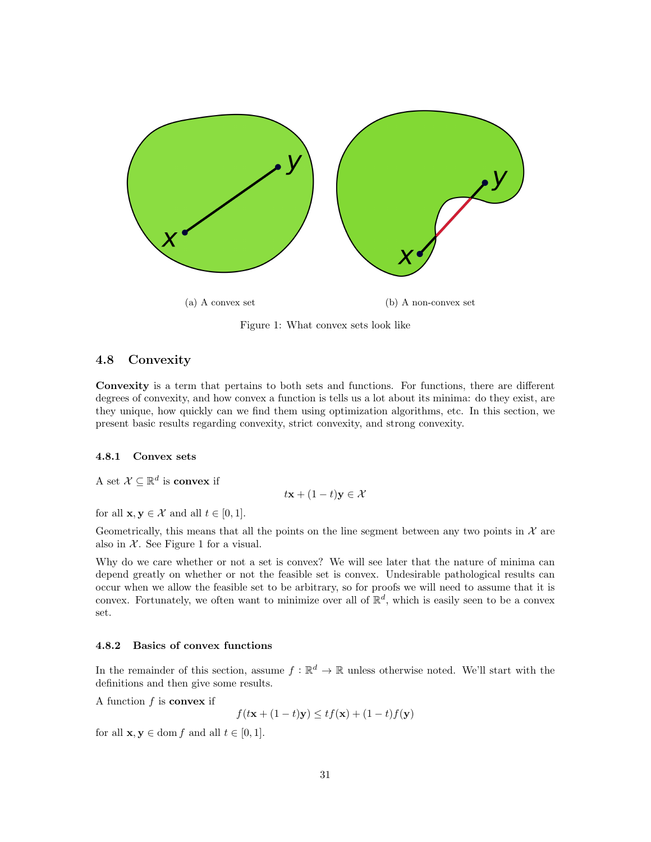<span id="page-30-3"></span>

Figure 1: What convex sets look like

# <span id="page-30-0"></span>4.8 Convexity

Convexity is a term that pertains to both sets and functions. For functions, there are different degrees of convexity, and how convex a function is tells us a lot about its minima: do they exist, are they unique, how quickly can we find them using optimization algorithms, etc. In this section, we present basic results regarding convexity, strict convexity, and strong convexity.

# <span id="page-30-1"></span>4.8.1 Convex sets

A set  $\mathcal{X} \subseteq \mathbb{R}^d$  is convex if

 $t\mathbf{x} + (1-t)\mathbf{y} \in \mathcal{X}$ 

for all  $\mathbf{x}, \mathbf{y} \in \mathcal{X}$  and all  $t \in [0, 1]$ .

Geometrically, this means that all the points on the line segment between any two points in  $\mathcal X$  are also in  $X$ . See Figure [1](#page-30-3) for a visual.

Why do we care whether or not a set is convex? We will see later that the nature of minima can depend greatly on whether or not the feasible set is convex. Undesirable pathological results can occur when we allow the feasible set to be arbitrary, so for proofs we will need to assume that it is convex. Fortunately, we often want to minimize over all of  $\mathbb{R}^d$ , which is easily seen to be a convex set.

### <span id="page-30-2"></span>4.8.2 Basics of convex functions

In the remainder of this section, assume  $f : \mathbb{R}^d \to \mathbb{R}$  unless otherwise noted. We'll start with the definitions and then give some results.

A function  $f$  is **convex** if

 $f(t\mathbf{x} + (1-t)\mathbf{y}) \leq tf(\mathbf{x}) + (1-t)f(\mathbf{y})$ 

for all  $\mathbf{x}, \mathbf{y} \in \text{dom } f$  and all  $t \in [0, 1]$ .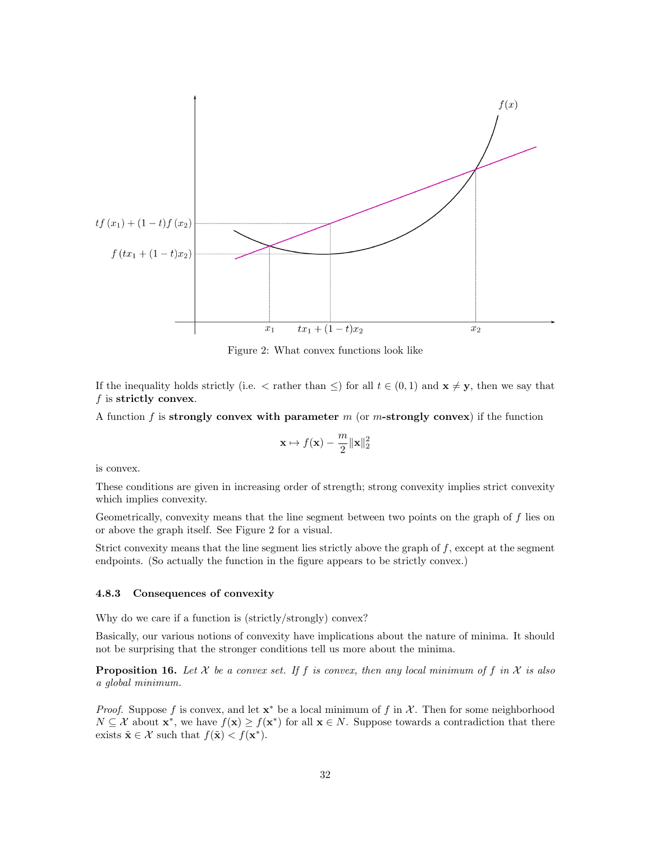<span id="page-31-1"></span>

Figure 2: What convex functions look like

If the inequality holds strictly (i.e.  $\langle$  rather than  $\leq$ ) for all  $t \in (0,1)$  and  $\mathbf{x} \neq \mathbf{y}$ , then we say that  $f$  is strictly convex.

A function f is strongly convex with parameter  $m$  (or m-strongly convex) if the function

$$
\mathbf{x}\mapsto f(\mathbf{x})-\frac{m}{2}\|\mathbf{x}\|_2^2
$$

is convex.

These conditions are given in increasing order of strength; strong convexity implies strict convexity which implies convexity.

Geometrically, convexity means that the line segment between two points on the graph of f lies on or above the graph itself. See Figure [2](#page-31-1) for a visual.

Strict convexity means that the line segment lies strictly above the graph of  $f$ , except at the segment endpoints. (So actually the function in the figure appears to be strictly convex.)

#### <span id="page-31-0"></span>4.8.3 Consequences of convexity

Why do we care if a function is (strictly/strongly) convex?

Basically, our various notions of convexity have implications about the nature of minima. It should not be surprising that the stronger conditions tell us more about the minima.

**Proposition 16.** Let X be a convex set. If f is convex, then any local minimum of f in X is also a global minimum.

*Proof.* Suppose f is convex, and let  $\mathbf{x}^*$  be a local minimum of f in  $\mathcal{X}$ . Then for some neighborhood  $N \subseteq \mathcal{X}$  about  $\mathbf{x}^*$ , we have  $f(\mathbf{x}) \geq f(\mathbf{x}^*)$  for all  $\mathbf{x} \in N$ . Suppose towards a contradiction that there exists  $\tilde{\mathbf{x}} \in \mathcal{X}$  such that  $f(\tilde{\mathbf{x}}) < f(\mathbf{x}^*)$ .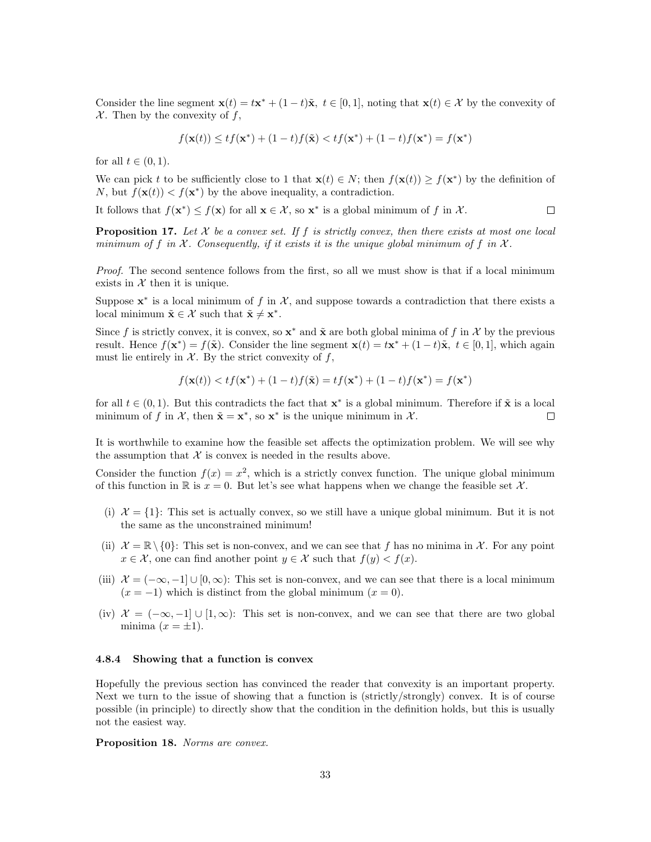Consider the line segment  $\mathbf{x}(t) = t\mathbf{x}^* + (1-t)\tilde{\mathbf{x}}, t \in [0,1]$ , noting that  $\mathbf{x}(t) \in \mathcal{X}$  by the convexity of  $X$ . Then by the convexity of f,

$$
f(\mathbf{x}(t)) \le tf(\mathbf{x}^*) + (1-t)f(\tilde{\mathbf{x}}) < tf(\mathbf{x}^*) + (1-t)f(\mathbf{x}^*) = f(\mathbf{x}^*)
$$

for all  $t \in (0,1)$ .

We can pick t to be sufficiently close to 1 that  $\mathbf{x}(t) \in N$ ; then  $f(\mathbf{x}(t)) \ge f(\mathbf{x}^*)$  by the definition of N, but  $f(\mathbf{x}(t)) < f(\mathbf{x}^*)$  by the above inequality, a contradiction.

It follows that  $f(\mathbf{x}^*) \leq f(\mathbf{x})$  for all  $\mathbf{x} \in \mathcal{X}$ , so  $\mathbf{x}^*$  is a global minimum of f in  $\mathcal{X}$ .  $\Box$ 

**Proposition 17.** Let  $\mathcal X$  be a convex set. If f is strictly convex, then there exists at most one local minimum of f in  $\mathcal X$ . Consequently, if it exists it is the unique global minimum of f in  $\mathcal X$ .

Proof. The second sentence follows from the first, so all we must show is that if a local minimum exists in  $X$  then it is unique.

Suppose  $\mathbf{x}^*$  is a local minimum of f in X, and suppose towards a contradiction that there exists a local minimum  $\tilde{\mathbf{x}} \in \mathcal{X}$  such that  $\tilde{\mathbf{x}} \neq \mathbf{x}^*$ .

Since f is strictly convex, it is convex, so  $x^*$  and  $\tilde{x}$  are both global minima of f in X by the previous result. Hence  $f(\mathbf{x}^*) = f(\tilde{\mathbf{x}})$ . Consider the line segment  $\mathbf{x}(t) = t\mathbf{x}^* + (1-t)\tilde{\mathbf{x}}, t \in [0,1]$ , which again must lie entirely in  $X$ . By the strict convexity of f,

$$
f(\mathbf{x}(t)) < tf(\mathbf{x}^*) + (1-t)f(\tilde{\mathbf{x}}) = tf(\mathbf{x}^*) + (1-t)f(\mathbf{x}^*) = f(\mathbf{x}^*)
$$

for all  $t \in (0,1)$ . But this contradicts the fact that  $\mathbf{x}^*$  is a global minimum. Therefore if  $\tilde{\mathbf{x}}$  is a local minimum of f in X, then  $\tilde{\mathbf{x}} = \mathbf{x}^*$ , so  $\mathbf{x}^*$  is the unique minimum in X. П

It is worthwhile to examine how the feasible set affects the optimization problem. We will see why the assumption that  $X$  is convex is needed in the results above.

Consider the function  $f(x) = x^2$ , which is a strictly convex function. The unique global minimum of this function in R is  $x = 0$ . But let's see what happens when we change the feasible set X.

- (i)  $\mathcal{X} = \{1\}$ : This set is actually convex, so we still have a unique global minimum. But it is not the same as the unconstrained minimum!
- (ii)  $\mathcal{X} = \mathbb{R} \setminus \{0\}$ : This set is non-convex, and we can see that f has no minima in X. For any point  $x \in \mathcal{X}$ , one can find another point  $y \in \mathcal{X}$  such that  $f(y) < f(x)$ .
- (iii)  $\mathcal{X} = (-\infty, -1] \cup [0, \infty)$ : This set is non-convex, and we can see that there is a local minimum  $(x = -1)$  which is distinct from the global minimum  $(x = 0)$ .
- (iv)  $\mathcal{X} = (-\infty, -1] \cup [1, \infty)$ : This set is non-convex, and we can see that there are two global minima  $(x = \pm 1)$ .

### <span id="page-32-0"></span>4.8.4 Showing that a function is convex

Hopefully the previous section has convinced the reader that convexity is an important property. Next we turn to the issue of showing that a function is (strictly/strongly) convex. It is of course possible (in principle) to directly show that the condition in the definition holds, but this is usually not the easiest way.

Proposition 18. Norms are convex.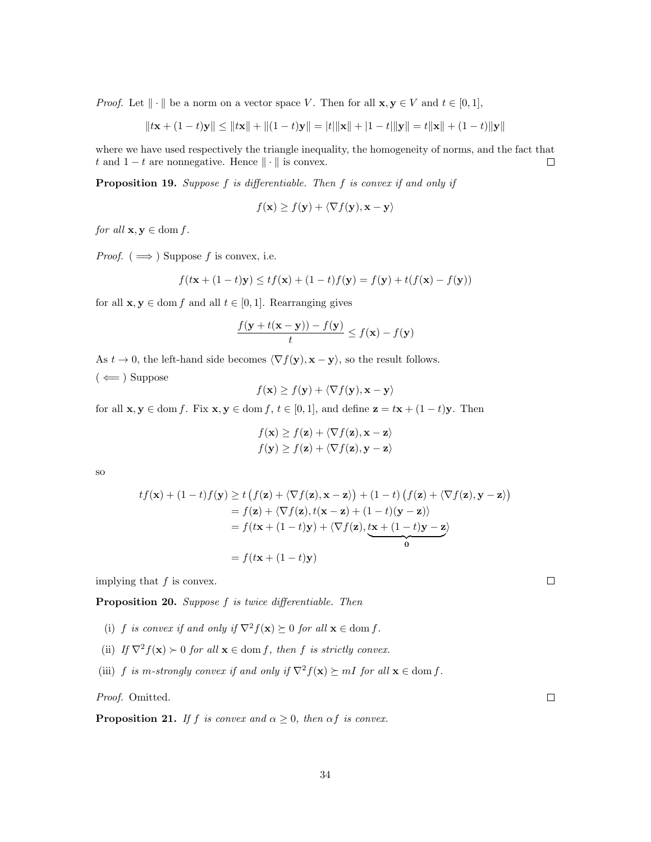*Proof.* Let  $\|\cdot\|$  be a norm on a vector space V. Then for all  $\mathbf{x}, \mathbf{y} \in V$  and  $t \in [0, 1]$ ,

$$
||t\mathbf{x} + (1-t)\mathbf{y}|| \le ||t\mathbf{x}|| + ||(1-t)\mathbf{y}|| = |t| ||\mathbf{x}|| + |1-t| ||\mathbf{y}|| = t ||\mathbf{x}|| + (1-t) ||\mathbf{y}||
$$

where we have used respectively the triangle inequality, the homogeneity of norms, and the fact that t and  $1 - t$  are nonnegative. Hence  $\|\cdot\|$  is convex.  $\Box$ 

Proposition 19. Suppose f is differentiable. Then f is convex if and only if

$$
f(\mathbf{x}) \ge f(\mathbf{y}) + \langle \nabla f(\mathbf{y}), \mathbf{x} - \mathbf{y} \rangle
$$

for all  $\mathbf{x}, \mathbf{y} \in \text{dom } f$ .

*Proof.* ( $\implies$ ) Suppose f is convex, i.e.

$$
f(t\mathbf{x} + (1-t)\mathbf{y}) \le tf(\mathbf{x}) + (1-t)f(\mathbf{y}) = f(\mathbf{y}) + t(f(\mathbf{x}) - f(\mathbf{y}))
$$

for all  $\mathbf{x}, \mathbf{y} \in \text{dom } f$  and all  $t \in [0, 1]$ . Rearranging gives

$$
\frac{f(\mathbf{y} + t(\mathbf{x} - \mathbf{y})) - f(\mathbf{y})}{t} \le f(\mathbf{x}) - f(\mathbf{y})
$$

As  $t \to 0$ , the left-hand side becomes  $\langle \nabla f(\mathbf{y}), \mathbf{x} - \mathbf{y} \rangle$ , so the result follows.  $(\Leftarrow)$  Suppose

$$
f(\mathbf{x}) \ge f(\mathbf{y}) + \langle \nabla f(\mathbf{y}), \mathbf{x} - \mathbf{y} \rangle
$$

for all  $\mathbf{x}, \mathbf{y} \in \text{dom } f$ . Fix  $\mathbf{x}, \mathbf{y} \in \text{dom } f$ ,  $t \in [0, 1]$ , and define  $\mathbf{z} = t\mathbf{x} + (1 - t)\mathbf{y}$ . Then

$$
f(\mathbf{x}) \ge f(\mathbf{z}) + \langle \nabla f(\mathbf{z}), \mathbf{x} - \mathbf{z} \rangle
$$

$$
f(\mathbf{y}) \ge f(\mathbf{z}) + \langle \nabla f(\mathbf{z}), \mathbf{y} - \mathbf{z} \rangle
$$

so

$$
tf(\mathbf{x}) + (1-t)f(\mathbf{y}) \ge t \left( f(\mathbf{z}) + \langle \nabla f(\mathbf{z}), \mathbf{x} - \mathbf{z} \rangle \right) + (1-t) \left( f(\mathbf{z}) + \langle \nabla f(\mathbf{z}), \mathbf{y} - \mathbf{z} \rangle \right)
$$
  
=  $f(\mathbf{z}) + \langle \nabla f(\mathbf{z}), t(\mathbf{x} - \mathbf{z}) + (1-t)(\mathbf{y} - \mathbf{z}) \rangle$   
=  $f(t\mathbf{x} + (1-t)\mathbf{y}) + \langle \nabla f(\mathbf{z}), \underbrace{t\mathbf{x} + (1-t)\mathbf{y} - \mathbf{z}}_0 \rangle$   
=  $f(t\mathbf{x} + (1-t)\mathbf{y})$ 

implying that  $f$  is convex.

Proposition 20. Suppose f is twice differentiable. Then

- (i) f is convex if and only if  $\nabla^2 f(\mathbf{x}) \succeq 0$  for all  $\mathbf{x} \in \text{dom } f$ .
- (ii) If  $\nabla^2 f(\mathbf{x}) \succ 0$  for all  $\mathbf{x} \in \text{dom } f$ , then f is strictly convex.
- (iii) f is m-strongly convex if and only if  $\nabla^2 f(\mathbf{x}) \succeq mI$  for all  $\mathbf{x} \in \text{dom } f$ .

Proof. Omitted.

**Proposition 21.** If f is convex and  $\alpha \geq 0$ , then  $\alpha f$  is convex.

 $\Box$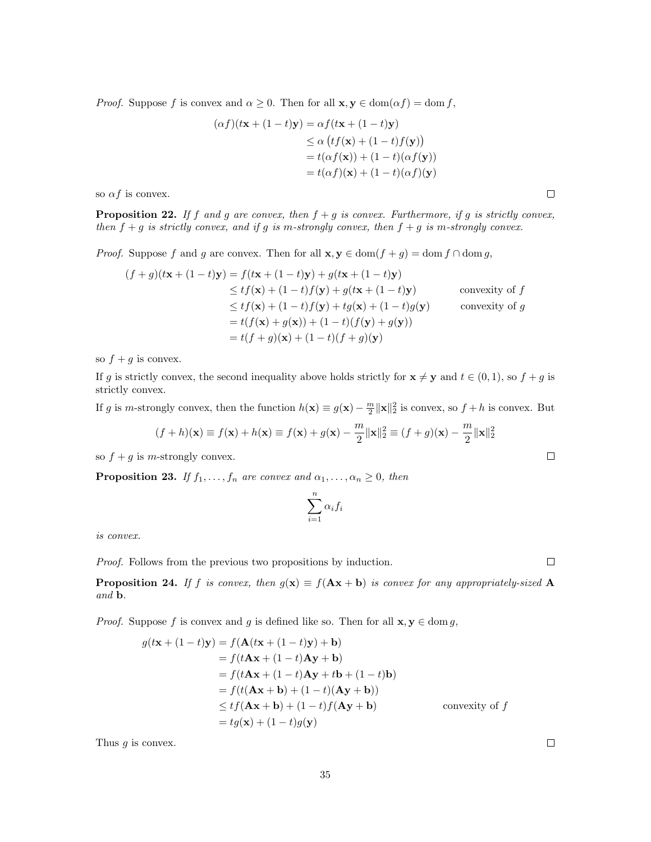*Proof.* Suppose f is convex and  $\alpha \geq 0$ . Then for all  $\mathbf{x}, \mathbf{y} \in \text{dom}(\alpha f) = \text{dom} f$ ,

$$
(\alpha f)(t\mathbf{x} + (1-t)\mathbf{y}) = \alpha f(t\mathbf{x} + (1-t)\mathbf{y})
$$
  
\n
$$
\leq \alpha \left( t f(\mathbf{x}) + (1-t) f(\mathbf{y}) \right)
$$
  
\n
$$
= t(\alpha f(\mathbf{x})) + (1-t)(\alpha f(\mathbf{y}))
$$
  
\n
$$
= t(\alpha f)(\mathbf{x}) + (1-t)(\alpha f)(\mathbf{y})
$$

so  $\alpha f$  is convex.

**Proposition 22.** If f and g are convex, then  $f + g$  is convex. Furthermore, if g is strictly convex, then  $f + g$  is strictly convex, and if g is m-strongly convex, then  $f + g$  is m-strongly convex.

*Proof.* Suppose f and g are convex. Then for all  $\mathbf{x}, \mathbf{y} \in \text{dom}(f + g) = \text{dom } f \cap \text{dom } g$ ,

$$
(f+g)(t\mathbf{x} + (1-t)\mathbf{y}) = f(t\mathbf{x} + (1-t)\mathbf{y}) + g(t\mathbf{x} + (1-t)\mathbf{y})
$$
  
\n
$$
\leq tf(\mathbf{x}) + (1-t)f(\mathbf{y}) + g(t\mathbf{x} + (1-t)\mathbf{y})
$$
convexity of f  
\n
$$
\leq tf(\mathbf{x}) + (1-t)f(\mathbf{y}) + tg(\mathbf{x}) + (1-t)g(\mathbf{y})
$$
convexity of g  
\n
$$
= t(f(\mathbf{x}) + g(\mathbf{x})) + (1-t)(f(\mathbf{y}) + g(\mathbf{y}))
$$
  
\n
$$
= t(f+g)(\mathbf{x}) + (1-t)(f+g)(\mathbf{y})
$$

so  $f + g$  is convex.

If g is strictly convex, the second inequality above holds strictly for  $\mathbf{x} \neq \mathbf{y}$  and  $t \in (0, 1)$ , so  $f + g$  is strictly convex.

If g is m-strongly convex, then the function  $h(\mathbf{x}) \equiv g(\mathbf{x}) - \frac{m}{2} ||\mathbf{x}||_2^2$  is convex, so  $f + h$  is convex. But

$$
(f+h)(\mathbf{x}) \equiv f(\mathbf{x}) + h(\mathbf{x}) \equiv f(\mathbf{x}) + g(\mathbf{x}) - \frac{m}{2} ||\mathbf{x}||_2^2 \equiv (f+g)(\mathbf{x}) - \frac{m}{2} ||\mathbf{x}||_2^2
$$

so  $f + g$  is *m*-strongly convex.

**Proposition 23.** If  $f_1, \ldots, f_n$  are convex and  $\alpha_1, \ldots, \alpha_n \geq 0$ , then

$$
\sum_{i=1}^n \alpha_i f_i
$$

is convex.

Proof. Follows from the previous two propositions by induction.

**Proposition 24.** If f is convex, then  $g(x) \equiv f(Ax + b)$  is convex for any appropriately-sized A and b.

*Proof.* Suppose f is convex and g is defined like so. Then for all  $\mathbf{x}, \mathbf{y} \in \text{dom } g$ ,

$$
g(t\mathbf{x} + (1-t)\mathbf{y}) = f(\mathbf{A}(t\mathbf{x} + (1-t)\mathbf{y}) + \mathbf{b})
$$
  
=  $f(t\mathbf{A}\mathbf{x} + (1-t)\mathbf{A}\mathbf{y} + \mathbf{b})$   
=  $f(t\mathbf{A}\mathbf{x} + (1-t)\mathbf{A}\mathbf{y} + t\mathbf{b} + (1-t)\mathbf{b})$   
=  $f(t(\mathbf{A}\mathbf{x} + \mathbf{b}) + (1-t)(\mathbf{A}\mathbf{y} + \mathbf{b}))$   
 $\leq tf(\mathbf{A}\mathbf{x} + \mathbf{b}) + (1-t)f(\mathbf{A}\mathbf{y} + \mathbf{b})$  convexity of  $f$   
=  $tg(\mathbf{x}) + (1-t)g(\mathbf{y})$ 

Thus  $g$  is convex.

 $\Box$ 

 $\Box$ 

 $\Box$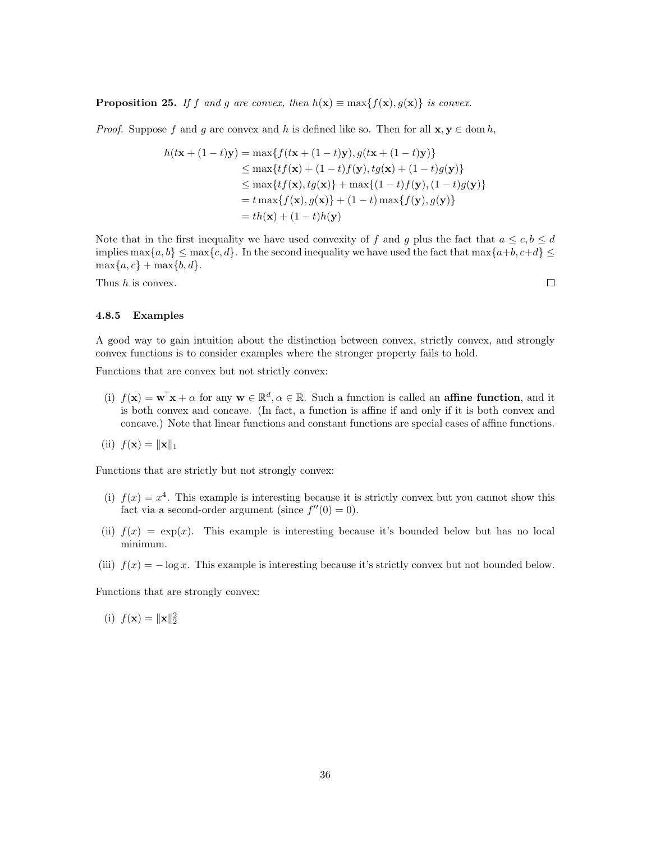**Proposition 25.** If f and g are convex, then  $h(\mathbf{x}) \equiv \max\{f(\mathbf{x}), g(\mathbf{x})\}\$ is convex.

*Proof.* Suppose f and g are convex and h is defined like so. Then for all  $\mathbf{x}, \mathbf{y} \in \text{dom } h$ ,

$$
h(t\mathbf{x} + (1-t)\mathbf{y}) = \max\{f(t\mathbf{x} + (1-t)\mathbf{y}), g(t\mathbf{x} + (1-t)\mathbf{y})\}
$$
  
\n
$$
\leq \max\{tf(\mathbf{x}) + (1-t)f(\mathbf{y}), tg(\mathbf{x}) + (1-t)g(\mathbf{y})\}
$$
  
\n
$$
\leq \max\{tf(\mathbf{x}), tg(\mathbf{x})\} + \max\{(1-t)f(\mathbf{y}), (1-t)g(\mathbf{y})\}
$$
  
\n
$$
= t\max\{f(\mathbf{x}), g(\mathbf{x})\} + (1-t)\max\{f(\mathbf{y}), g(\mathbf{y})\}
$$
  
\n
$$
= th(\mathbf{x}) + (1-t)h(\mathbf{y})
$$

Note that in the first inequality we have used convexity of f and g plus the fact that  $a \leq c, b \leq d$ implies  $\max\{a, b\} \leq \max\{c, d\}$ . In the second inequality we have used the fact that  $\max\{a+b, c+d\} \leq$  $\max\{a, c\} + \max\{b, d\}.$ 

Thus  $h$  is convex.

### <span id="page-35-0"></span>4.8.5 Examples

A good way to gain intuition about the distinction between convex, strictly convex, and strongly convex functions is to consider examples where the stronger property fails to hold.

Functions that are convex but not strictly convex:

(i)  $f(\mathbf{x}) = \mathbf{w}^{\mathsf{T}}\mathbf{x} + \alpha$  for any  $\mathbf{w} \in \mathbb{R}^d, \alpha \in \mathbb{R}$ . Such a function is called an **affine function**, and it is both convex and concave. (In fact, a function is affine if and only if it is both convex and concave.) Note that linear functions and constant functions are special cases of affine functions.

$$
(ii) f(\mathbf{x}) = \|\mathbf{x}\|_1
$$

Functions that are strictly but not strongly convex:

- (i)  $f(x) = x<sup>4</sup>$ . This example is interesting because it is strictly convex but you cannot show this fact via a second-order argument (since  $f''(0) = 0$ ).
- (ii)  $f(x) = \exp(x)$ . This example is interesting because it's bounded below but has no local minimum.
- (iii)  $f(x) = -\log x$ . This example is interesting because it's strictly convex but not bounded below.

Functions that are strongly convex:

(i)  $f(\mathbf{x}) = ||\mathbf{x}||_2^2$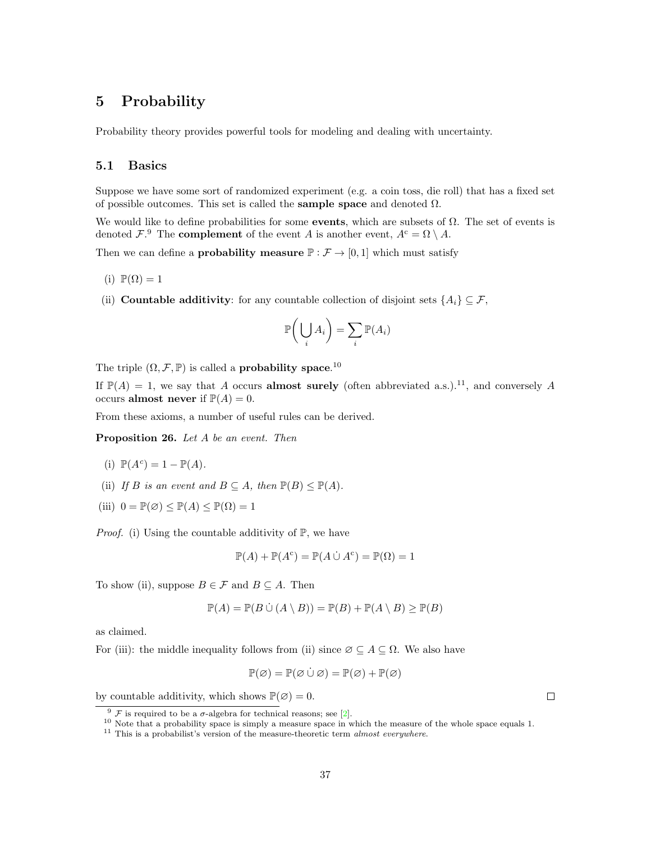# <span id="page-36-0"></span>5 Probability

Probability theory provides powerful tools for modeling and dealing with uncertainty.

# <span id="page-36-1"></span>5.1 Basics

Suppose we have some sort of randomized experiment (e.g. a coin toss, die roll) that has a fixed set of possible outcomes. This set is called the **sample space** and denoted  $\Omega$ .

We would like to define probabilities for some **events**, which are subsets of  $\Omega$ . The set of events is denoted  $\mathcal{F}$ . The **complement** of the event A is another event,  $A^c = \Omega \setminus A$ .

Then we can define a **probability measure**  $\mathbb{P}: \mathcal{F} \to [0, 1]$  which must satisfy

- (i)  $\mathbb{P}(\Omega) = 1$
- (ii) **Countable additivity**: for any countable collection of disjoint sets  $\{A_i\} \subseteq \mathcal{F}$ ,

$$
\mathbb{P}\bigg(\bigcup_i A_i\bigg) = \sum_i \mathbb{P}(A_i)
$$

The triple  $(\Omega, \mathcal{F}, \mathbb{P})$  is called a **probability space**.<sup>[10](#page-36-3)</sup>

If  $\mathbb{P}(A) = 1$ , we say that A occurs **almost surely** (often abbreviated a.s.).<sup>[11](#page-36-4)</sup>, and conversely A occurs almost never if  $\mathbb{P}(A) = 0$ .

From these axioms, a number of useful rules can be derived.

Proposition 26. Let A be an event. Then

(i) 
$$
\mathbb{P}(A^c) = 1 - \mathbb{P}(A)
$$
.

- (ii) If B is an event and  $B \subseteq A$ , then  $\mathbb{P}(B) \le \mathbb{P}(A)$ .
- (iii)  $0 = \mathbb{P}(\emptyset) \leq \mathbb{P}(A) \leq \mathbb{P}(\Omega) = 1$

*Proof.* (i) Using the countable additivity of  $\mathbb{P}$ , we have

$$
\mathbb{P}(A) + \mathbb{P}(A^c) = \mathbb{P}(A \cup A^c) = \mathbb{P}(\Omega) = 1
$$

To show (ii), suppose  $B \in \mathcal{F}$  and  $B \subseteq A$ . Then

$$
\mathbb{P}(A) = \mathbb{P}(B \cup (A \setminus B)) = \mathbb{P}(B) + \mathbb{P}(A \setminus B) \ge \mathbb{P}(B)
$$

as claimed.

For (iii): the middle inequality follows from (ii) since  $\emptyset \subseteq A \subseteq \Omega$ . We also have

$$
\mathbb{P}(\varnothing) = \mathbb{P}(\varnothing \cup \varnothing) = \mathbb{P}(\varnothing) + \mathbb{P}(\varnothing)
$$

 $\Box$ 

by countable additivity, which shows  $\mathbb{P}(\emptyset) = 0$ .

<span id="page-36-2"></span> $\frac{9 \mathcal{F}}{2}$  is required to be a  $\sigma$ -algebra for technical reasons; see [\[2\]](#page-46-3).

<span id="page-36-3"></span><sup>10</sup> Note that a probability space is simply a measure space in which the measure of the whole space equals 1.

<span id="page-36-4"></span> $^{11}$  This is a probabilist's version of the measure-theoretic term  $\emph{almost everywhere}.$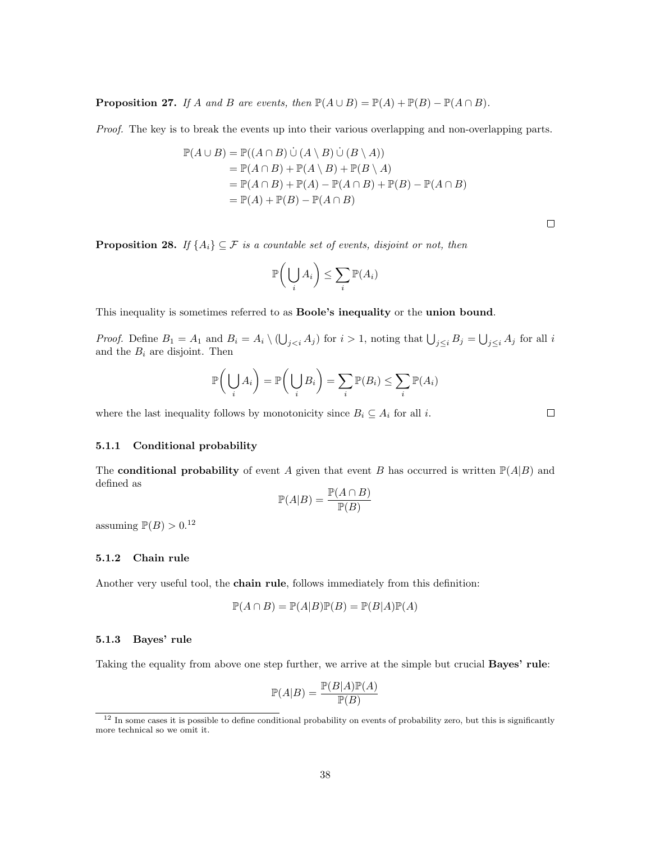**Proposition 27.** If A and B are events, then  $\mathbb{P}(A \cup B) = \mathbb{P}(A) + \mathbb{P}(B) - \mathbb{P}(A \cap B)$ .

Proof. The key is to break the events up into their various overlapping and non-overlapping parts.

$$
\mathbb{P}(A \cup B) = \mathbb{P}((A \cap B) \cup (A \setminus B) \cup (B \setminus A))
$$
  
=  $\mathbb{P}(A \cap B) + \mathbb{P}(A \setminus B) + \mathbb{P}(B \setminus A)$   
=  $\mathbb{P}(A \cap B) + \mathbb{P}(A) - \mathbb{P}(A \cap B) + \mathbb{P}(B) - \mathbb{P}(A \cap B)$   
=  $\mathbb{P}(A) + \mathbb{P}(B) - \mathbb{P}(A \cap B)$ 

**Proposition 28.** If  $\{A_i\} \subseteq \mathcal{F}$  is a countable set of events, disjoint or not, then

$$
\mathbb{P}\bigg(\bigcup_i A_i\bigg) \leq \sum_i \mathbb{P}(A_i)
$$

This inequality is sometimes referred to as Boole's inequality or the union bound.

*Proof.* Define  $B_1 = A_1$  and  $B_i = A_i \setminus (\bigcup_{j < i} A_j)$  for  $i > 1$ , noting that  $\bigcup_{j \leq i} B_j = \bigcup_{j \leq i} A_j$  for all i and the  $B_i$  are disjoint. Then

$$
\mathbb{P}\bigg(\bigcup_i A_i\bigg) = \mathbb{P}\bigg(\bigcup_i B_i\bigg) = \sum_i \mathbb{P}(B_i) \le \sum_i \mathbb{P}(A_i)
$$

where the last inequality follows by monotonicity since  $B_i \subseteq A_i$  for all *i*.

 $\Box$ 

### <span id="page-37-0"></span>5.1.1 Conditional probability

The **conditional probability** of event A given that event B has occurred is written  $\mathbb{P}(A|B)$  and defined as

$$
\mathbb{P}(A|B) = \frac{\mathbb{P}(A \cap B)}{\mathbb{P}(B)}
$$

assuming  $\mathbb{P}(B) > 0.12$  $\mathbb{P}(B) > 0.12$ 

### <span id="page-37-1"></span>5.1.2 Chain rule

Another very useful tool, the chain rule, follows immediately from this definition:

$$
\mathbb{P}(A \cap B) = \mathbb{P}(A|B)\mathbb{P}(B) = \mathbb{P}(B|A)\mathbb{P}(A)
$$

#### <span id="page-37-2"></span>5.1.3 Bayes' rule

Taking the equality from above one step further, we arrive at the simple but crucial Bayes' rule:

$$
\mathbb{P}(A|B) = \frac{\mathbb{P}(B|A)\mathbb{P}(A)}{\mathbb{P}(B)}
$$

<span id="page-37-3"></span> $12$  In some cases it is possible to define conditional probability on events of probability zero, but this is significantly more technical so we omit it.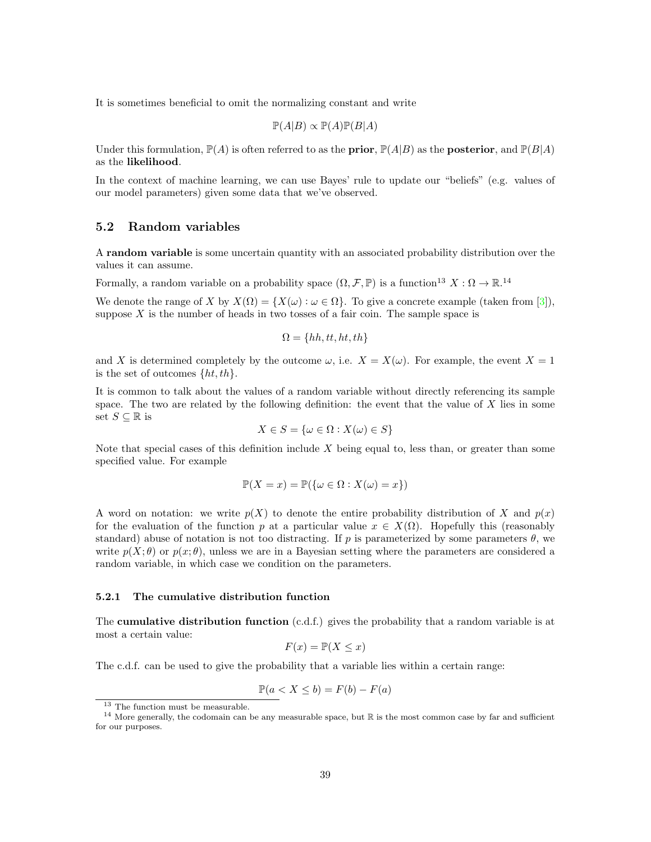It is sometimes beneficial to omit the normalizing constant and write

$$
\mathbb{P}(A|B) \propto \mathbb{P}(A)\mathbb{P}(B|A)
$$

Under this formulation,  $\mathbb{P}(A)$  is often referred to as the **prior**,  $\mathbb{P}(A|B)$  as the **posterior**, and  $\mathbb{P}(B|A)$ as the likelihood.

In the context of machine learning, we can use Bayes' rule to update our "beliefs" (e.g. values of our model parameters) given some data that we've observed.

# <span id="page-38-0"></span>5.2 Random variables

A random variable is some uncertain quantity with an associated probability distribution over the values it can assume.

Formally, a random variable on a probability space  $(\Omega, \mathcal{F}, \mathbb{P})$  is a function<sup>[13](#page-38-2)</sup>  $X : \Omega \to \mathbb{R}^{14}$  $X : \Omega \to \mathbb{R}^{14}$  $X : \Omega \to \mathbb{R}^{14}$ 

We denote the range of X by  $X(\Omega) = \{X(\omega) : \omega \in \Omega\}$ . To give a concrete example (taken from [\[3\]](#page-46-4)), suppose  $X$  is the number of heads in two tosses of a fair coin. The sample space is

$$
\Omega = \{hh, tt, ht, th\}
$$

and X is determined completely by the outcome  $\omega$ , i.e.  $X = X(\omega)$ . For example, the event  $X = 1$ is the set of outcomes  $\{ht, th\}.$ 

It is common to talk about the values of a random variable without directly referencing its sample space. The two are related by the following definition: the event that the value of  $X$  lies in some set  $S \subseteq \mathbb{R}$  is

$$
X \in S = \{ \omega \in \Omega : X(\omega) \in S \}
$$

Note that special cases of this definition include  $X$  being equal to, less than, or greater than some specified value. For example

$$
\mathbb{P}(X = x) = \mathbb{P}(\{\omega \in \Omega : X(\omega) = x\})
$$

A word on notation: we write  $p(X)$  to denote the entire probability distribution of X and  $p(x)$ for the evaluation of the function p at a particular value  $x \in X(\Omega)$ . Hopefully this (reasonably standard) abuse of notation is not too distracting. If p is parameterized by some parameters  $\theta$ , we write  $p(X; \theta)$  or  $p(x; \theta)$ , unless we are in a Bayesian setting where the parameters are considered a random variable, in which case we condition on the parameters.

#### <span id="page-38-1"></span>5.2.1 The cumulative distribution function

The **cumulative distribution function** (c.d.f.) gives the probability that a random variable is at most a certain value:

$$
F(x) = \mathbb{P}(X \le x)
$$

The c.d.f. can be used to give the probability that a variable lies within a certain range:

$$
\mathbb{P}(a < X \le b) = F(b) - F(a)
$$

<span id="page-38-3"></span><span id="page-38-2"></span><sup>&</sup>lt;sup>13</sup> The function must be measurable.

 $14$  More generally, the codomain can be any measurable space, but  $\mathbb R$  is the most common case by far and sufficient for our purposes.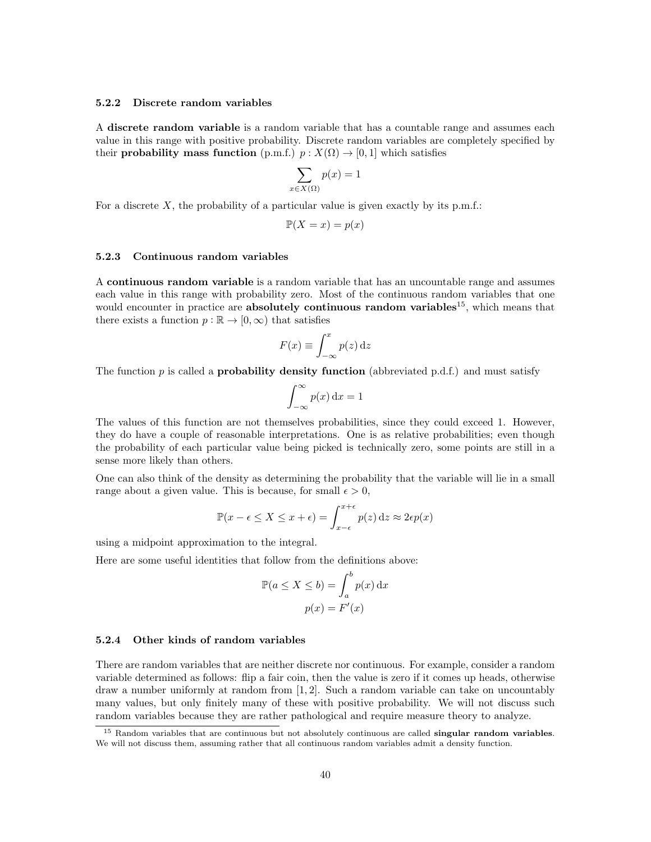### <span id="page-39-0"></span>5.2.2 Discrete random variables

A discrete random variable is a random variable that has a countable range and assumes each value in this range with positive probability. Discrete random variables are completely specified by their **probability mass function** (p.m.f.)  $p: X(\Omega) \to [0, 1]$  which satisfies

$$
\sum_{x \in X(\Omega)} p(x) = 1
$$

For a discrete  $X$ , the probability of a particular value is given exactly by its p.m.f.:

$$
\mathbb{P}(X=x) = p(x)
$$

### <span id="page-39-1"></span>5.2.3 Continuous random variables

A continuous random variable is a random variable that has an uncountable range and assumes each value in this range with probability zero. Most of the continuous random variables that one would encounter in practice are **absolutely continuous random variables**<sup>[15](#page-39-3)</sup>, which means that there exists a function  $p : \mathbb{R} \to [0, \infty)$  that satisfies

$$
F(x) \equiv \int_{-\infty}^{x} p(z) \,\mathrm{d}z
$$

The function p is called a **probability density function** (abbreviated p.d.f.) and must satisfy

$$
\int_{-\infty}^{\infty} p(x) \, \mathrm{d}x = 1
$$

The values of this function are not themselves probabilities, since they could exceed 1. However, they do have a couple of reasonable interpretations. One is as relative probabilities; even though the probability of each particular value being picked is technically zero, some points are still in a sense more likely than others.

One can also think of the density as determining the probability that the variable will lie in a small range about a given value. This is because, for small  $\epsilon > 0$ ,

$$
\mathbb{P}(x - \epsilon \le X \le x + \epsilon) = \int_{x - \epsilon}^{x + \epsilon} p(z) dz \approx 2\epsilon p(x)
$$

using a midpoint approximation to the integral.

Here are some useful identities that follow from the definitions above:

$$
\mathbb{P}(a \le X \le b) = \int_{a}^{b} p(x) dx
$$

$$
p(x) = F'(x)
$$

#### <span id="page-39-2"></span>5.2.4 Other kinds of random variables

There are random variables that are neither discrete nor continuous. For example, consider a random variable determined as follows: flip a fair coin, then the value is zero if it comes up heads, otherwise draw a number uniformly at random from  $[1, 2]$ . Such a random variable can take on uncountably many values, but only finitely many of these with positive probability. We will not discuss such random variables because they are rather pathological and require measure theory to analyze.

<span id="page-39-3"></span> $15$  Random variables that are continuous but not absolutely continuous are called **singular random variables**. We will not discuss them, assuming rather that all continuous random variables admit a density function.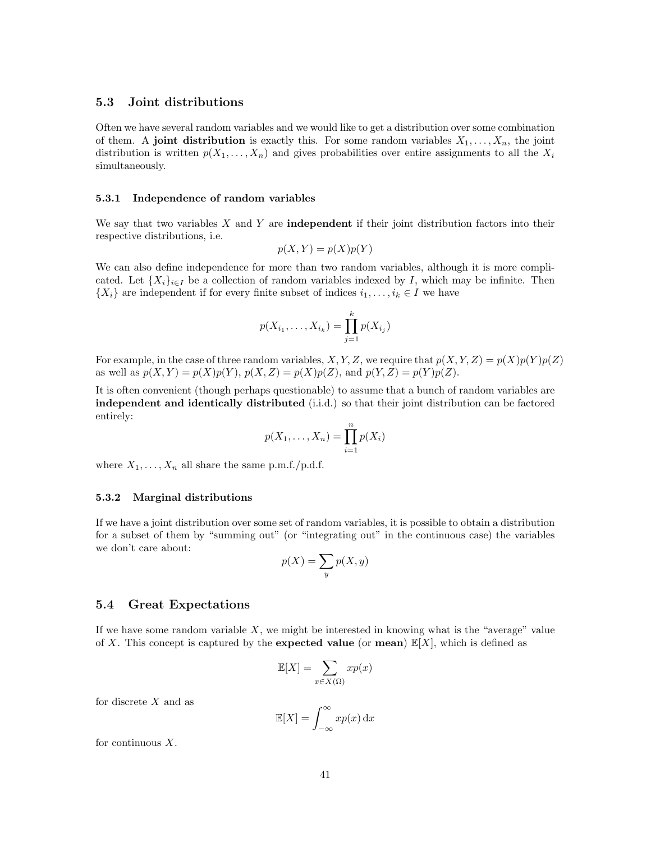# <span id="page-40-0"></span>5.3 Joint distributions

Often we have several random variables and we would like to get a distribution over some combination of them. A joint distribution is exactly this. For some random variables  $X_1, \ldots, X_n$ , the joint distribution is written  $p(X_1, \ldots, X_n)$  and gives probabilities over entire assignments to all the  $X_i$ simultaneously.

### <span id="page-40-1"></span>5.3.1 Independence of random variables

We say that two variables  $X$  and  $Y$  are **independent** if their joint distribution factors into their respective distributions, i.e.

$$
p(X, Y) = p(X)p(Y)
$$

We can also define independence for more than two random variables, although it is more complicated. Let  $\{X_i\}_{i\in I}$  be a collection of random variables indexed by I, which may be infinite. Then  $\{X_i\}$  are independent if for every finite subset of indices  $i_1, \ldots, i_k \in I$  we have

$$
p(X_{i_1},...,X_{i_k}) = \prod_{j=1}^k p(X_{i_j})
$$

For example, in the case of three random variables, X, Y, Z, we require that  $p(X, Y, Z) = p(X)p(Y)p(Z)$ as well as  $p(X, Y) = p(X)p(Y), p(X, Z) = p(X)p(Z)$ , and  $p(Y, Z) = p(Y)p(Z)$ .

It is often convenient (though perhaps questionable) to assume that a bunch of random variables are independent and identically distributed (i.i.d.) so that their joint distribution can be factored entirely:

$$
p(X_1,\ldots,X_n)=\prod_{i=1}^n p(X_i)
$$

where  $X_1, \ldots, X_n$  all share the same p.m.f./p.d.f.

#### <span id="page-40-2"></span>5.3.2 Marginal distributions

If we have a joint distribution over some set of random variables, it is possible to obtain a distribution for a subset of them by "summing out" (or "integrating out" in the continuous case) the variables we don't care about:

$$
p(X) = \sum_{y} p(X, y)
$$

### <span id="page-40-3"></span>5.4 Great Expectations

If we have some random variable  $X$ , we might be interested in knowing what is the "average" value of X. This concept is captured by the **expected value** (or **mean**)  $\mathbb{E}[X]$ , which is defined as

$$
\mathbb{E}[X] = \sum_{x \in X(\Omega)} x p(x)
$$

for discrete  $X$  and as

$$
\mathbb{E}[X] = \int_{-\infty}^{\infty} x p(x) \, \mathrm{d}x
$$

for continuous  $X$ .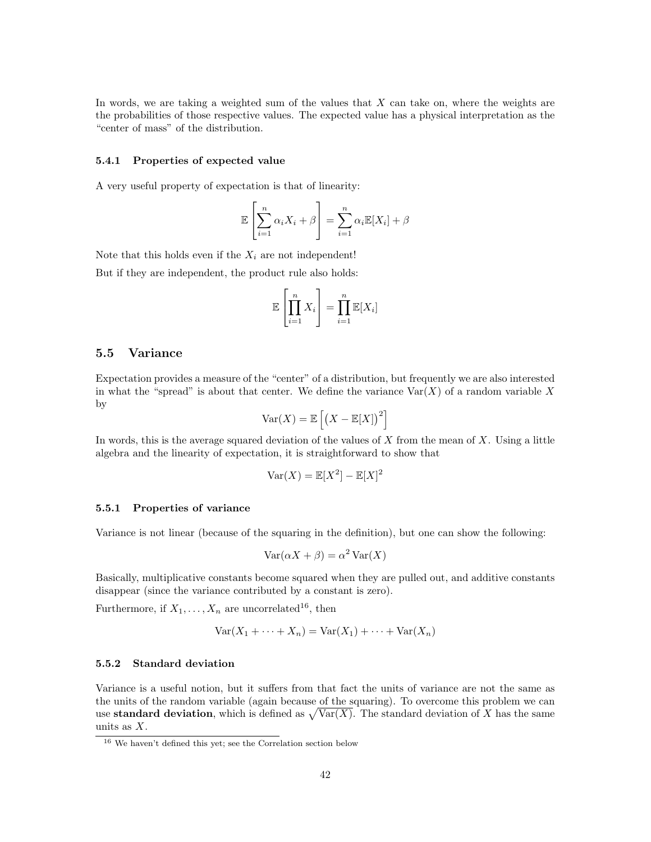In words, we are taking a weighted sum of the values that  $X$  can take on, where the weights are the probabilities of those respective values. The expected value has a physical interpretation as the "center of mass" of the distribution.

### <span id="page-41-0"></span>5.4.1 Properties of expected value

A very useful property of expectation is that of linearity:

$$
\mathbb{E}\left[\sum_{i=1}^{n} \alpha_i X_i + \beta\right] = \sum_{i=1}^{n} \alpha_i \mathbb{E}[X_i] + \beta
$$

Note that this holds even if the  $X_i$  are not independent!

But if they are independent, the product rule also holds:

$$
\mathbb{E}\left[\prod_{i=1}^{n} X_i\right] = \prod_{i=1}^{n} \mathbb{E}[X_i]
$$

# <span id="page-41-1"></span>5.5 Variance

Expectation provides a measure of the "center" of a distribution, but frequently we are also interested in what the "spread" is about that center. We define the variance  $\text{Var}(X)$  of a random variable X by

$$
\text{Var}(X) = \mathbb{E}\left[\left(X - \mathbb{E}[X]\right)^2\right]
$$

In words, this is the average squared deviation of the values of  $X$  from the mean of  $X$ . Using a little algebra and the linearity of expectation, it is straightforward to show that

$$
\text{Var}(X) = \mathbb{E}[X^2] - \mathbb{E}[X]^2
$$

### <span id="page-41-2"></span>5.5.1 Properties of variance

Variance is not linear (because of the squaring in the definition), but one can show the following:

$$
Var(\alpha X + \beta) = \alpha^2 Var(X)
$$

Basically, multiplicative constants become squared when they are pulled out, and additive constants disappear (since the variance contributed by a constant is zero).

Furthermore, if  $X_1, \ldots, X_n$  are uncorrelated<sup>[16](#page-41-4)</sup>, then

$$
Var(X_1 + \dots + X_n) = Var(X_1) + \dots + Var(X_n)
$$

### <span id="page-41-3"></span>5.5.2 Standard deviation

Variance is a useful notion, but it suffers from that fact the units of variance are not the same as the units of the random variable (again because of the squaring). To overcome this problem we can use **standard deviation**, which is defined as  $\sqrt{\text{Var}(X)}$ . The standard deviation of X has the same units as  $X$ .

<span id="page-41-4"></span><sup>16</sup> We haven't defined this yet; see the Correlation section below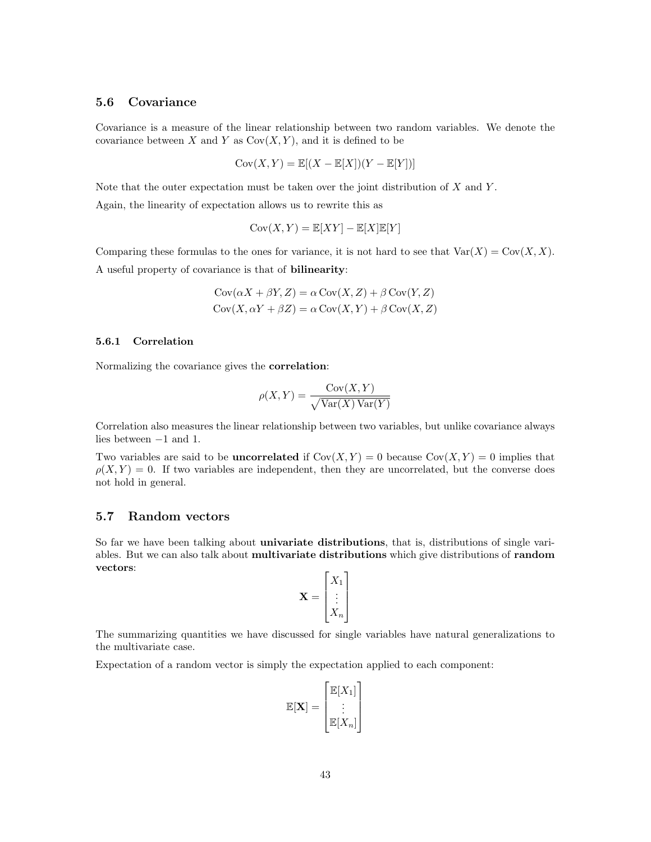# <span id="page-42-0"></span>5.6 Covariance

Covariance is a measure of the linear relationship between two random variables. We denote the covariance between X and Y as  $Cov(X, Y)$ , and it is defined to be

$$
Cov(X, Y) = \mathbb{E}[(X - \mathbb{E}[X])(Y - \mathbb{E}[Y])]
$$

Note that the outer expectation must be taken over the joint distribution of  $X$  and  $Y$ .

Again, the linearity of expectation allows us to rewrite this as

$$
Cov(X, Y) = \mathbb{E}[XY] - \mathbb{E}[X]\mathbb{E}[Y]
$$

Comparing these formulas to the ones for variance, it is not hard to see that  $Var(X) = Cov(X, X)$ . A useful property of covariance is that of bilinearity:

$$
Cov(\alpha X + \beta Y, Z) = \alpha Cov(X, Z) + \beta Cov(Y, Z)
$$

$$
Cov(X, \alpha Y + \beta Z) = \alpha Cov(X, Y) + \beta Cov(X, Z)
$$

### <span id="page-42-1"></span>5.6.1 Correlation

Normalizing the covariance gives the correlation:

$$
\rho(X, Y) = \frac{\text{Cov}(X, Y)}{\sqrt{\text{Var}(X)\text{Var}(Y)}}
$$

Correlation also measures the linear relationship between two variables, but unlike covariance always lies between −1 and 1.

Two variables are said to be **uncorrelated** if  $Cov(X, Y) = 0$  because  $Cov(X, Y) = 0$  implies that  $\rho(X, Y) = 0$ . If two variables are independent, then they are uncorrelated, but the converse does not hold in general.

# <span id="page-42-2"></span>5.7 Random vectors

So far we have been talking about univariate distributions, that is, distributions of single variables. But we can also talk about multivariate distributions which give distributions of random vectors:

$$
\mathbf{X} = \begin{bmatrix} X_1 \\ \vdots \\ X_n \end{bmatrix}
$$

The summarizing quantities we have discussed for single variables have natural generalizations to the multivariate case.

Expectation of a random vector is simply the expectation applied to each component:

$$
\mathbb{E}[\mathbf{X}] = \begin{bmatrix} \mathbb{E}[X_1] \\ \vdots \\ \mathbb{E}[X_n] \end{bmatrix}
$$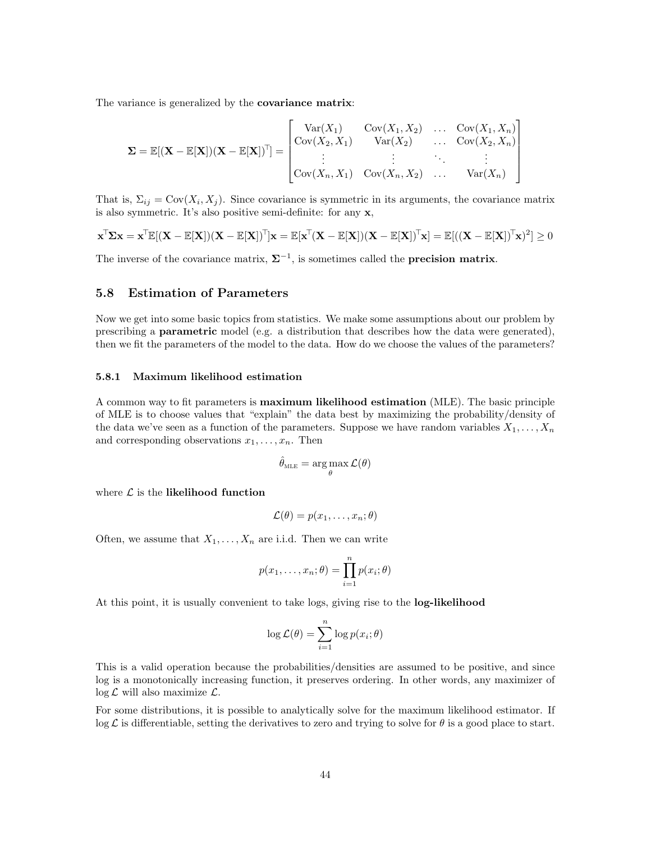The variance is generalized by the **covariance matrix**:

$$
\Sigma = \mathbb{E}[(\mathbf{X} - \mathbb{E}[\mathbf{X}])(\mathbf{X} - \mathbb{E}[\mathbf{X}])^{\top}] = \begin{bmatrix} \text{Var}(X_1) & \text{Cov}(X_1, X_2) & \dots & \text{Cov}(X_1, X_n) \\ \text{Cov}(X_2, X_1) & \text{Var}(X_2) & \dots & \text{Cov}(X_2, X_n) \\ \vdots & \vdots & \ddots & \vdots \\ \text{Cov}(X_n, X_1) & \text{Cov}(X_n, X_2) & \dots & \text{Var}(X_n) \end{bmatrix}
$$

That is,  $\Sigma_{ij} = \text{Cov}(X_i, X_j)$ . Since covariance is symmetric in its arguments, the covariance matrix is also symmetric. It's also positive semi-definite: for any x,

$$
\mathbf{x}^{\top} \mathbf{\Sigma} \mathbf{x} = \mathbf{x}^{\top} \mathbb{E}[(\mathbf{X} - \mathbb{E}[\mathbf{X}])(\mathbf{X} - \mathbb{E}[\mathbf{X}])^{\top}] \mathbf{x} = \mathbb{E}[\mathbf{x}^{\top} (\mathbf{X} - \mathbb{E}[\mathbf{X}])(\mathbf{X} - \mathbb{E}[\mathbf{X}])^{\top} \mathbf{x}] = \mathbb{E}[((\mathbf{X} - \mathbb{E}[\mathbf{X}])^{\top} \mathbf{x})^2] \ge 0
$$

The inverse of the covariance matrix,  $\Sigma^{-1}$ , is sometimes called the **precision matrix**.

# <span id="page-43-0"></span>5.8 Estimation of Parameters

Now we get into some basic topics from statistics. We make some assumptions about our problem by prescribing a **parametric** model (e.g. a distribution that describes how the data were generated), then we fit the parameters of the model to the data. How do we choose the values of the parameters?

### <span id="page-43-1"></span>5.8.1 Maximum likelihood estimation

A common way to fit parameters is maximum likelihood estimation (MLE). The basic principle of MLE is to choose values that "explain" the data best by maximizing the probability/density of the data we've seen as a function of the parameters. Suppose we have random variables  $X_1, \ldots, X_n$ and corresponding observations  $x_1, \ldots, x_n$ . Then

$$
\hat{\theta}_\textnormal{\tiny MLE}=\argmax_{\theta} \mathcal{L}(\theta)
$$

where  $\mathcal L$  is the likelihood function

$$
\mathcal{L}(\theta) = p(x_1, \dots, x_n; \theta)
$$

Often, we assume that  $X_1, \ldots, X_n$  are i.i.d. Then we can write

$$
p(x_1,\ldots,x_n;\theta) = \prod_{i=1}^n p(x_i;\theta)
$$

At this point, it is usually convenient to take logs, giving rise to the log-likelihood

$$
\log \mathcal{L}(\theta) = \sum_{i=1}^{n} \log p(x_i; \theta)
$$

This is a valid operation because the probabilities/densities are assumed to be positive, and since log is a monotonically increasing function, it preserves ordering. In other words, any maximizer of  $\log \mathcal{L}$  will also maximize  $\mathcal{L}$ .

For some distributions, it is possible to analytically solve for the maximum likelihood estimator. If  $\log \mathcal{L}$  is differentiable, setting the derivatives to zero and trying to solve for  $\theta$  is a good place to start.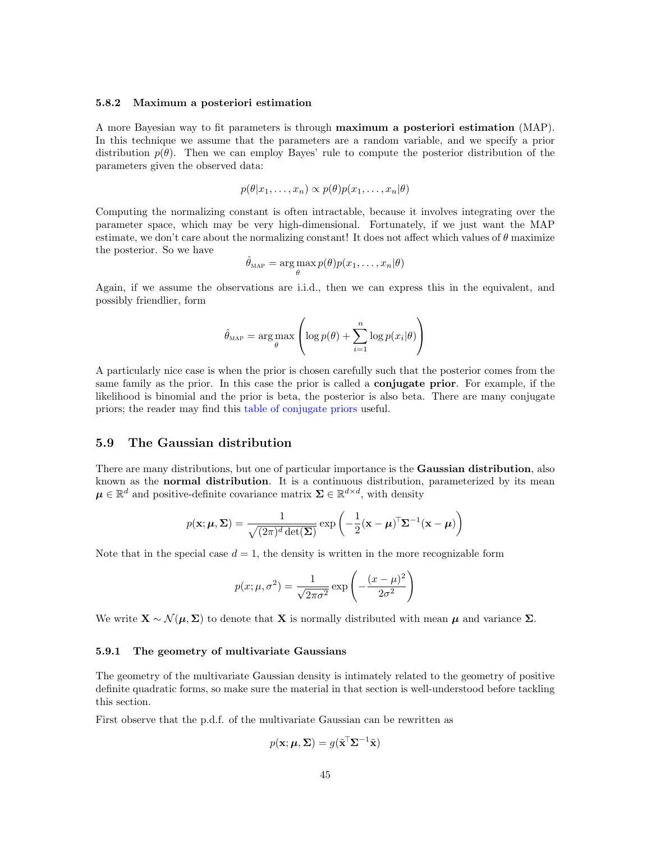#### <span id="page-44-0"></span>5.8.2 Maximum a posteriori estimation

A more Bayesian way to fit parameters is through maximum a posteriori estimation (MAP). In this technique we assume that the parameters are a random variable, and we specify a prior distribution  $p(\theta)$ . Then we can employ Bayes' rule to compute the posterior distribution of the parameters given the observed data:

$$
p(\theta|x_1,\ldots,x_n) \propto p(\theta)p(x_1,\ldots,x_n|\theta)
$$

Computing the normalizing constant is often intractable, because it involves integrating over the parameter space, which may be very high-dimensional. Fortunately, if we just want the MAP estimate, we don't care about the normalizing constant! It does not affect which values of  $\theta$  maximize the posterior. So we have

$$
\hat{\theta}_{\text{MAP}} = \arg\max_{\theta} p(\theta) p(x_1, \dots, x_n | \theta)
$$

Again, if we assume the observations are i.i.d., then we can express this in the equivalent, and possibly friendlier, form

$$
\hat{\theta}_{\text{MAP}} = \arg \max_{\theta} \left( \log p(\theta) + \sum_{i=1}^{n} \log p(x_i | \theta) \right)
$$

A particularly nice case is when the prior is chosen carefully such that the posterior comes from the same family as the prior. In this case the prior is called a **conjugate prior**. For example, if the likelihood is binomial and the prior is beta, the posterior is also beta. There are many conjugate priors; the reader may find this [table of conjugate priors](https://en.wikipedia.org/wiki/Conjugate_prior#Table_of_conjugate_distributions) useful.

# <span id="page-44-1"></span>5.9 The Gaussian distribution

There are many distributions, but one of particular importance is the **Gaussian distribution**, also known as the **normal distribution**. It is a continuous distribution, parameterized by its mean  $\mu \in \mathbb{R}^d$  and positive-definite covariance matrix  $\Sigma \in \mathbb{R}^{d \times d}$ , with density

$$
p(\mathbf{x}; \boldsymbol{\mu}, \boldsymbol{\Sigma}) = \frac{1}{\sqrt{(2\pi)^d \det(\boldsymbol{\Sigma})}} \exp\left(-\frac{1}{2}(\mathbf{x} - \boldsymbol{\mu})^{\top} \boldsymbol{\Sigma}^{-1}(\mathbf{x} - \boldsymbol{\mu})\right)
$$

Note that in the special case  $d = 1$ , the density is written in the more recognizable form

$$
p(x; \mu, \sigma^2) = \frac{1}{\sqrt{2\pi\sigma^2}} \exp\left(-\frac{(x-\mu)^2}{2\sigma^2}\right)
$$

We write  $\mathbf{X} \sim \mathcal{N}(\boldsymbol{\mu}, \boldsymbol{\Sigma})$  to denote that **X** is normally distributed with mean  $\boldsymbol{\mu}$  and variance  $\boldsymbol{\Sigma}$ .

### <span id="page-44-2"></span>5.9.1 The geometry of multivariate Gaussians

The geometry of the multivariate Gaussian density is intimately related to the geometry of positive definite quadratic forms, so make sure the material in that section is well-understood before tackling this section.

First observe that the p.d.f. of the multivariate Gaussian can be rewritten as

$$
p(\mathbf{x}; \boldsymbol{\mu}, \boldsymbol{\Sigma}) = g(\tilde{\mathbf{x}}^{\top} \boldsymbol{\Sigma}^{-1} \tilde{\mathbf{x}})
$$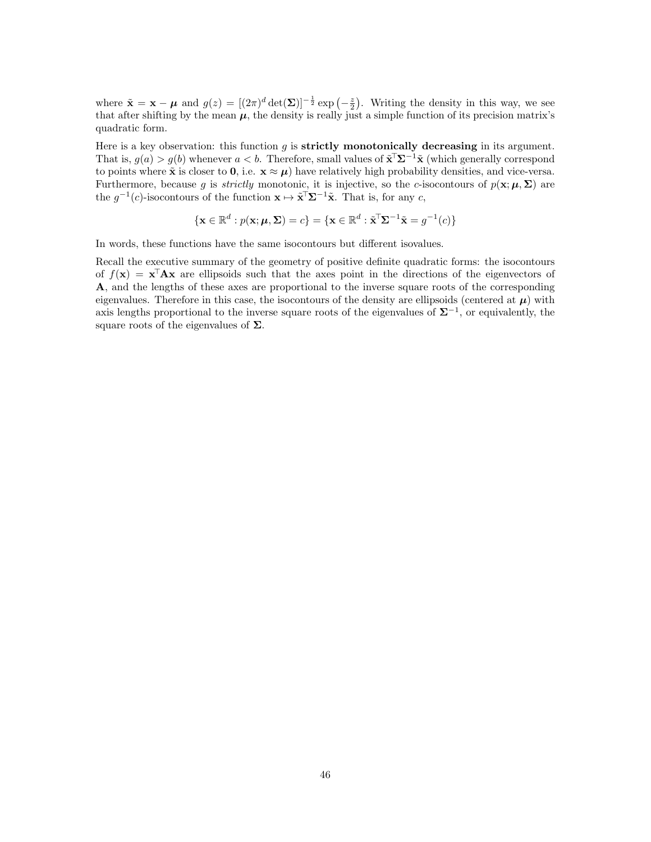where  $\tilde{\mathbf{x}} = \mathbf{x} - \boldsymbol{\mu}$  and  $g(z) = [(2\pi)^d \det(\boldsymbol{\Sigma})]^{-\frac{1}{2}} \exp(-\frac{z}{2})$ . Writing the density in this way, we see that after shifting by the mean  $\mu$ , the density is really just a simple function of its precision matrix's quadratic form.

Here is a key observation: this function  $g$  is **strictly monotonically decreasing** in its argument. That is,  $g(a) > g(b)$  whenever  $a < b$ . Therefore, small values of  $\tilde{\mathbf{x}}^T \Sigma^{-1} \tilde{\mathbf{x}}$  (which generally correspond to points where  $\tilde{\mathbf{x}}$  is closer to **0**, i.e.  $\mathbf{x} \approx \boldsymbol{\mu}$ ) have relatively high probability densities, and vice-versa. Furthermore, because g is *strictly* monotonic, it is injective, so the c-isocontours of  $p(\mathbf{x}; \boldsymbol{\mu}, \boldsymbol{\Sigma})$  are the  $g^{-1}(c)$ -isocontours of the function  $\mathbf{x} \mapsto \tilde{\mathbf{x}}^{\mathsf{T}} \Sigma^{-1} \tilde{\mathbf{x}}$ . That is, for any c,

$$
\{\mathbf x \in \mathbb R^d : p(\mathbf x; \boldsymbol{\mu}, \boldsymbol{\Sigma}) = c\} = \{\mathbf x \in \mathbb R^d : \tilde{\mathbf x}^\top \boldsymbol{\Sigma}^{-1} \tilde{\mathbf x} = g^{-1}(c)\}
$$

In words, these functions have the same isocontours but different isovalues.

Recall the executive summary of the geometry of positive definite quadratic forms: the isocontours of  $f(\mathbf{x}) = \mathbf{x}^{\mathsf{T}} \mathbf{A} \mathbf{x}$  are ellipsoids such that the axes point in the directions of the eigenvectors of A, and the lengths of these axes are proportional to the inverse square roots of the corresponding eigenvalues. Therefore in this case, the isocontours of the density are ellipsoids (centered at  $\mu$ ) with axis lengths proportional to the inverse square roots of the eigenvalues of  $\Sigma^{-1}$ , or equivalently, the square roots of the eigenvalues of  $\Sigma$ .